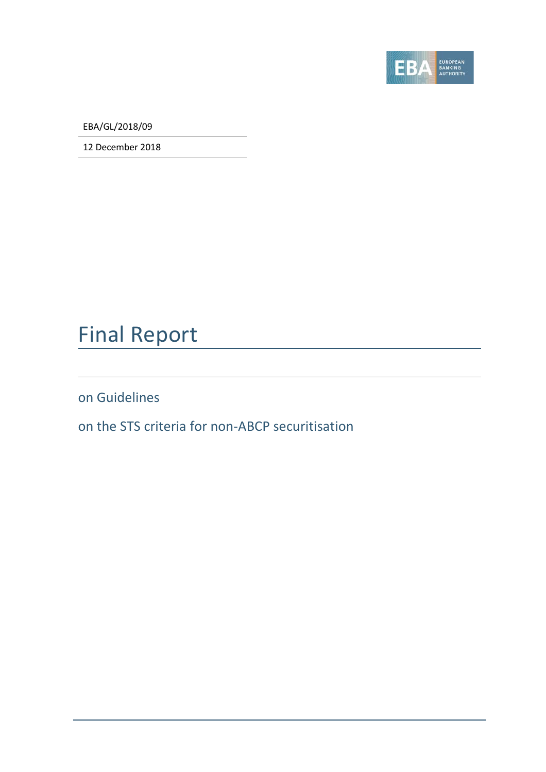

EBA/GL/2018/09

12 December 2018

# Final Report

on Guidelines

on the STS criteria for non-ABCP securitisation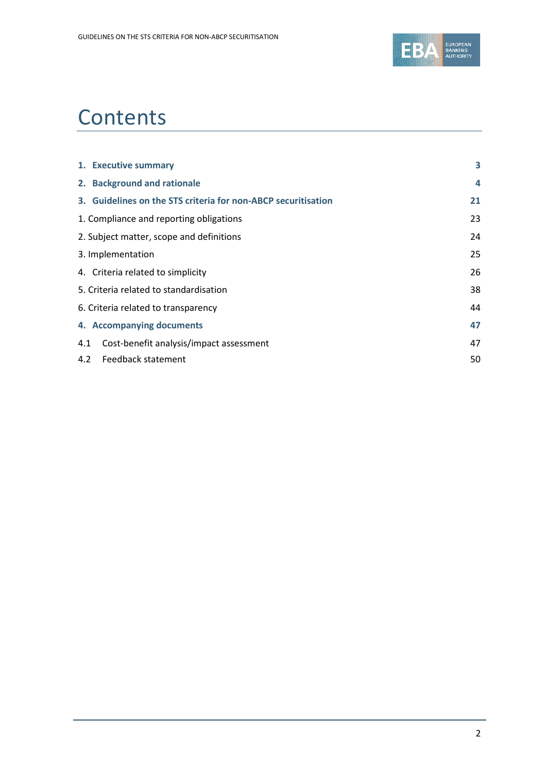

## **Contents**

| 1. Executive summary                                          | 3  |
|---------------------------------------------------------------|----|
| 2. Background and rationale                                   | 4  |
| 3. Guidelines on the STS criteria for non-ABCP securitisation | 21 |
| 1. Compliance and reporting obligations                       | 23 |
| 2. Subject matter, scope and definitions                      | 24 |
| 3. Implementation                                             | 25 |
| 4. Criteria related to simplicity                             | 26 |
| 5. Criteria related to standardisation                        | 38 |
| 6. Criteria related to transparency                           | 44 |
| 4. Accompanying documents                                     | 47 |
| Cost-benefit analysis/impact assessment<br>4.1                | 47 |
| Feedback statement<br>4.2                                     | 50 |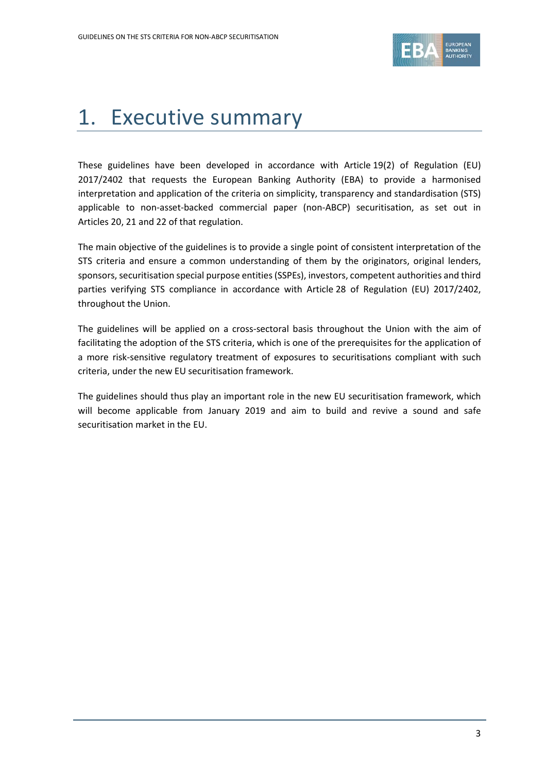

## <span id="page-2-0"></span>1. Executive summary

These guidelines have been developed in accordance with Article 19(2) of Regulation (EU) 2017/2402 that requests the European Banking Authority (EBA) to provide a harmonised interpretation and application of the criteria on simplicity, transparency and standardisation (STS) applicable to non-asset-backed commercial paper (non-ABCP) securitisation, as set out in Articles 20, 21 and 22 of that regulation.

The main objective of the guidelines is to provide a single point of consistent interpretation of the STS criteria and ensure a common understanding of them by the originators, original lenders, sponsors, securitisation special purpose entities (SSPEs), investors, competent authorities and third parties verifying STS compliance in accordance with Article 28 of Regulation (EU) 2017/2402, throughout the Union.

The guidelines will be applied on a cross-sectoral basis throughout the Union with the aim of facilitating the adoption of the STS criteria, which is one of the prerequisites for the application of a more risk-sensitive regulatory treatment of exposures to securitisations compliant with such criteria, under the new EU securitisation framework.

The guidelines should thus play an important role in the new EU securitisation framework, which will become applicable from January 2019 and aim to build and revive a sound and safe securitisation market in the EU.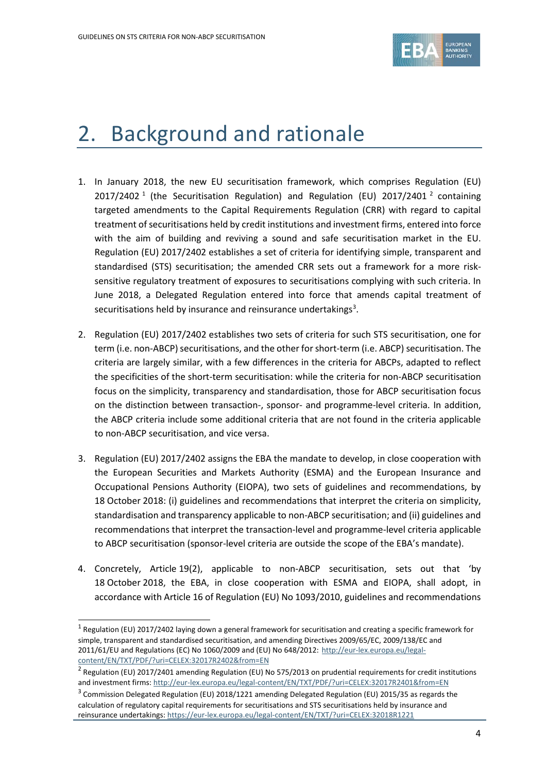

## <span id="page-3-0"></span>2. Background and rationale

- 1. In January 2018, the new EU securitisation framework, which comprises Regulation (EU) 20[1](#page-3-1)7/[2](#page-3-2)402<sup>1</sup> (the Securitisation Regulation) and Regulation (EU) 2017/2401<sup>2</sup> containing targeted amendments to the Capital Requirements Regulation (CRR) with regard to capital treatment of securitisations held by credit institutions and investment firms, entered into force with the aim of building and reviving a sound and safe securitisation market in the EU. Regulation (EU) 2017/2402 establishes a set of criteria for identifying simple, transparent and standardised (STS) securitisation; the amended CRR sets out a framework for a more risksensitive regulatory treatment of exposures to securitisations complying with such criteria. In June 2018, a Delegated Regulation entered into force that amends capital treatment of securitisations held by insurance and reinsurance undertakings<sup>[3](#page-3-3)</sup>.
- 2. Regulation (EU) 2017/2402 establishes two sets of criteria for such STS securitisation, one for term (i.e. non-ABCP) securitisations, and the other for short-term (i.e. ABCP) securitisation. The criteria are largely similar, with a few differences in the criteria for ABCPs, adapted to reflect the specificities of the short-term securitisation: while the criteria for non-ABCP securitisation focus on the simplicity, transparency and standardisation, those for ABCP securitisation focus on the distinction between transaction-, sponsor- and programme-level criteria. In addition, the ABCP criteria include some additional criteria that are not found in the criteria applicable to non-ABCP securitisation, and vice versa.
- 3. Regulation (EU) 2017/2402 assigns the EBA the mandate to develop, in close cooperation with the European Securities and Markets Authority (ESMA) and the European Insurance and Occupational Pensions Authority (EIOPA), two sets of guidelines and recommendations, by 18 October 2018: (i) guidelines and recommendations that interpret the criteria on simplicity, standardisation and transparency applicable to non-ABCP securitisation; and (ii) guidelines and recommendations that interpret the transaction-level and programme-level criteria applicable to ABCP securitisation (sponsor-level criteria are outside the scope of the EBA's mandate).
- 4. Concretely, Article 19(2), applicable to non-ABCP securitisation, sets out that 'by 18 October 2018, the EBA, in close cooperation with ESMA and EIOPA, shall adopt, in accordance with Article 16 of Regulation (EU) No 1093/2010, guidelines and recommendations

<span id="page-3-1"></span> $1$  Regulation (EU) 2017/2402 laying down a general framework for securitisation and creating a specific framework for simple, transparent and standardised securitisation, and amending Directives 2009/65/EC, 2009/138/EC and 2011/61/EU and Regulations (EC) No 1060/2009 and (EU) No 648/2012: [http://eur-lex.europa.eu/legal](http://eur-lex.europa.eu/legal-content/EN/TXT/PDF/?uri=CELEX:32017R2402&from=EN)[content/EN/TXT/PDF/?uri=CELEX:32017R2402&from=EN](http://eur-lex.europa.eu/legal-content/EN/TXT/PDF/?uri=CELEX:32017R2402&from=EN)

<span id="page-3-2"></span><sup>2</sup> Regulation (EU) 2017/2401 amending Regulation (EU) No 575/2013 on prudential requirements for credit institutions and investment firms[: http://eur-lex.europa.eu/legal-content/EN/TXT/PDF/?uri=CELEX:32017R2401&from=EN](http://eur-lex.europa.eu/legal-content/EN/TXT/PDF/?uri=CELEX:32017R2401&from=EN)

<span id="page-3-3"></span> $3$  Commission Delegated Regulation (EU) 2018/1221 amending Delegated Regulation (EU) 2015/35 as regards the calculation of regulatory capital requirements for securitisations and STS securitisations held by insurance and reinsurance undertakings[: https://eur-lex.europa.eu/legal-content/EN/TXT/?uri=CELEX:32018R1221](https://eur-lex.europa.eu/legal-content/EN/TXT/?uri=CELEX:32018R1221)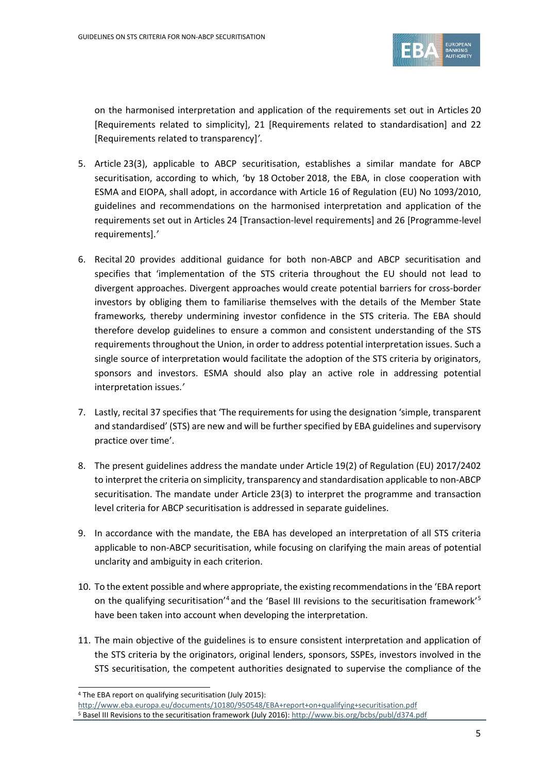

on the harmonised interpretation and application of the requirements set out in Articles 20 [Requirements related to simplicity], 21 [Requirements related to standardisation] and 22 [Requirements related to transparency]*'*.

- 5. Article 23(3), applicable to ABCP securitisation, establishes a similar mandate for ABCP securitisation, according to which, 'by 18 October 2018, the EBA, in close cooperation with ESMA and EIOPA, shall adopt, in accordance with Article 16 of Regulation (EU) No 1093/2010, guidelines and recommendations on the harmonised interpretation and application of the requirements set out in Articles 24 [Transaction-level requirements] and 26 [Programme-level requirements].*'*
- 6. Recital 20 provides additional guidance for both non-ABCP and ABCP securitisation and specifies that 'implementation of the STS criteria throughout the EU should not lead to divergent approaches. Divergent approaches would create potential barriers for cross-border investors by obliging them to familiarise themselves with the details of the Member State frameworks*,* thereb*y* undermining investor confidence in the STS criteria. The EBA should therefore develop guidelines to ensure a common and consistent understanding of the STS requirements throughout the Union, in order to address potential interpretation issues. Such a single source of interpretation would facilitate the adoption of the STS criteria by originators, sponsors and investors. ESMA should also play an active role in addressing potential interpretation issues.*'*
- 7. Lastly, recital 37 specifies that 'The requirements for using the designation 'simple, transparent and standardised' (STS) are new and will be further specified by EBA guidelines and supervisory practice over time'.
- 8. The present guidelines address the mandate under Article 19(2) of Regulation (EU) 2017/2402 to interpret the criteria on simplicity, transparency and standardisation applicable to non-ABCP securitisation. The mandate under Article 23(3) to interpret the programme and transaction level criteria for ABCP securitisation is addressed in separate guidelines.
- 9. In accordance with the mandate, the EBA has developed an interpretation of all STS criteria applicable to non-ABCP securitisation, while focusing on clarifying the main areas of potential unclarity and ambiguity in each criterion.
- 10. To the extent possible and where appropriate, the existing recommendations in the 'EBA report on the qualifying securitisation<sup>'[4](#page-4-0)</sup> and the 'Basel III revisions to the securitisation framework'<sup>[5](#page-4-1)</sup> have been taken into account when developing the interpretation.
- 11. The main objective of the guidelines is to ensure consistent interpretation and application of the STS criteria by the originators, original lenders, sponsors, SSPEs, investors involved in the STS securitisation, the competent authorities designated to supervise the compliance of the

<span id="page-4-0"></span><sup>4</sup> The EBA report on qualifying securitisation (July 2015):

<http://www.eba.europa.eu/documents/10180/950548/EBA+report+on+qualifying+securitisation.pdf>

<span id="page-4-1"></span><sup>5</sup> Basel III Revisions to the securitisation framework (July 2016): <http://www.bis.org/bcbs/publ/d374.pdf>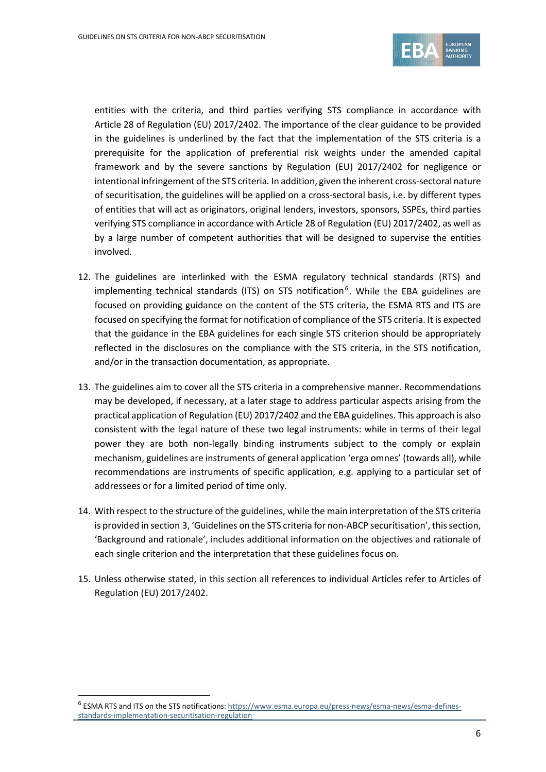

entities with the criteria, and third parties verifying STS compliance in accordance with Article 28 of Regulation (EU) 2017/2402. The importance of the clear guidance to be provided in the guidelines is underlined by the fact that the implementation of the STS criteria is a prerequisite for the application of preferential risk weights under the amended capital framework and by the severe sanctions by Regulation (EU) 2017/2402 for negligence or intentional infringement of the STS criteria*.* In addition, given the inherent cross-sectoral nature of securitisation, the guidelines will be applied on a cross-sectoral basis, i.e. by different types of entities that will act as originators, original lenders, investors, sponsors, SSPEs, third parties verifying STS compliance in accordance with Article 28 of Regulation (EU) 2017/2402, as well as by a large number of competent authorities that will be designed to supervise the entities involved.

- 12. The guidelines are interlinked with the ESMA regulatory technical standards (RTS) and implementing technical standards (ITS) on STS notification<sup>[6](#page-5-0)</sup>. While the EBA guidelines are focused on providing guidance on the content of the STS criteria, the ESMA RTS and ITS are focused on specifying the format for notification of compliance of the STS criteria. It is expected that the guidance in the EBA guidelines for each single STS criterion should be appropriately reflected in the disclosures on the compliance with the STS criteria, in the STS notification, and/or in the transaction documentation, as appropriate.
- 13. The guidelines aim to cover all the STS criteria in a comprehensive manner. Recommendations may be developed, if necessary, at a later stage to address particular aspects arising from the practical application of Regulation (EU) 2017/2402 and the EBA guidelines. This approach is also consistent with the legal nature of these two legal instruments: while in terms of their legal power they are both non-legally binding instruments subject to the comply or explain mechanism, guidelines are instruments of general application 'erga omnes' (towards all), while recommendations are instruments of specific application, e.g. applying to a particular set of addressees or for a limited period of time only.
- 14. With respect to the structure of the guidelines, while the main interpretation of the STS criteria is provided in section 3, 'Guidelines on the STS criteria for non-ABCP securitisation', this section, 'Background and rationale', includes additional information on the objectives and rationale of each single criterion and the interpretation that these guidelines focus on.
- 15. Unless otherwise stated, in this section all references to individual Articles refer to Articles of Regulation (EU) 2017/2402.

<span id="page-5-0"></span><sup>&</sup>lt;sup>6</sup> ESMA RTS and ITS on the STS notifications[: https://www.esma.europa.eu/press-news/esma-news/esma-defines](https://www.esma.europa.eu/press-news/esma-news/esma-defines-standards-implementation-securitisation-regulation)[standards-implementation-securitisation-regulation](https://www.esma.europa.eu/press-news/esma-news/esma-defines-standards-implementation-securitisation-regulation)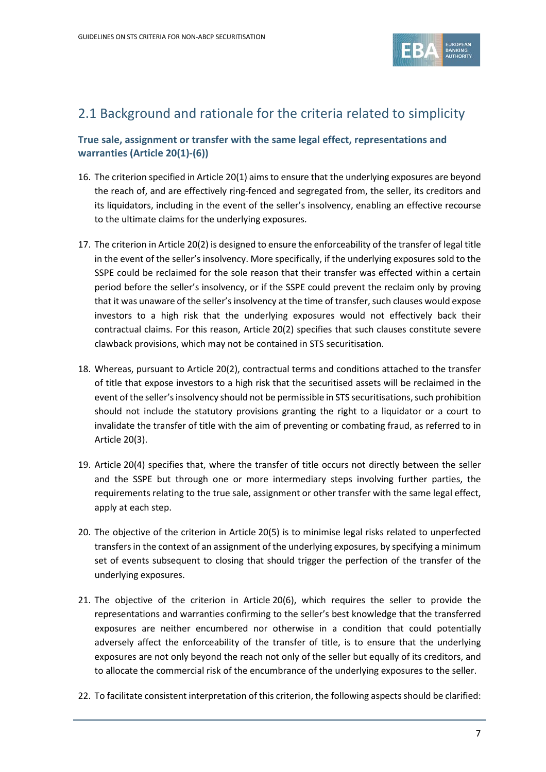

## 2.1 Background and rationale for the criteria related to simplicity

## **True sale, assignment or transfer with the same legal effect, representations and warranties (Article 20(1)-(6))**

- 16. The criterion specified in Article 20(1) aims to ensure that the underlying exposures are beyond the reach of, and are effectively ring-fenced and segregated from, the seller, its creditors and its liquidators, including in the event of the seller's insolvency, enabling an effective recourse to the ultimate claims for the underlying exposures.
- 17. The criterion in Article 20(2) is designed to ensure the enforceability of the transfer of legal title in the event of the seller's insolvency. More specifically, if the underlying exposures sold to the SSPE could be reclaimed for the sole reason that their transfer was effected within a certain period before the seller's insolvency, or if the SSPE could prevent the reclaim only by proving that it was unaware of the seller's insolvency at the time of transfer, such clauses would expose investors to a high risk that the underlying exposures would not effectively back their contractual claims. For this reason, Article 20(2) specifies that such clauses constitute severe clawback provisions, which may not be contained in STS securitisation.
- 18. Whereas, pursuant to Article 20(2), contractual terms and conditions attached to the transfer of title that expose investors to a high risk that the securitised assets will be reclaimed in the event of the seller's insolvency should not be permissible in STS securitisations, such prohibition should not include the statutory provisions granting the right to a liquidator or a court to invalidate the transfer of title with the aim of preventing or combating fraud, as referred to in Article 20(3).
- 19. Article 20(4) specifies that, where the transfer of title occurs not directly between the seller and the SSPE but through one or more intermediary steps involving further parties, the requirements relating to the true sale, assignment or other transfer with the same legal effect, apply at each step.
- 20. The objective of the criterion in Article 20(5) is to minimise legal risks related to unperfected transfers in the context of an assignment of the underlying exposures, by specifying a minimum set of events subsequent to closing that should trigger the perfection of the transfer of the underlying exposures.
- 21. The objective of the criterion in Article 20(6), which requires the seller to provide the representations and warranties confirming to the seller's best knowledge that the transferred exposures are neither encumbered nor otherwise in a condition that could potentially adversely affect the enforceability of the transfer of title, is to ensure that the underlying exposures are not only beyond the reach not only of the seller but equally of its creditors, and to allocate the commercial risk of the encumbrance of the underlying exposures to the seller.
- 22. To facilitate consistent interpretation of this criterion, the following aspects should be clarified: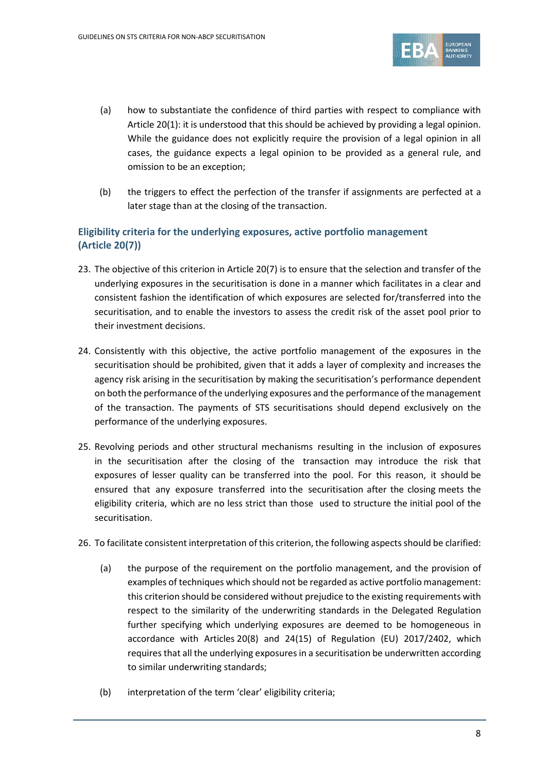

- (a) how to substantiate the confidence of third parties with respect to compliance with Article 20(1): it is understood that this should be achieved by providing a legal opinion. While the guidance does not explicitly require the provision of a legal opinion in all cases, the guidance expects a legal opinion to be provided as a general rule, and omission to be an exception;
- (b) the triggers to effect the perfection of the transfer if assignments are perfected at a later stage than at the closing of the transaction.

## **Eligibility criteria for the underlying exposures, active portfolio management (Article 20(7))**

- 23. The objective of this criterion in Article 20(7) is to ensure that the selection and transfer of the underlying exposures in the securitisation is done in a manner which facilitates in a clear and consistent fashion the identification of which exposures are selected for/transferred into the securitisation, and to enable the investors to assess the credit risk of the asset pool prior to their investment decisions.
- 24. Consistently with this objective, the active portfolio management of the exposures in the securitisation should be prohibited, given that it adds a layer of complexity and increases the agency risk arising in the securitisation by making the securitisation's performance dependent on both the performance of the underlying exposures and the performance of the management of the transaction. The payments of STS securitisations should depend exclusively on the performance of the underlying exposures.
- 25. Revolving periods and other structural mechanisms resulting in the inclusion of exposures in the securitisation after the closing of the transaction may introduce the risk that exposures of lesser quality can be transferred into the pool. For this reason, it should be ensured that any exposure transferred into the securitisation after the closing meets the eligibility criteria, which are no less strict than those used to structure the initial pool of the securitisation.
- 26. To facilitate consistent interpretation of this criterion, the following aspects should be clarified:
	- (a) the purpose of the requirement on the portfolio management, and the provision of examples of techniques which should not be regarded as active portfolio management: this criterion should be considered without prejudice to the existing requirements with respect to the similarity of the underwriting standards in the Delegated Regulation further specifying which underlying exposures are deemed to be homogeneous in accordance with Articles 20(8) and 24(15) of Regulation (EU) 2017/2402, which requires that all the underlying exposures in a securitisation be underwritten according to similar underwriting standards;
	- (b) interpretation of the term 'clear' eligibility criteria;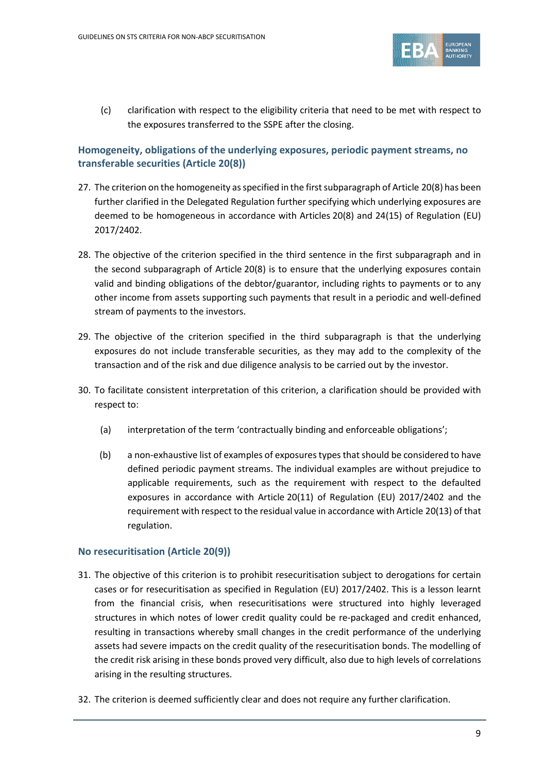

(c) clarification with respect to the eligibility criteria that need to be met with respect to the exposures transferred to the SSPE after the closing.

## **Homogeneity, obligations of the underlying exposures, periodic payment streams, no transferable securities (Article 20(8))**

- 27. The criterion on the homogeneity as specified in the first subparagraph of Article 20(8) has been further clarified in the Delegated Regulation further specifying which underlying exposures are deemed to be homogeneous in accordance with Articles 20(8) and 24(15) of Regulation (EU) 2017/2402.
- 28. The objective of the criterion specified in the third sentence in the first subparagraph and in the second subparagraph of Article 20(8) is to ensure that the underlying exposures contain valid and binding obligations of the debtor/guarantor, including rights to payments or to any other income from assets supporting such payments that result in a periodic and well-defined stream of payments to the investors.
- 29. The objective of the criterion specified in the third subparagraph is that the underlying exposures do not include transferable securities, as they may add to the complexity of the transaction and of the risk and due diligence analysis to be carried out by the investor.
- 30. To facilitate consistent interpretation of this criterion, a clarification should be provided with respect to:
	- (a) interpretation of the term 'contractually binding and enforceable obligations';
	- (b) a non-exhaustive list of examples of exposures types that should be considered to have defined periodic payment streams. The individual examples are without prejudice to applicable requirements, such as the requirement with respect to the defaulted exposures in accordance with Article 20(11) of Regulation (EU) 2017/2402 and the requirement with respect to the residual value in accordance with Article 20(13) of that regulation.

## **No resecuritisation (Article 20(9))**

- 31. The objective of this criterion is to prohibit resecuritisation subject to derogations for certain cases or for resecuritisation as specified in Regulation (EU) 2017/2402. This is a lesson learnt from the financial crisis, when resecuritisations were structured into highly leveraged structures in which notes of lower credit quality could be re-packaged and credit enhanced, resulting in transactions whereby small changes in the credit performance of the underlying assets had severe impacts on the credit quality of the resecuritisation bonds. The modelling of the credit risk arising in these bonds proved very difficult, also due to high levels of correlations arising in the resulting structures.
- 32. The criterion is deemed sufficiently clear and does not require any further clarification.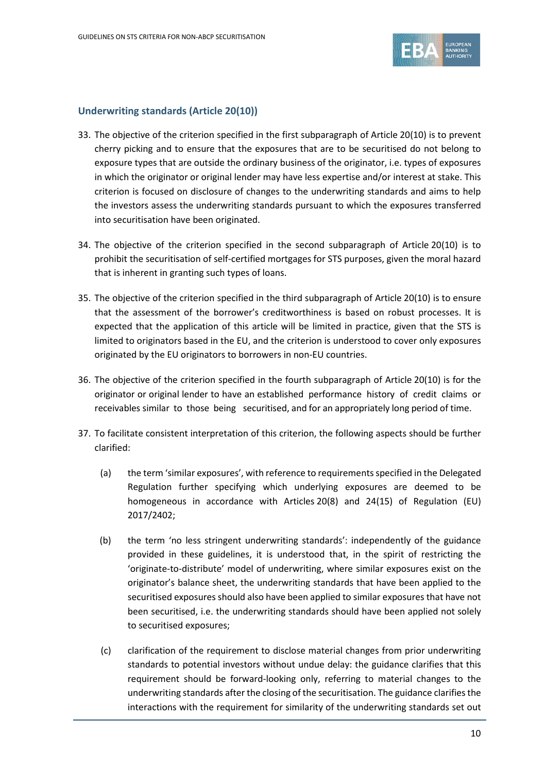

### **Underwriting standards (Article 20(10))**

- 33. The objective of the criterion specified in the first subparagraph of Article 20(10) is to prevent cherry picking and to ensure that the exposures that are to be securitised do not belong to exposure types that are outside the ordinary business of the originator, i.e. types of exposures in which the originator or original lender may have less expertise and/or interest at stake. This criterion is focused on disclosure of changes to the underwriting standards and aims to help the investors assess the underwriting standards pursuant to which the exposures transferred into securitisation have been originated.
- 34. The objective of the criterion specified in the second subparagraph of Article 20(10) is to prohibit the securitisation of self-certified mortgages for STS purposes, given the moral hazard that is inherent in granting such types of loans.
- 35. The objective of the criterion specified in the third subparagraph of Article 20(10) is to ensure that the assessment of the borrower's creditworthiness is based on robust processes. It is expected that the application of this article will be limited in practice, given that the STS is limited to originators based in the EU, and the criterion is understood to cover only exposures originated by the EU originators to borrowers in non-EU countries.
- 36. The objective of the criterion specified in the fourth subparagraph of Article 20(10) is for the originator or original lender to have an established performance history of credit claims or receivables similar to those being securitised, and for an appropriately long period of time.
- 37. To facilitate consistent interpretation of this criterion, the following aspects should be further clarified:
	- (a) the term 'similar exposures', with reference to requirements specified in the Delegated Regulation further specifying which underlying exposures are deemed to be homogeneous in accordance with Articles 20(8) and 24(15) of Regulation (EU) 2017/2402;
	- (b) the term 'no less stringent underwriting standards': independently of the guidance provided in these guidelines, it is understood that, in the spirit of restricting the 'originate-to-distribute' model of underwriting, where similar exposures exist on the originator's balance sheet, the underwriting standards that have been applied to the securitised exposures should also have been applied to similar exposures that have not been securitised, i.e. the underwriting standards should have been applied not solely to securitised exposures;
	- (c) clarification of the requirement to disclose material changes from prior underwriting standards to potential investors without undue delay: the guidance clarifies that this requirement should be forward-looking only, referring to material changes to the underwriting standards after the closing of the securitisation. The guidance clarifies the interactions with the requirement for similarity of the underwriting standards set out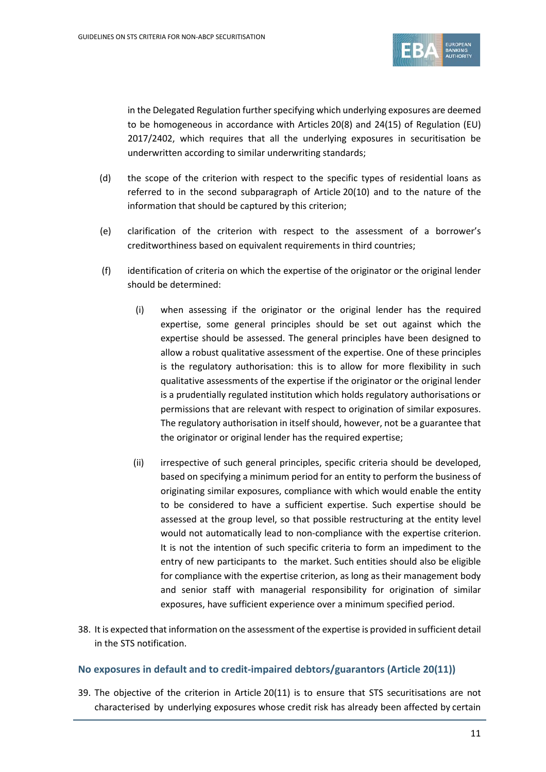

in the Delegated Regulation further specifying which underlying exposures are deemed to be homogeneous in accordance with Articles 20(8) and 24(15) of Regulation (EU) 2017/2402, which requires that all the underlying exposures in securitisation be underwritten according to similar underwriting standards;

- (d) the scope of the criterion with respect to the specific types of residential loans as referred to in the second subparagraph of Article 20(10) and to the nature of the information that should be captured by this criterion;
- (e) clarification of the criterion with respect to the assessment of a borrower's creditworthiness based on equivalent requirements in third countries;
- (f) identification of criteria on which the expertise of the originator or the original lender should be determined:
	- (i) when assessing if the originator or the original lender has the required expertise, some general principles should be set out against which the expertise should be assessed. The general principles have been designed to allow a robust qualitative assessment of the expertise. One of these principles is the regulatory authorisation: this is to allow for more flexibility in such qualitative assessments of the expertise if the originator or the original lender is a prudentially regulated institution which holds regulatory authorisations or permissions that are relevant with respect to origination of similar exposures. The regulatory authorisation in itself should, however, not be a guarantee that the originator or original lender has the required expertise;
	- (ii) irrespective of such general principles, specific criteria should be developed, based on specifying a minimum period for an entity to perform the business of originating similar exposures, compliance with which would enable the entity to be considered to have a sufficient expertise. Such expertise should be assessed at the group level, so that possible restructuring at the entity level would not automatically lead to non-compliance with the expertise criterion. It is not the intention of such specific criteria to form an impediment to the entry of new participants to the market. Such entities should also be eligible for compliance with the expertise criterion, as long as their management body and senior staff with managerial responsibility for origination of similar exposures, have sufficient experience over a minimum specified period.
- 38. It is expected that information on the assessment of the expertise is provided in sufficient detail in the STS notification.

## **No exposures in default and to credit-impaired debtors/guarantors (Article 20(11))**

39. The objective of the criterion in Article 20(11) is to ensure that STS securitisations are not characterised by underlying exposures whose credit risk has already been affected by certain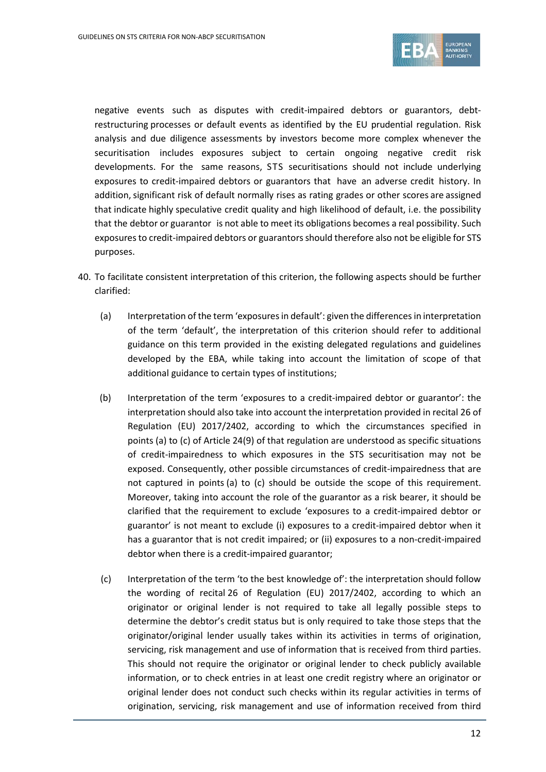

negative events such as disputes with credit-impaired debtors or guarantors, debtrestructuring processes or default events as identified by the EU prudential regulation. Risk analysis and due diligence assessments by investors become more complex whenever the securitisation includes exposures subject to certain ongoing negative credit risk developments. For the same reasons, STS securitisations should not include underlying exposures to credit-impaired debtors or guarantors that have an adverse credit history. In addition, significant risk of default normally rises as rating grades or other scores are assigned that indicate highly speculative credit quality and high likelihood of default, i.e. the possibility that the debtor or guarantor is not able to meet its obligations becomes a real possibility. Such exposures to credit-impaired debtors or guarantors should therefore also not be eligible for STS purposes.

- 40. To facilitate consistent interpretation of this criterion, the following aspects should be further clarified:
	- (a) Interpretation of the term 'exposures in default': given the differences in interpretation of the term 'default', the interpretation of this criterion should refer to additional guidance on this term provided in the existing delegated regulations and guidelines developed by the EBA, while taking into account the limitation of scope of that additional guidance to certain types of institutions;
	- (b) Interpretation of the term 'exposures to a credit-impaired debtor or guarantor': the interpretation should also take into account the interpretation provided in recital 26 of Regulation (EU) 2017/2402, according to which the circumstances specified in points (a) to (c) of Article 24(9) of that regulation are understood as specific situations of credit-impairedness to which exposures in the STS securitisation may not be exposed. Consequently, other possible circumstances of credit-impairedness that are not captured in points (a) to (c) should be outside the scope of this requirement. Moreover, taking into account the role of the guarantor as a risk bearer, it should be clarified that the requirement to exclude 'exposures to a credit-impaired debtor or guarantor' is not meant to exclude (i) exposures to a credit-impaired debtor when it has a guarantor that is not credit impaired; or (ii) exposures to a non-credit-impaired debtor when there is a credit-impaired guarantor;
	- (c) Interpretation of the term 'to the best knowledge of': the interpretation should follow the wording of recital 26 of Regulation (EU) 2017/2402, according to which an originator or original lender is not required to take all legally possible steps to determine the debtor's credit status but is only required to take those steps that the originator/original lender usually takes within its activities in terms of origination, servicing, risk management and use of information that is received from third parties. This should not require the originator or original lender to check publicly available information, or to check entries in at least one credit registry where an originator or original lender does not conduct such checks within its regular activities in terms of origination, servicing, risk management and use of information received from third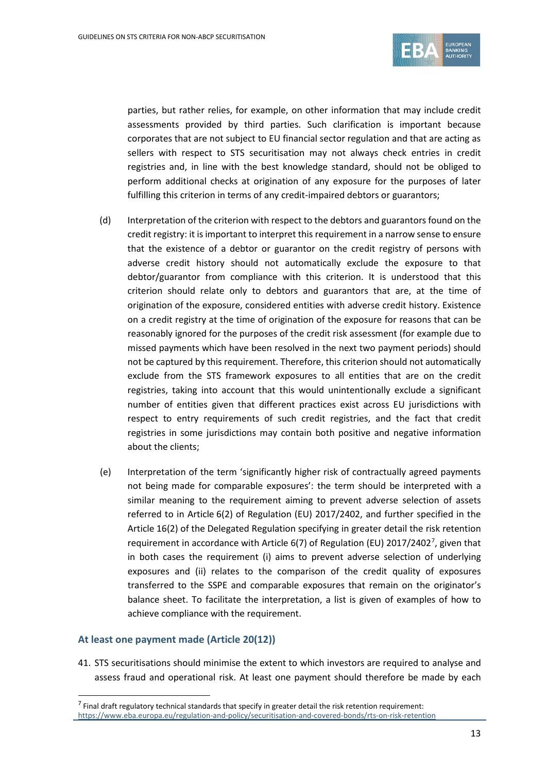

parties, but rather relies, for example, on other information that may include credit assessments provided by third parties. Such clarification is important because corporates that are not subject to EU financial sector regulation and that are acting as sellers with respect to STS securitisation may not always check entries in credit registries and, in line with the best knowledge standard, should not be obliged to perform additional checks at origination of any exposure for the purposes of later fulfilling this criterion in terms of any credit-impaired debtors or guarantors;

- (d) Interpretation of the criterion with respect to the debtors and guarantors found on the credit registry: it is important to interpret this requirement in a narrow sense to ensure that the existence of a debtor or guarantor on the credit registry of persons with adverse credit history should not automatically exclude the exposure to that debtor/guarantor from compliance with this criterion. It is understood that this criterion should relate only to debtors and guarantors that are, at the time of origination of the exposure, considered entities with adverse credit history. Existence on a credit registry at the time of origination of the exposure for reasons that can be reasonably ignored for the purposes of the credit risk assessment (for example due to missed payments which have been resolved in the next two payment periods) should not be captured by this requirement. Therefore, this criterion should not automatically exclude from the STS framework exposures to all entities that are on the credit registries, taking into account that this would unintentionally exclude a significant number of entities given that different practices exist across EU jurisdictions with respect to entry requirements of such credit registries, and the fact that credit registries in some jurisdictions may contain both positive and negative information about the clients;
- (e) Interpretation of the term 'significantly higher risk of contractually agreed payments not being made for comparable exposures': the term should be interpreted with a similar meaning to the requirement aiming to prevent adverse selection of assets referred to in Article 6(2) of Regulation (EU) 2017/2402, and further specified in the Article 16(2) of the Delegated Regulation specifying in greater detail the risk retention requirement in accordance with Article 6([7](#page-12-0)) of Regulation (EU) 2017/2402<sup>7</sup>, given that in both cases the requirement (i) aims to prevent adverse selection of underlying exposures and (ii) relates to the comparison of the credit quality of exposures transferred to the SSPE and comparable exposures that remain on the originator's balance sheet. To facilitate the interpretation, a list is given of examples of how to achieve compliance with the requirement.

## **At least one payment made (Article 20(12))**

 $\overline{a}$ 

41. STS securitisations should minimise the extent to which investors are required to analyse and assess fraud and operational risk. At least one payment should therefore be made by each

<span id="page-12-0"></span> $<sup>7</sup>$  Final draft regulatory technical standards that specify in greater detail the risk retention requirement:</sup> <https://www.eba.europa.eu/regulation-and-policy/securitisation-and-covered-bonds/rts-on-risk-retention>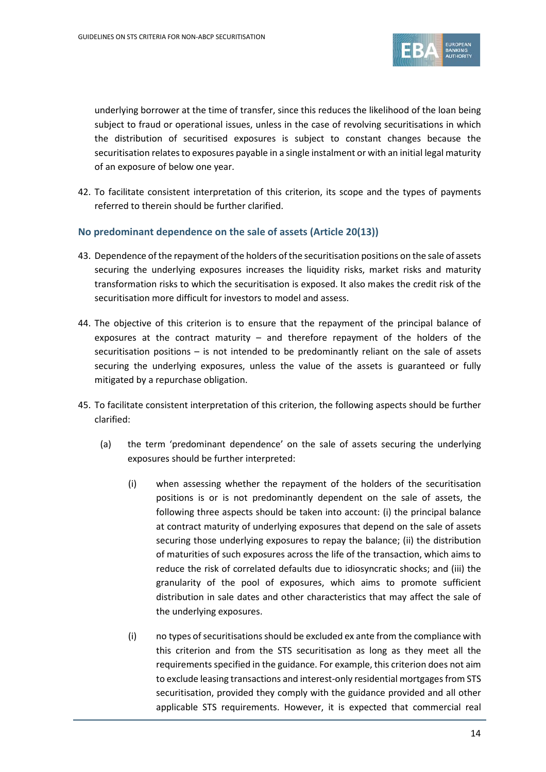

underlying borrower at the time of transfer, since this reduces the likelihood of the loan being subject to fraud or operational issues, unless in the case of revolving securitisations in which the distribution of securitised exposures is subject to constant changes because the securitisation relates to exposures payable in a single instalment or with an initial legal maturity of an exposure of below one year.

42. To facilitate consistent interpretation of this criterion, its scope and the types of payments referred to therein should be further clarified.

### **No predominant dependence on the sale of assets (Article 20(13))**

- 43. Dependence of the repayment of the holders of the securitisation positions on the sale of assets securing the underlying exposures increases the liquidity risks, market risks and maturity transformation risks to which the securitisation is exposed. It also makes the credit risk of the securitisation more difficult for investors to model and assess.
- 44. The objective of this criterion is to ensure that the repayment of the principal balance of exposures at the contract maturity  $-$  and therefore repayment of the holders of the securitisation positions – is not intended to be predominantly reliant on the sale of assets securing the underlying exposures, unless the value of the assets is guaranteed or fully mitigated by a repurchase obligation.
- 45. To facilitate consistent interpretation of this criterion, the following aspects should be further clarified:
	- (a) the term 'predominant dependence' on the sale of assets securing the underlying exposures should be further interpreted:
		- (i) when assessing whether the repayment of the holders of the securitisation positions is or is not predominantly dependent on the sale of assets, the following three aspects should be taken into account: (i) the principal balance at contract maturity of underlying exposures that depend on the sale of assets securing those underlying exposures to repay the balance; (ii) the distribution of maturities of such exposures across the life of the transaction, which aims to reduce the risk of correlated defaults due to idiosyncratic shocks; and (iii) the granularity of the pool of exposures, which aims to promote sufficient distribution in sale dates and other characteristics that may affect the sale of the underlying exposures.
		- (i) no types of securitisations should be excluded ex ante from the compliance with this criterion and from the STS securitisation as long as they meet all the requirements specified in the guidance. For example, this criterion does not aim to exclude leasing transactions and interest-only residential mortgages from STS securitisation, provided they comply with the guidance provided and all other applicable STS requirements. However, it is expected that commercial real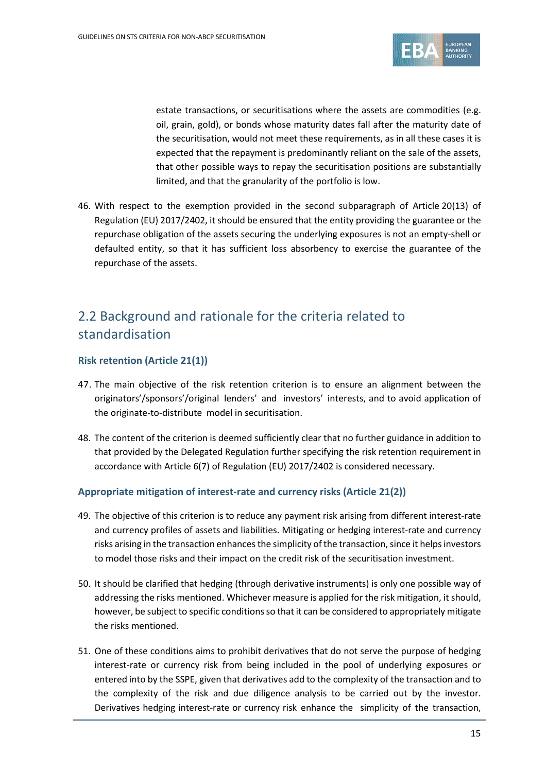

estate transactions, or securitisations where the assets are commodities (e.g. oil, grain, gold), or bonds whose maturity dates fall after the maturity date of the securitisation, would not meet these requirements, as in all these cases it is expected that the repayment is predominantly reliant on the sale of the assets, that other possible ways to repay the securitisation positions are substantially limited, and that the granularity of the portfolio is low.

46. With respect to the exemption provided in the second subparagraph of Article 20(13) of Regulation (EU) 2017/2402, it should be ensured that the entity providing the guarantee or the repurchase obligation of the assets securing the underlying exposures is not an empty-shell or defaulted entity, so that it has sufficient loss absorbency to exercise the guarantee of the repurchase of the assets.

## 2.2 Background and rationale for the criteria related to standardisation

### **Risk retention (Article 21(1))**

- 47. The main objective of the risk retention criterion is to ensure an alignment between the originators'/sponsors'/original lenders' and investors' interests, and to avoid application of the originate-to-distribute model in securitisation.
- 48. The content of the criterion is deemed sufficiently clear that no further guidance in addition to that provided by the Delegated Regulation further specifying the risk retention requirement in accordance with Article 6(7) of Regulation (EU) 2017/2402 is considered necessary.

#### **Appropriate mitigation of interest-rate and currency risks (Article 21(2))**

- 49. The objective of this criterion is to reduce any payment risk arising from different interest-rate and currency profiles of assets and liabilities. Mitigating or hedging interest-rate and currency risks arising in the transaction enhances the simplicity of the transaction, since it helps investors to model those risks and their impact on the credit risk of the securitisation investment.
- 50. It should be clarified that hedging (through derivative instruments) is only one possible way of addressing the risks mentioned. Whichever measure is applied for the risk mitigation, it should, however, be subject to specific conditions so that it can be considered to appropriately mitigate the risks mentioned.
- 51. One of these conditions aims to prohibit derivatives that do not serve the purpose of hedging interest-rate or currency risk from being included in the pool of underlying exposures or entered into by the SSPE, given that derivatives add to the complexity of the transaction and to the complexity of the risk and due diligence analysis to be carried out by the investor. Derivatives hedging interest-rate or currency risk enhance the simplicity of the transaction,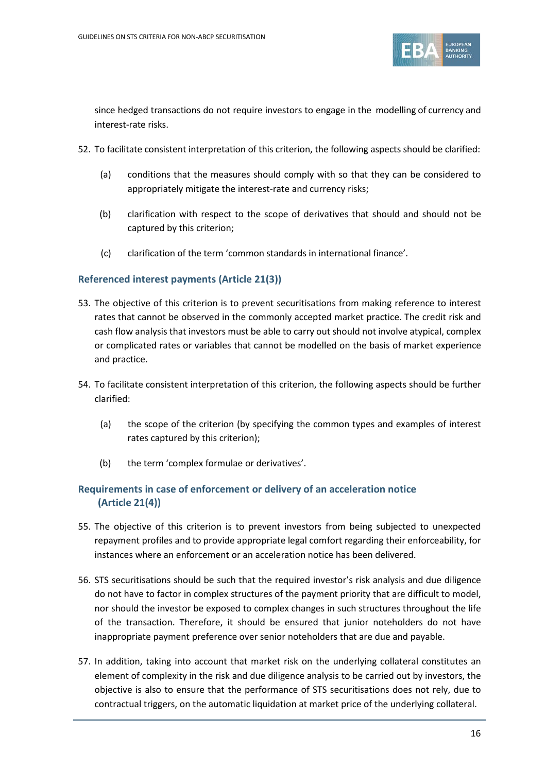

since hedged transactions do not require investors to engage in the modelling of currency and interest-rate risks.

- 52. To facilitate consistent interpretation of this criterion, the following aspects should be clarified:
	- (a) conditions that the measures should comply with so that they can be considered to appropriately mitigate the interest-rate and currency risks;
	- (b) clarification with respect to the scope of derivatives that should and should not be captured by this criterion;
	- (c) clarification of the term 'common standards in international finance'.

## **Referenced interest payments (Article 21(3))**

- 53. The objective of this criterion is to prevent securitisations from making reference to interest rates that cannot be observed in the commonly accepted market practice. The credit risk and cash flow analysis that investors must be able to carry out should not involve atypical, complex or complicated rates or variables that cannot be modelled on the basis of market experience and practice.
- 54. To facilitate consistent interpretation of this criterion, the following aspects should be further clarified:
	- (a) the scope of the criterion (by specifying the common types and examples of interest rates captured by this criterion);
	- (b) the term 'complex formulae or derivatives'.

## **Requirements in case of enforcement or delivery of an acceleration notice (Article 21(4))**

- 55. The objective of this criterion is to prevent investors from being subjected to unexpected repayment profiles and to provide appropriate legal comfort regarding their enforceability, for instances where an enforcement or an acceleration notice has been delivered.
- 56. STS securitisations should be such that the required investor's risk analysis and due diligence do not have to factor in complex structures of the payment priority that are difficult to model, nor should the investor be exposed to complex changes in such structures throughout the life of the transaction. Therefore, it should be ensured that junior noteholders do not have inappropriate payment preference over senior noteholders that are due and payable.
- 57. In addition, taking into account that market risk on the underlying collateral constitutes an element of complexity in the risk and due diligence analysis to be carried out by investors, the objective is also to ensure that the performance of STS securitisations does not rely, due to contractual triggers, on the automatic liquidation at market price of the underlying collateral.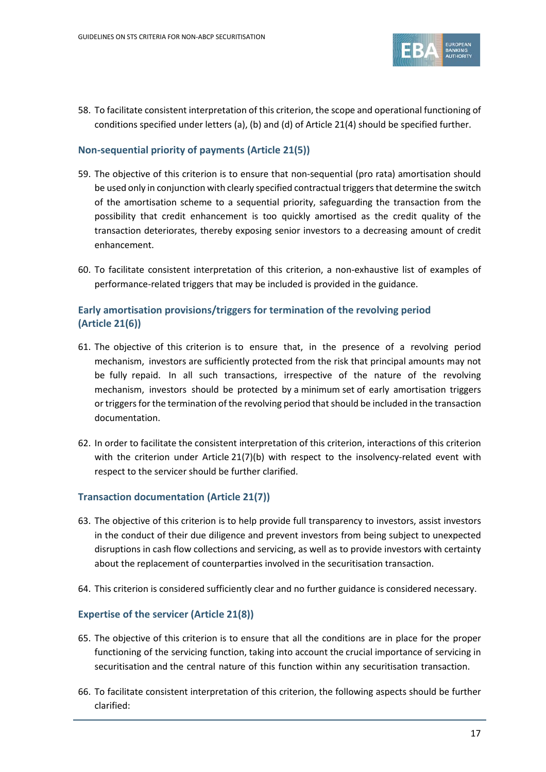

58. To facilitate consistent interpretation of this criterion, the scope and operational functioning of conditions specified under letters (a), (b) and (d) of Article 21(4) should be specified further.

## **Non-sequential priority of payments (Article 21(5))**

- 59. The objective of this criterion is to ensure that non-sequential (pro rata) amortisation should be used only in conjunction with clearly specified contractual triggers that determine the switch of the amortisation scheme to a sequential priority, safeguarding the transaction from the possibility that credit enhancement is too quickly amortised as the credit quality of the transaction deteriorates, thereby exposing senior investors to a decreasing amount of credit enhancement.
- 60. To facilitate consistent interpretation of this criterion, a non-exhaustive list of examples of performance-related triggers that may be included is provided in the guidance.

## **Early amortisation provisions/triggers for termination of the revolving period (Article 21(6))**

- 61. The objective of this criterion is to ensure that, in the presence of a revolving period mechanism, investors are sufficiently protected from the risk that principal amounts may not be fully repaid. In all such transactions, irrespective of the nature of the revolving mechanism, investors should be protected by a minimum set of early amortisation triggers or triggers for the termination of the revolving period that should be included in the transaction documentation.
- 62. In order to facilitate the consistent interpretation of this criterion, interactions of this criterion with the criterion under Article 21(7)(b) with respect to the insolvency-related event with respect to the servicer should be further clarified.

## **Transaction documentation (Article 21(7))**

- 63. The objective of this criterion is to help provide full transparency to investors, assist investors in the conduct of their due diligence and prevent investors from being subject to unexpected disruptions in cash flow collections and servicing, as well as to provide investors with certainty about the replacement of counterparties involved in the securitisation transaction.
- 64. This criterion is considered sufficiently clear and no further guidance is considered necessary.

## **Expertise of the servicer (Article 21(8))**

- 65. The objective of this criterion is to ensure that all the conditions are in place for the proper functioning of the servicing function, taking into account the crucial importance of servicing in securitisation and the central nature of this function within any securitisation transaction.
- 66. To facilitate consistent interpretation of this criterion, the following aspects should be further clarified: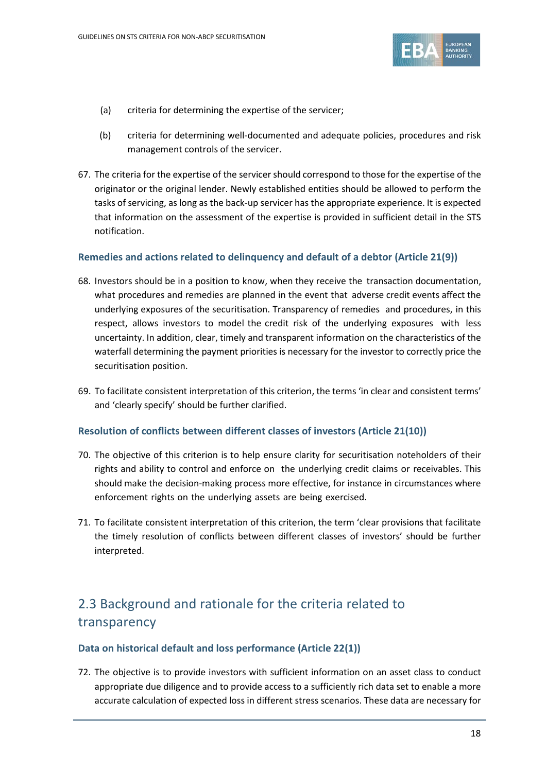

- (a) criteria for determining the expertise of the servicer;
- (b) criteria for determining well-documented and adequate policies, procedures and risk management controls of the servicer.
- 67. The criteria for the expertise of the servicer should correspond to those for the expertise of the originator or the original lender. Newly established entities should be allowed to perform the tasks of servicing, as long as the back-up servicer has the appropriate experience. It is expected that information on the assessment of the expertise is provided in sufficient detail in the STS notification.

## **Remedies and actions related to delinquency and default of a debtor (Article 21(9))**

- 68. Investors should be in a position to know, when they receive the transaction documentation, what procedures and remedies are planned in the event that adverse credit events affect the underlying exposures of the securitisation. Transparency of remedies and procedures, in this respect, allows investors to model the credit risk of the underlying exposures with less uncertainty. In addition, clear, timely and transparent information on the characteristics of the waterfall determining the payment priorities is necessary for the investor to correctly price the securitisation position.
- 69. To facilitate consistent interpretation of this criterion, the terms 'in clear and consistent terms' and 'clearly specify' should be further clarified.

## **Resolution of conflicts between different classes of investors (Article 21(10))**

- 70. The objective of this criterion is to help ensure clarity for securitisation noteholders of their rights and ability to control and enforce on the underlying credit claims or receivables. This should make the decision-making process more effective, for instance in circumstances where enforcement rights on the underlying assets are being exercised.
- 71. To facilitate consistent interpretation of this criterion, the term 'clear provisions that facilitate the timely resolution of conflicts between different classes of investors' should be further interpreted.

## 2.3 Background and rationale for the criteria related to transparency

#### **Data on historical default and loss performance (Article 22(1))**

72. The objective is to provide investors with sufficient information on an asset class to conduct appropriate due diligence and to provide access to a sufficiently rich data set to enable a more accurate calculation of expected loss in different stress scenarios. These data are necessary for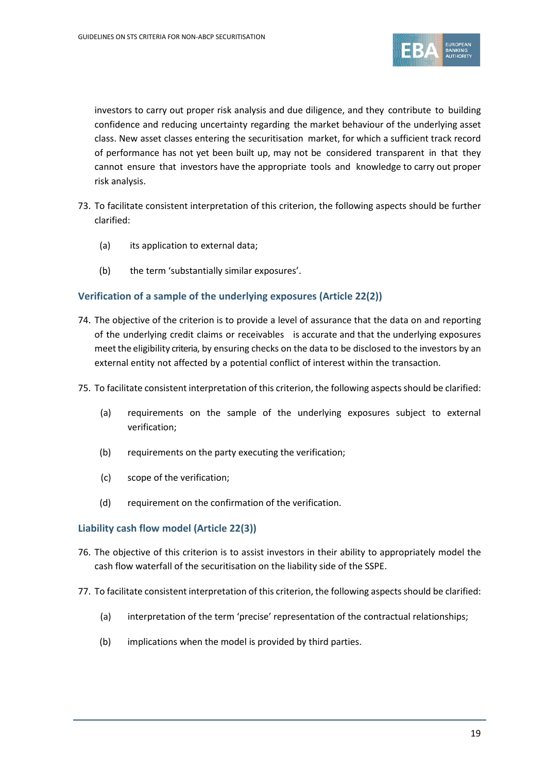

investors to carry out proper risk analysis and due diligence, and they contribute to building confidence and reducing uncertainty regarding the market behaviour of the underlying asset class. New asset classes entering the securitisation market, for which a sufficient track record of performance has not yet been built up, may not be considered transparent in that they cannot ensure that investors have the appropriate tools and knowledge to carry out proper risk analysis.

- 73. To facilitate consistent interpretation of this criterion, the following aspects should be further clarified:
	- (a) its application to external data;
	- (b) the term 'substantially similar exposures'.

## **Verification of a sample of the underlying exposures (Article 22(2))**

- 74. The objective of the criterion is to provide a level of assurance that the data on and reporting of the underlying credit claims or receivables is accurate and that the underlying exposures meetthe eligibility criteria, by ensuring checks on the data to be disclosed to the investors by an external entity not affected by a potential conflict of interest within the transaction.
- 75. To facilitate consistent interpretation of this criterion, the following aspects should be clarified:
	- (a) requirements on the sample of the underlying exposures subject to external verification;
	- (b) requirements on the party executing the verification;
	- (c) scope of the verification;
	- (d) requirement on the confirmation of the verification.

#### **Liability cash flow model (Article 22(3))**

- 76. The objective of this criterion is to assist investors in their ability to appropriately model the cash flow waterfall of the securitisation on the liability side of the SSPE.
- 77. To facilitate consistent interpretation of this criterion, the following aspects should be clarified:
	- (a) interpretation of the term 'precise' representation of the contractual relationships;
	- (b) implications when the model is provided by third parties.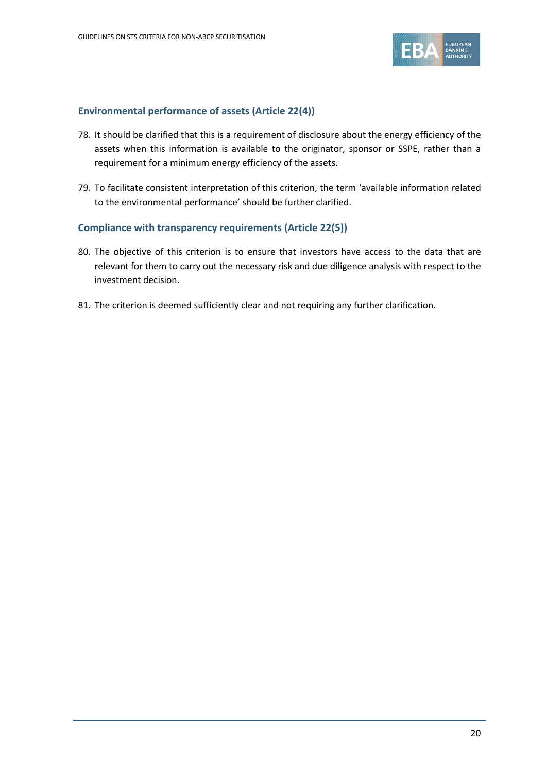

## **Environmental performance of assets (Article 22(4))**

- 78. It should be clarified that this is a requirement of disclosure about the energy efficiency of the assets when this information is available to the originator, sponsor or SSPE, rather than a requirement for a minimum energy efficiency of the assets.
- 79. To facilitate consistent interpretation of this criterion, the term 'available information related to the environmental performance' should be further clarified.

### **Compliance with transparency requirements (Article 22(5))**

- 80. The objective of this criterion is to ensure that investors have access to the data that are relevant for them to carry out the necessary risk and due diligence analysis with respect to the investment decision.
- 81. The criterion is deemed sufficiently clear and not requiring any further clarification.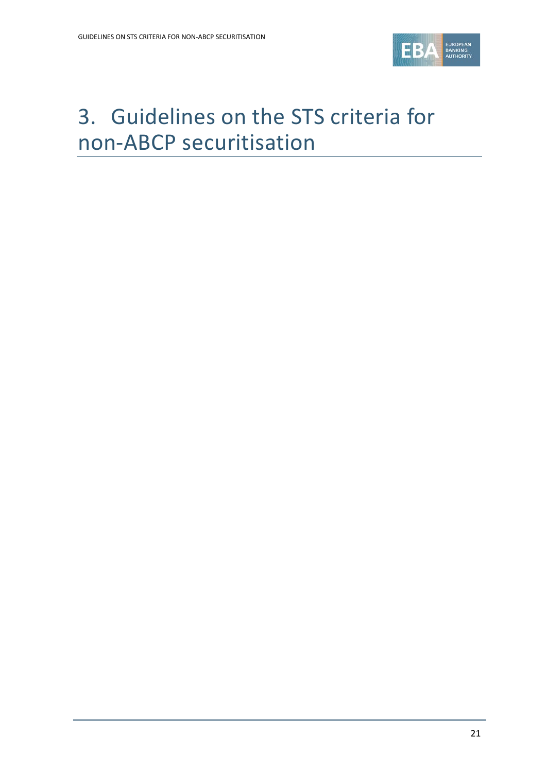

# <span id="page-20-0"></span>3. Guidelines on the STS criteria for non-ABCP securitisation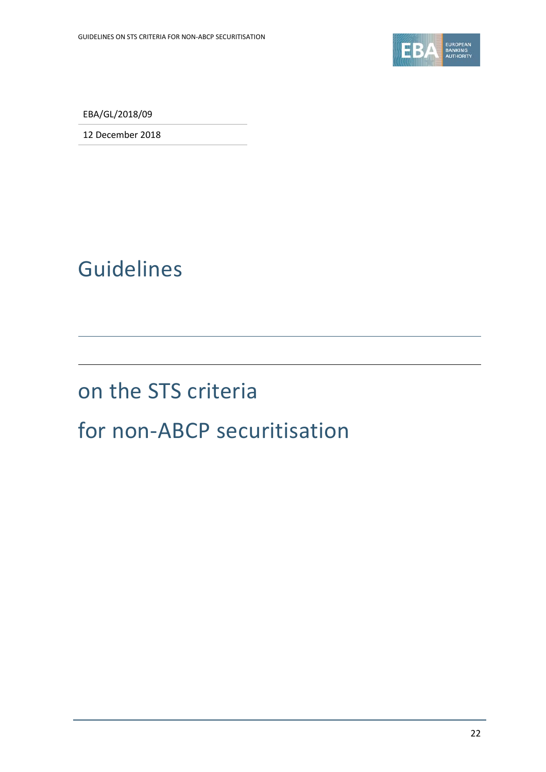

EBA/GL/2018/09

12 December 2018

# Guidelines

## on the STS criteria

## for non-ABCP securitisation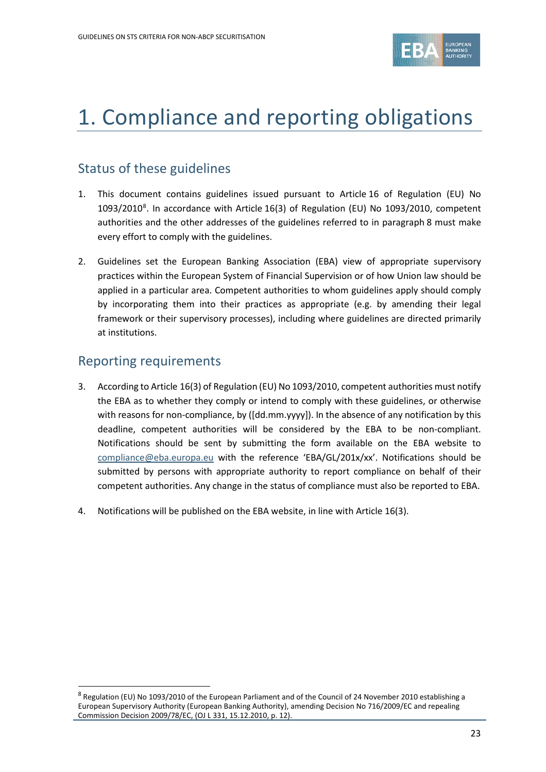

## <span id="page-22-0"></span>1. Compliance and reporting obligations

## Status of these guidelines

- 1. This document contains guidelines issued pursuant to Article 16 of Regulation (EU) No 1093/2010<sup>[8](#page-22-1)</sup>. In accordance with Article 16(3) of Regulation (EU) No 1093/2010, competent authorities and the other addresses of the guidelines referred to in paragraph 8 must make every effort to comply with the guidelines.
- 2. Guidelines set the European Banking Association (EBA) view of appropriate supervisory practices within the European System of Financial Supervision or of how Union law should be applied in a particular area. Competent authorities to whom guidelines apply should comply by incorporating them into their practices as appropriate (e.g. by amending their legal framework or their supervisory processes), including where guidelines are directed primarily at institutions.

## Reporting requirements

- 3. According to Article 16(3) of Regulation (EU) No 1093/2010, competent authorities must notify the EBA as to whether they comply or intend to comply with these guidelines, or otherwise with reasons for non-compliance, by ([dd.mm.yyyy]). In the absence of any notification by this deadline, competent authorities will be considered by the EBA to be non-compliant. Notifications should be sent by submitting the form available on the EBA website to [compliance@eba.europa.eu](mailto:compliance@eba.europa.eu) with the reference 'EBA/GL/201x/xx'. Notifications should be submitted by persons with appropriate authority to report compliance on behalf of their competent authorities. Any change in the status of compliance must also be reported to EBA.
- 4. Notifications will be published on the EBA website, in line with Article 16(3).

<span id="page-22-1"></span><sup>8</sup> Regulation (EU) No 1093/2010 of the European Parliament and of the Council of 24 November 2010 establishing a European Supervisory Authority (European Banking Authority), amending Decision No 716/2009/EC and repealing Commission Decision 2009/78/EC, (OJ L 331, 15.12.2010, p. 12).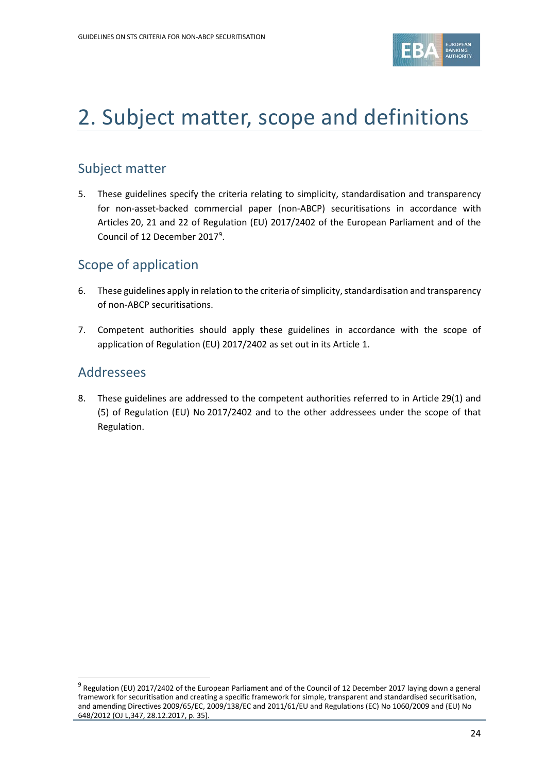

## <span id="page-23-0"></span>2. Subject matter, scope and definitions

## Subject matter

5. These guidelines specify the criteria relating to simplicity, standardisation and transparency for non-asset-backed commercial paper (non-ABCP) securitisations in accordance with Articles 20, 21 and 22 of Regulation (EU) 2017/2402 of the European Parliament and of the Council of 12 December 2017<sup>[9](#page-23-1)</sup>.

## Scope of application

- 6. These guidelines apply in relation to the criteria of simplicity, standardisation and transparency of non-ABCP securitisations.
- 7. Competent authorities should apply these guidelines in accordance with the scope of application of Regulation (EU) 2017/2402 as set out in its Article 1.

## Addressees

 $\overline{a}$ 

8. These guidelines are addressed to the competent authorities referred to in Article 29(1) and (5) of Regulation (EU) No 2017/2402 and to the other addressees under the scope of that Regulation.

<span id="page-23-1"></span><sup>&</sup>lt;sup>9</sup> Regulation (EU) 2017/2402 of the European Parliament and of the Council of 12 December 2017 laying down a general framework for securitisation and creating a specific framework for simple, transparent and standardised securitisation, and amending Directives 2009/65/EC, 2009/138/EC and 2011/61/EU and Regulations (EC) No 1060/2009 and (EU) No 648/2012 (OJ L,347, 28.12.2017, p. 35).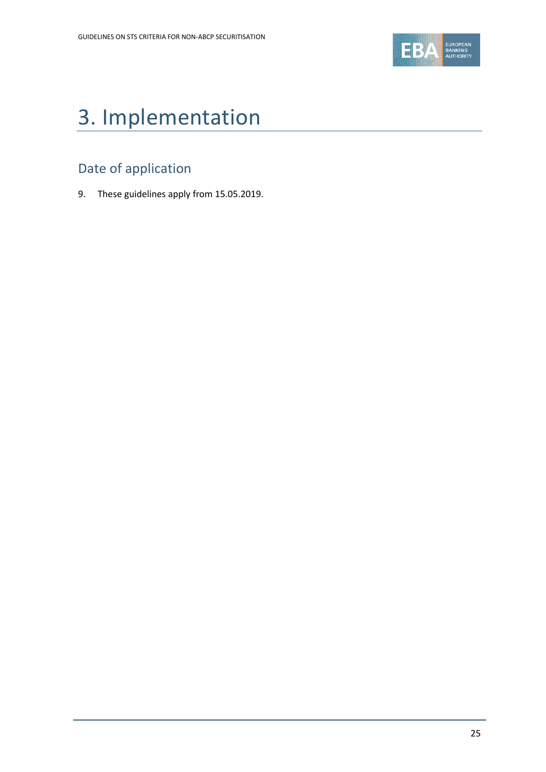

# <span id="page-24-0"></span>3. Implementation

## Date of application

9. These guidelines apply from 15.05.2019.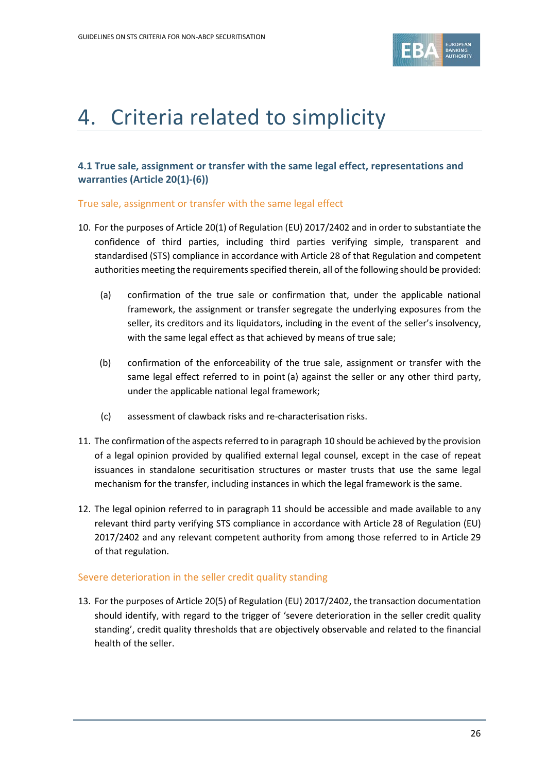

## <span id="page-25-0"></span>4. Criteria related to simplicity

## **4.1 True sale, assignment or transfer with the same legal effect, representations and warranties (Article 20(1)-(6))**

## True sale, assignment or transfer with the same legal effect

- 10. For the purposes of Article 20(1) of Regulation (EU) 2017/2402 and in order to substantiate the confidence of third parties, including third parties verifying simple, transparent and standardised (STS) compliance in accordance with Article 28 of that Regulation and competent authorities meeting the requirements specified therein, all of the following should be provided:
	- (a) confirmation of the true sale or confirmation that, under the applicable national framework, the assignment or transfer segregate the underlying exposures from the seller, its creditors and its liquidators, including in the event of the seller's insolvency, with the same legal effect as that achieved by means of true sale;
	- (b) confirmation of the enforceability of the true sale, assignment or transfer with the same legal effect referred to in point (a) against the seller or any other third party, under the applicable national legal framework;
	- (c) assessment of clawback risks and re-characterisation risks.
- 11. The confirmation of the aspects referred to in paragraph 10 should be achieved by the provision of a legal opinion provided by qualified external legal counsel, except in the case of repeat issuances in standalone securitisation structures or master trusts that use the same legal mechanism for the transfer, including instances in which the legal framework is the same.
- 12. The legal opinion referred to in paragraph 11 should be accessible and made available to any relevant third party verifying STS compliance in accordance with Article 28 of Regulation (EU) 2017/2402 and any relevant competent authority from among those referred to in Article 29 of that regulation.

## Severe deterioration in the seller credit quality standing

13. For the purposes of Article 20(5) of Regulation (EU) 2017/2402, the transaction documentation should identify, with regard to the trigger of 'severe deterioration in the seller credit quality standing', credit quality thresholds that are objectively observable and related to the financial health of the seller.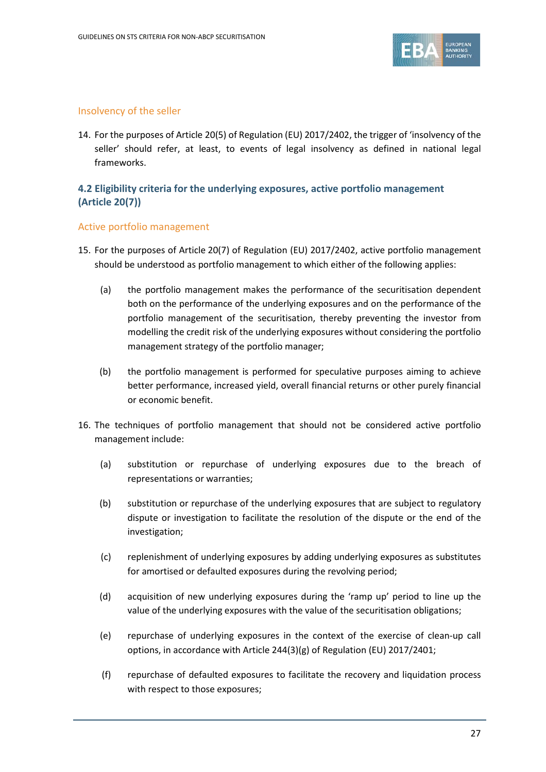

## Insolvency of the seller

14. For the purposes of Article 20(5) of Regulation (EU) 2017/2402, the trigger of 'insolvency of the seller' should refer, at least, to events of legal insolvency as defined in national legal frameworks.

## **4.2 Eligibility criteria for the underlying exposures, active portfolio management (Article 20(7))**

### Active portfolio management

- 15. For the purposes of Article 20(7) of Regulation (EU) 2017/2402, active portfolio management should be understood as portfolio management to which either of the following applies:
	- (a) the portfolio management makes the performance of the securitisation dependent both on the performance of the underlying exposures and on the performance of the portfolio management of the securitisation, thereby preventing the investor from modelling the credit risk of the underlying exposures without considering the portfolio management strategy of the portfolio manager;
	- (b) the portfolio management is performed for speculative purposes aiming to achieve better performance, increased yield, overall financial returns or other purely financial or economic benefit.
- 16. The techniques of portfolio management that should not be considered active portfolio management include:
	- (a) substitution or repurchase of underlying exposures due to the breach of representations or warranties;
	- (b) substitution or repurchase of the underlying exposures that are subject to regulatory dispute or investigation to facilitate the resolution of the dispute or the end of the investigation;
	- (c) replenishment of underlying exposures by adding underlying exposures as substitutes for amortised or defaulted exposures during the revolving period;
	- (d) acquisition of new underlying exposures during the 'ramp up' period to line up the value of the underlying exposures with the value of the securitisation obligations;
	- (e) repurchase of underlying exposures in the context of the exercise of clean-up call options, in accordance with Article 244(3)(g) of Regulation (EU) 2017/2401;
	- (f) repurchase of defaulted exposures to facilitate the recovery and liquidation process with respect to those exposures;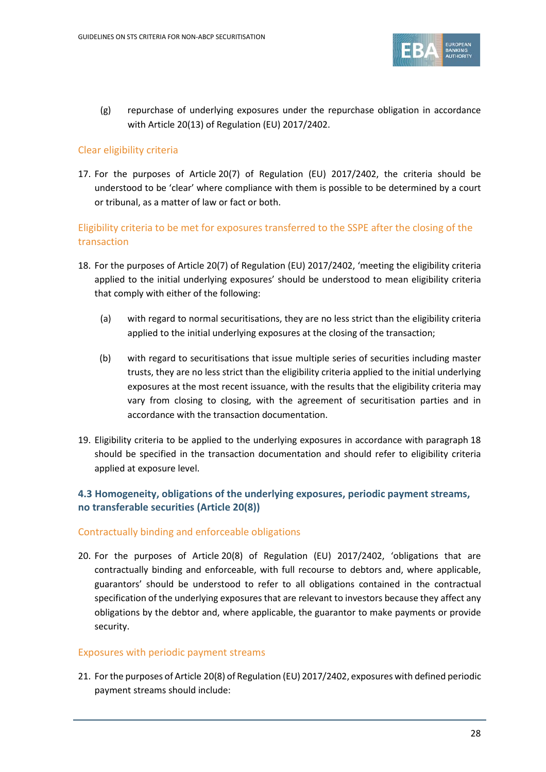

(g) repurchase of underlying exposures under the repurchase obligation in accordance with Article 20(13) of Regulation (EU) 2017/2402.

## Clear eligibility criteria

17. For the purposes of Article 20(7) of Regulation (EU) 2017/2402, the criteria should be understood to be 'clear' where compliance with them is possible to be determined by a court or tribunal, as a matter of law or fact or both.

## Eligibility criteria to be met for exposures transferred to the SSPE after the closing of the transaction

- 18. For the purposes of Article 20(7) of Regulation (EU) 2017/2402, 'meeting the eligibility criteria applied to the initial underlying exposures' should be understood to mean eligibility criteria that comply with either of the following:
	- (a) with regard to normal securitisations, they are no less strict than the eligibility criteria applied to the initial underlying exposures at the closing of the transaction;
	- (b) with regard to securitisations that issue multiple series of securities including master trusts, they are no less strict than the eligibility criteria applied to the initial underlying exposures at the most recent issuance, with the results that the eligibility criteria may vary from closing to closing, with the agreement of securitisation parties and in accordance with the transaction documentation.
- 19. Eligibility criteria to be applied to the underlying exposures in accordance with paragraph 18 should be specified in the transaction documentation and should refer to eligibility criteria applied at exposure level.

## **4.3 Homogeneity, obligations of the underlying exposures, periodic payment streams, no transferable securities (Article 20(8))**

## Contractually binding and enforceable obligations

20. For the purposes of Article 20(8) of Regulation (EU) 2017/2402, 'obligations that are contractually binding and enforceable, with full recourse to debtors and, where applicable, guarantors' should be understood to refer to all obligations contained in the contractual specification of the underlying exposures that are relevant to investors because they affect any obligations by the debtor and, where applicable, the guarantor to make payments or provide security.

## Exposures with periodic payment streams

21. For the purposes of Article 20(8) of Regulation (EU) 2017/2402, exposures with defined periodic payment streams should include: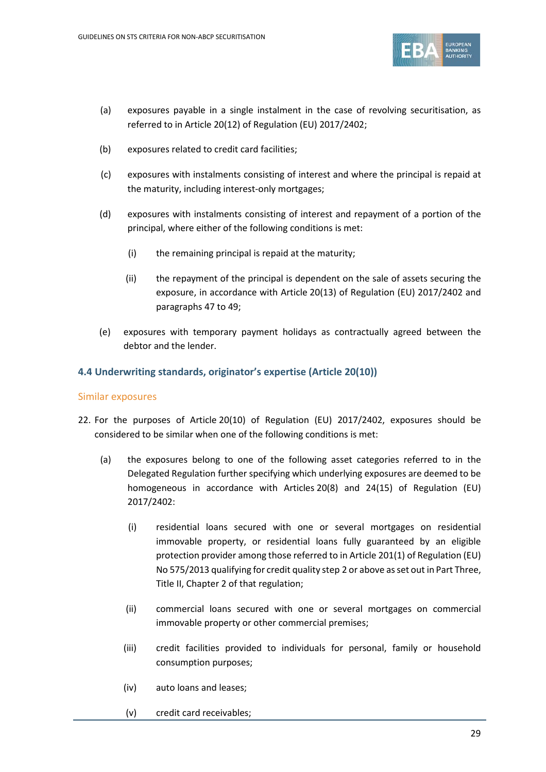

- (a) exposures payable in a single instalment in the case of revolving securitisation, as referred to in Article 20(12) of Regulation (EU) 2017/2402;
- (b) exposures related to credit card facilities;
- (c) exposures with instalments consisting of interest and where the principal is repaid at the maturity, including interest-only mortgages;
- (d) exposures with instalments consisting of interest and repayment of a portion of the principal, where either of the following conditions is met:
	- (i) the remaining principal is repaid at the maturity;
	- (ii) the repayment of the principal is dependent on the sale of assets securing the exposure, in accordance with Article 20(13) of Regulation (EU) 2017/2402 and paragraphs [47](#page-35-0) t[o 49;](#page-36-0)
- (e) exposures with temporary payment holidays as contractually agreed between the debtor and the lender.

### **4.4 Underwriting standards, originator's expertise (Article 20(10))**

#### Similar exposures

- 22. For the purposes of Article 20(10) of Regulation (EU) 2017/2402, exposures should be considered to be similar when one of the following conditions is met:
	- (a) the exposures belong to one of the following asset categories referred to in the Delegated Regulation further specifying which underlying exposures are deemed to be homogeneous in accordance with Articles 20(8) and 24(15) of Regulation (EU) 2017/2402:
		- (i) residential loans secured with one or several mortgages on residential immovable property, or residential loans fully guaranteed by an eligible protection provider among those referred to in Article 201(1) of Regulation (EU) No 575/2013 qualifying for credit quality step 2 or above as set out in Part Three, Title II, Chapter 2 of that regulation;
		- (ii) commercial loans secured with one or several mortgages on commercial immovable property or other commercial premises;
		- (iii) credit facilities provided to individuals for personal, family or household consumption purposes;
		- (iv) auto loans and leases;
		- (v) credit card receivables;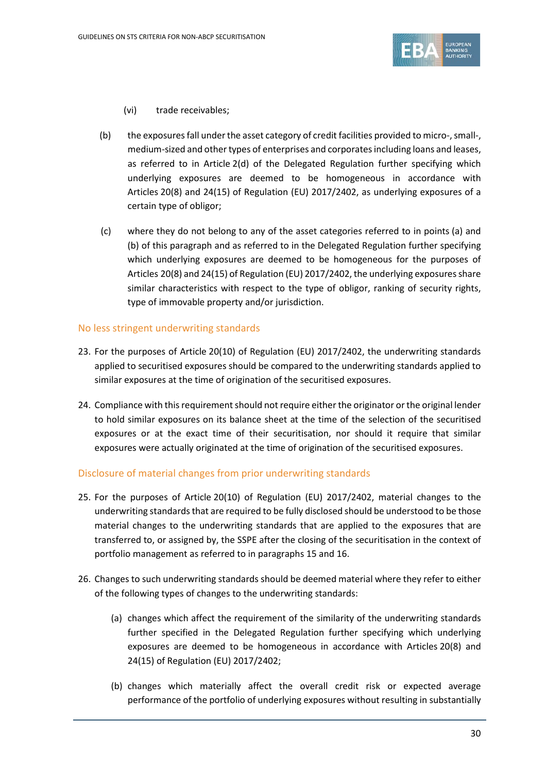

- (vi) trade receivables;
- (b) the exposures fall underthe asset category of credit facilities provided to micro-, small-, medium-sized and other types of enterprises and corporates including loans and leases, as referred to in Article 2(d) of the Delegated Regulation further specifying which underlying exposures are deemed to be homogeneous in accordance with Articles 20(8) and 24(15) of Regulation (EU) 2017/2402, as underlying exposures of a certain type of obligor;
- (c) where they do not belong to any of the asset categories referred to in points (a) and (b) of this paragraph and as referred to in the Delegated Regulation further specifying which underlying exposures are deemed to be homogeneous for the purposes of Articles 20(8) and 24(15) of Regulation (EU) 2017/2402, the underlying exposures share similar characteristics with respect to the type of obligor, ranking of security rights, type of immovable property and/or jurisdiction.

### No less stringent underwriting standards

- 23. For the purposes of Article 20(10) of Regulation (EU) 2017/2402, the underwriting standards applied to securitised exposures should be compared to the underwriting standards applied to similar exposures at the time of origination of the securitised exposures.
- 24. Compliance with this requirement should not require either the originator or the original lender to hold similar exposures on its balance sheet at the time of the selection of the securitised exposures or at the exact time of their securitisation, nor should it require that similar exposures were actually originated at the time of origination of the securitised exposures.

#### Disclosure of material changes from prior underwriting standards

- 25. For the purposes of Article 20(10) of Regulation (EU) 2017/2402, material changes to the underwriting standards that are required to be fully disclosed should be understood to be those material changes to the underwriting standards that are applied to the exposures that are transferred to, or assigned by, the SSPE after the closing of the securitisation in the context of portfolio management as referred to in paragraphs 15 and 16.
- 26. Changes to such underwriting standards should be deemed material where they refer to either of the following types of changes to the underwriting standards:
	- (a) changes which affect the requirement of the similarity of the underwriting standards further specified in the Delegated Regulation further specifying which underlying exposures are deemed to be homogeneous in accordance with Articles 20(8) and 24(15) of Regulation (EU) 2017/2402;
	- (b) changes which materially affect the overall credit risk or expected average performance of the portfolio of underlying exposures without resulting in substantially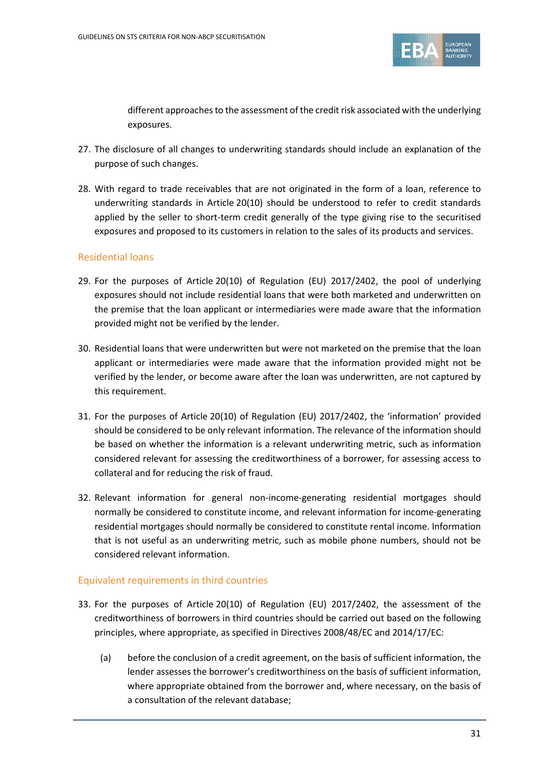

different approaches to the assessment of the credit risk associated with the underlying exposures.

- 27. The disclosure of all changes to underwriting standards should include an explanation of the purpose of such changes.
- 28. With regard to trade receivables that are not originated in the form of a loan, reference to underwriting standards in Article 20(10) should be understood to refer to credit standards applied by the seller to short-term credit generally of the type giving rise to the securitised exposures and proposed to its customers in relation to the sales of its products and services.

## Residential loans

- 29. For the purposes of Article 20(10) of Regulation (EU) 2017/2402, the pool of underlying exposures should not include residential loans that were both marketed and underwritten on the premise that the loan applicant or intermediaries were made aware that the information provided might not be verified by the lender.
- 30. Residential loans that were underwritten but were not marketed on the premise that the loan applicant or intermediaries were made aware that the information provided might not be verified by the lender, or become aware after the loan was underwritten, are not captured by this requirement.
- 31. For the purposes of Article 20(10) of Regulation (EU) 2017/2402, the 'information' provided should be considered to be only relevant information. The relevance of the information should be based on whether the information is a relevant underwriting metric, such as information considered relevant for assessing the creditworthiness of a borrower, for assessing access to collateral and for reducing the risk of fraud.
- 32. Relevant information for general non-income-generating residential mortgages should normally be considered to constitute income, and relevant information for income-generating residential mortgages should normally be considered to constitute rental income. Information that is not useful as an underwriting metric, such as mobile phone numbers, should not be considered relevant information.

## Equivalent requirements in third countries

- 33. For the purposes of Article 20(10) of Regulation (EU) 2017/2402, the assessment of the creditworthiness of borrowers in third countries should be carried out based on the following principles, where appropriate, as specified in Directives 2008/48/EC and 2014/17/EC:
	- (a) before the conclusion of a credit agreement, on the basis of sufficient information, the lender assesses the borrower's creditworthiness on the basis of sufficient information, where appropriate obtained from the borrower and, where necessary, on the basis of a consultation of the relevant database;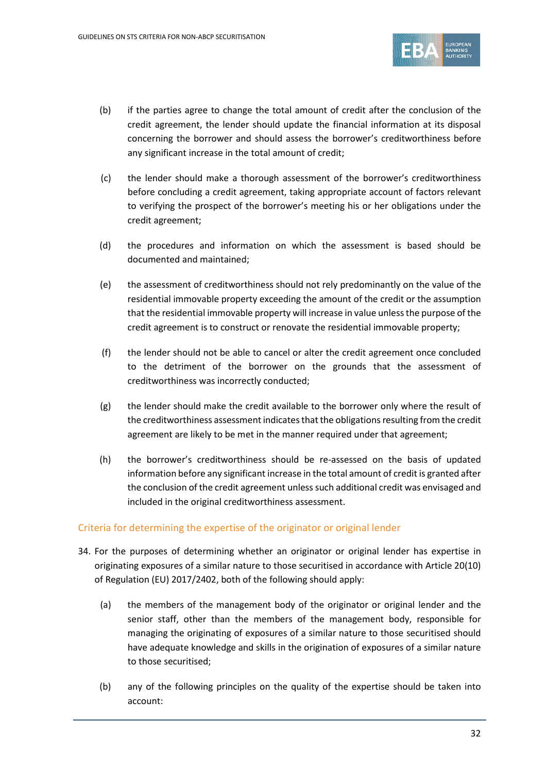

- (b) if the parties agree to change the total amount of credit after the conclusion of the credit agreement, the lender should update the financial information at its disposal concerning the borrower and should assess the borrower's creditworthiness before any significant increase in the total amount of credit;
- (c) the lender should make a thorough assessment of the borrower's creditworthiness before concluding a credit agreement, taking appropriate account of factors relevant to verifying the prospect of the borrower's meeting his or her obligations under the credit agreement;
- (d) the procedures and information on which the assessment is based should be documented and maintained;
- (e) the assessment of creditworthiness should not rely predominantly on the value of the residential immovable property exceeding the amount of the credit or the assumption that the residential immovable property will increase in value unless the purpose of the credit agreement is to construct or renovate the residential immovable property;
- (f) the lender should not be able to cancel or alter the credit agreement once concluded to the detriment of the borrower on the grounds that the assessment of creditworthiness was incorrectly conducted;
- (g) the lender should make the credit available to the borrower only where the result of the creditworthiness assessment indicates that the obligations resulting from the credit agreement are likely to be met in the manner required under that agreement;
- (h) the borrower's creditworthiness should be re-assessed on the basis of updated information before any significant increase in the total amount of credit is granted after the conclusion of the credit agreement unless such additional credit was envisaged and included in the original creditworthiness assessment.

## Criteria for determining the expertise of the originator or original lender

- 34. For the purposes of determining whether an originator or original lender has expertise in originating exposures of a similar nature to those securitised in accordance with Article 20(10) of Regulation (EU) 2017/2402, both of the following should apply:
	- (a) the members of the management body of the originator or original lender and the senior staff, other than the members of the management body, responsible for managing the originating of exposures of a similar nature to those securitised should have adequate knowledge and skills in the origination of exposures of a similar nature to those securitised;
	- (b) any of the following principles on the quality of the expertise should be taken into account: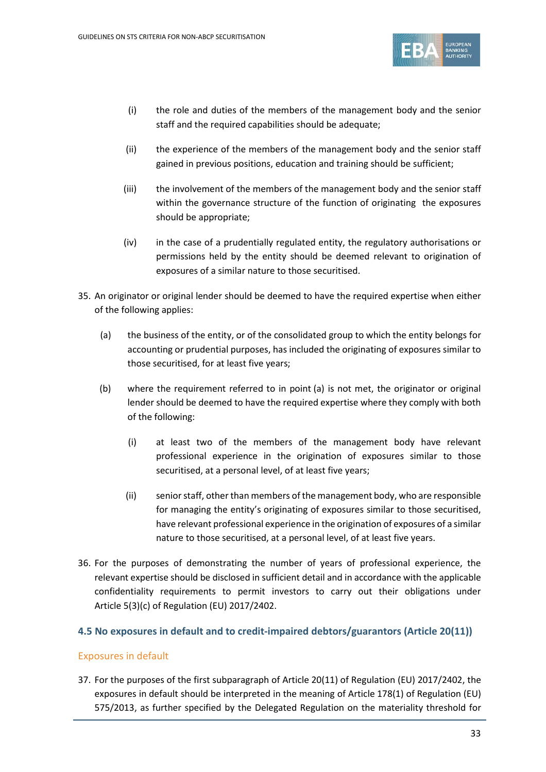

- (i) the role and duties of the members of the management body and the senior staff and the required capabilities should be adequate;
- (ii) the experience of the members of the management body and the senior staff gained in previous positions, education and training should be sufficient;
- (iii) the involvement of the members of the management body and the senior staff within the governance structure of the function of originating the exposures should be appropriate;
- (iv) in the case of a prudentially regulated entity, the regulatory authorisations or permissions held by the entity should be deemed relevant to origination of exposures of a similar nature to those securitised.
- 35. An originator or original lender should be deemed to have the required expertise when either of the following applies:
	- (a) the business of the entity, or of the consolidated group to which the entity belongs for accounting or prudential purposes, has included the originating of exposures similar to those securitised, for at least five years;
	- (b) where the requirement referred to in point (a) is not met, the originator or original lender should be deemed to have the required expertise where they comply with both of the following:
		- (i) at least two of the members of the management body have relevant professional experience in the origination of exposures similar to those securitised, at a personal level, of at least five years;
		- (ii) senior staff, other than members of the management body, who are responsible for managing the entity's originating of exposures similar to those securitised, have relevant professional experience in the origination of exposures of a similar nature to those securitised, at a personal level, of at least five years.
- 36. For the purposes of demonstrating the number of years of professional experience, the relevant expertise should be disclosed in sufficient detail and in accordance with the applicable confidentiality requirements to permit investors to carry out their obligations under Article 5(3)(c) of Regulation (EU) 2017/2402.

## **4.5 No exposures in default and to credit-impaired debtors/guarantors (Article 20(11))**

## Exposures in default

37. For the purposes of the first subparagraph of Article 20(11) of Regulation (EU) 2017/2402, the exposures in default should be interpreted in the meaning of Article 178(1) of Regulation (EU) 575/2013, as further specified by the Delegated Regulation on the materiality threshold for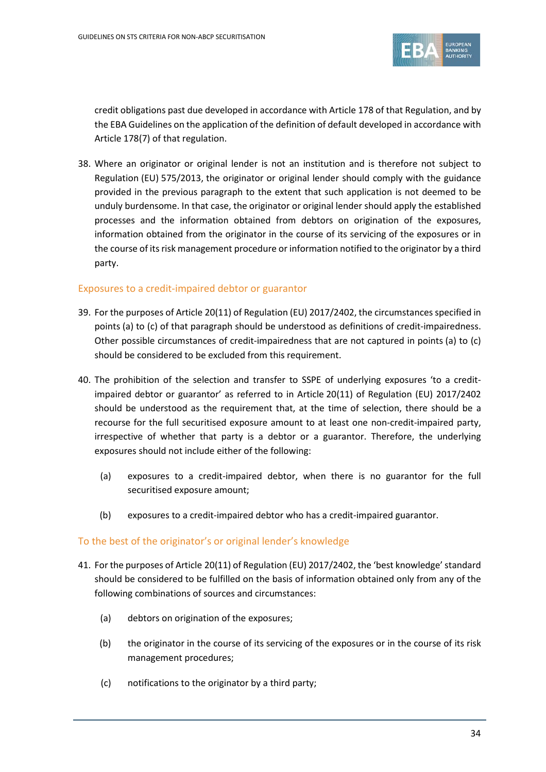

credit obligations past due developed in accordance with Article 178 of that Regulation, and by the EBA Guidelines on the application of the definition of default developed in accordance with Article 178(7) of that regulation.

38. Where an originator or original lender is not an institution and is therefore not subject to Regulation (EU) 575/2013, the originator or original lender should comply with the guidance provided in the previous paragraph to the extent that such application is not deemed to be unduly burdensome. In that case, the originator or original lender should apply the established processes and the information obtained from debtors on origination of the exposures, information obtained from the originator in the course of its servicing of the exposures or in the course of its risk management procedure or information notified to the originator by a third party.

### Exposures to a credit-impaired debtor or guarantor

- 39. For the purposes of Article 20(11) of Regulation (EU) 2017/2402, the circumstances specified in points (a) to (c) of that paragraph should be understood as definitions of credit-impairedness. Other possible circumstances of credit-impairedness that are not captured in points (a) to (c) should be considered to be excluded from this requirement.
- 40. The prohibition of the selection and transfer to SSPE of underlying exposures 'to a creditimpaired debtor or guarantor' as referred to in Article 20(11) of Regulation (EU) 2017/2402 should be understood as the requirement that, at the time of selection, there should be a recourse for the full securitised exposure amount to at least one non-credit-impaired party, irrespective of whether that party is a debtor or a guarantor. Therefore, the underlying exposures should not include either of the following:
	- (a) exposures to a credit-impaired debtor, when there is no guarantor for the full securitised exposure amount;
	- (b) exposures to a credit-impaired debtor who has a credit-impaired guarantor.

## To the best of the originator's or original lender's knowledge

- 41. For the purposes of Article 20(11) of Regulation (EU) 2017/2402, the 'best knowledge'standard should be considered to be fulfilled on the basis of information obtained only from any of the following combinations of sources and circumstances:
	- (a) debtors on origination of the exposures;
	- (b) the originator in the course of its servicing of the exposures or in the course of its risk management procedures;
	- (c) notifications to the originator by a third party;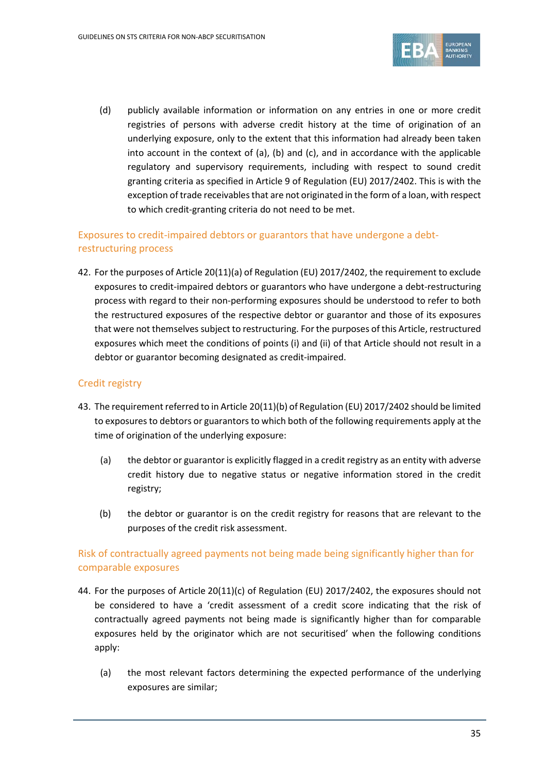

(d) publicly available information or information on any entries in one or more credit registries of persons with adverse credit history at the time of origination of an underlying exposure, only to the extent that this information had already been taken into account in the context of  $(a)$ ,  $(b)$  and  $(c)$ , and in accordance with the applicable regulatory and supervisory requirements, including with respect to sound credit granting criteria as specified in Article 9 of Regulation (EU) 2017/2402. This is with the exception of trade receivables that are not originated in the form of a loan, with respect to which credit-granting criteria do not need to be met.

## Exposures to credit-impaired debtors or guarantors that have undergone a debtrestructuring process

42. For the purposes of Article 20(11)(a) of Regulation (EU) 2017/2402, the requirement to exclude exposures to credit-impaired debtors or guarantors who have undergone a debt-restructuring process with regard to their non-performing exposures should be understood to refer to both the restructured exposures of the respective debtor or guarantor and those of its exposures that were not themselves subject to restructuring. For the purposes of this Article, restructured exposures which meet the conditions of points (i) and (ii) of that Article should not result in a debtor or guarantor becoming designated as credit-impaired.

## Credit registry

- 43. The requirement referred to in Article 20(11)(b) of Regulation (EU) 2017/2402 should be limited to exposures to debtors or guarantors to which both of the following requirements apply at the time of origination of the underlying exposure:
	- (a) the debtor or guarantor is explicitly flagged in a credit registry as an entity with adverse credit history due to negative status or negative information stored in the credit registry;
	- (b) the debtor or guarantor is on the credit registry for reasons that are relevant to the purposes of the credit risk assessment.

## Risk of contractually agreed payments not being made being significantly higher than for comparable exposures

- 44. For the purposes of Article 20(11)(c) of Regulation (EU) 2017/2402, the exposures should not be considered to have a 'credit assessment of a credit score indicating that the risk of contractually agreed payments not being made is significantly higher than for comparable exposures held by the originator which are not securitised' when the following conditions apply:
	- (a) the most relevant factors determining the expected performance of the underlying exposures are similar;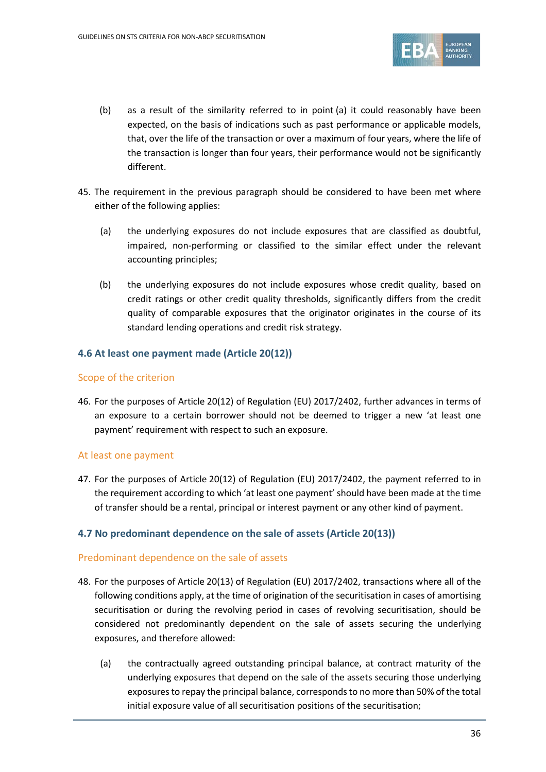

- (b) as a result of the similarity referred to in point (a) it could reasonably have been expected, on the basis of indications such as past performance or applicable models, that, over the life of the transaction or over a maximum of four years, where the life of the transaction is longer than four years, their performance would not be significantly different.
- 45. The requirement in the previous paragraph should be considered to have been met where either of the following applies:
	- (a) the underlying exposures do not include exposures that are classified as doubtful, impaired, non-performing or classified to the similar effect under the relevant accounting principles;
	- (b) the underlying exposures do not include exposures whose credit quality, based on credit ratings or other credit quality thresholds, significantly differs from the credit quality of comparable exposures that the originator originates in the course of its standard lending operations and credit risk strategy.

## **4.6 At least one payment made (Article 20(12))**

## Scope of the criterion

46. For the purposes of Article 20(12) of Regulation (EU) 2017/2402, further advances in terms of an exposure to a certain borrower should not be deemed to trigger a new 'at least one payment' requirement with respect to such an exposure.

## At least one payment

47. For the purposes of Article 20(12) of Regulation (EU) 2017/2402, the payment referred to in the requirement according to which 'at least one payment' should have been made at the time of transfer should be a rental, principal or interest payment or any other kind of payment.

## **4.7 No predominant dependence on the sale of assets (Article 20(13))**

## Predominant dependence on the sale of assets

- <span id="page-35-0"></span>48. For the purposes of Article 20(13) of Regulation (EU) 2017/2402, transactions where all of the following conditions apply, at the time of origination of the securitisation in cases of amortising securitisation or during the revolving period in cases of revolving securitisation, should be considered not predominantly dependent on the sale of assets securing the underlying exposures, and therefore allowed:
	- (a) the contractually agreed outstanding principal balance, at contract maturity of the underlying exposures that depend on the sale of the assets securing those underlying exposures to repay the principal balance, corresponds to no more than 50% of the total initial exposure value of all securitisation positions of the securitisation;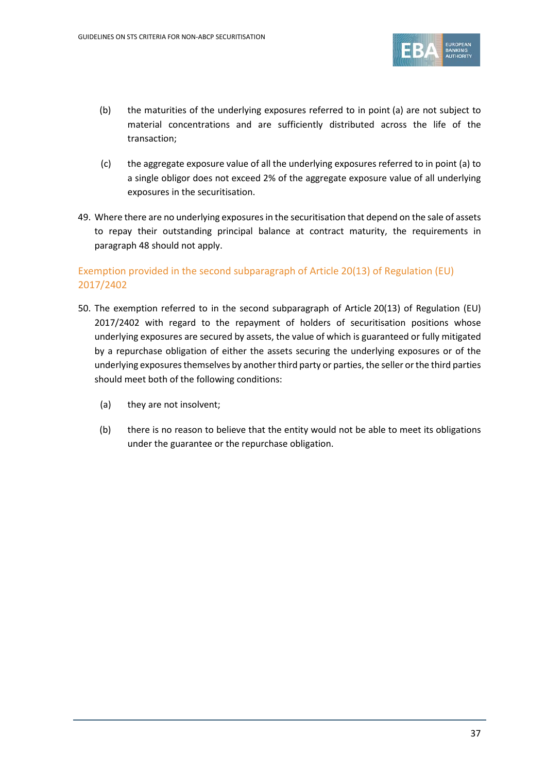

- (b) the maturities of the underlying exposures referred to in point (a) are not subject to material concentrations and are sufficiently distributed across the life of the transaction;
- (c) the aggregate exposure value of all the underlying exposures referred to in point (a) to a single obligor does not exceed 2% of the aggregate exposure value of all underlying exposures in the securitisation.
- 49. Where there are no underlying exposures in the securitisation that depend on the sale of assets to repay their outstanding principal balance at contract maturity, the requirements in paragraph [48](#page-35-0) should not apply.

# Exemption provided in the second subparagraph of Article 20(13) of Regulation (EU) 2017/2402

- 50. The exemption referred to in the second subparagraph of Article 20(13) of Regulation (EU) 2017/2402 with regard to the repayment of holders of securitisation positions whose underlying exposures are secured by assets, the value of which is guaranteed or fully mitigated by a repurchase obligation of either the assets securing the underlying exposures or of the underlying exposures themselves by another third party or parties, the seller or the third parties should meet both of the following conditions:
	- (a) they are not insolvent;
	- (b) there is no reason to believe that the entity would not be able to meet its obligations under the guarantee or the repurchase obligation.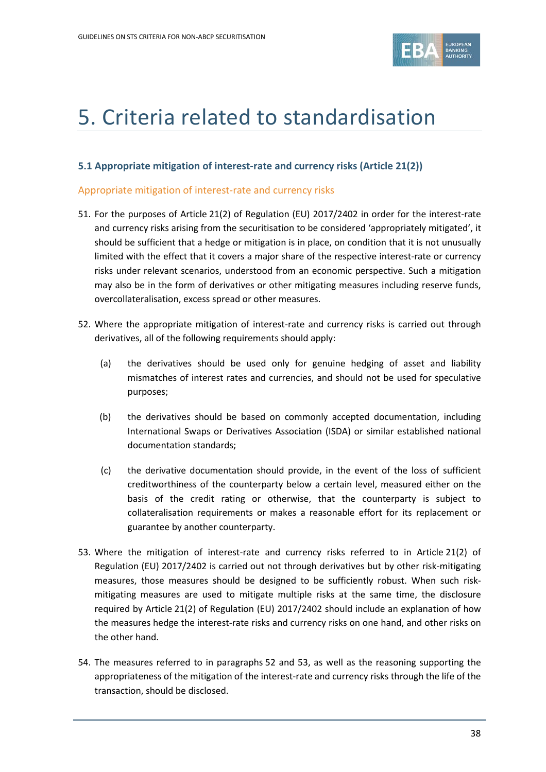

# 5. Criteria related to standardisation

#### **5.1 Appropriate mitigation of interest-rate and currency risks (Article 21(2))**

#### Appropriate mitigation of interest-rate and currency risks

- 51. For the purposes of Article 21(2) of Regulation (EU) 2017/2402 in order for the interest-rate and currency risks arising from the securitisation to be considered 'appropriately mitigated', it should be sufficient that a hedge or mitigation is in place, on condition that it is not unusually limited with the effect that it covers a major share of the respective interest-rate or currency risks under relevant scenarios, understood from an economic perspective. Such a mitigation may also be in the form of derivatives or other mitigating measures including reserve funds, overcollateralisation, excess spread or other measures.
- 52. Where the appropriate mitigation of interest-rate and currency risks is carried out through derivatives, all of the following requirements should apply:
	- (a) the derivatives should be used only for genuine hedging of asset and liability mismatches of interest rates and currencies, and should not be used for speculative purposes;
	- (b) the derivatives should be based on commonly accepted documentation, including International Swaps or Derivatives Association (ISDA) or similar established national documentation standards;
	- (c) the derivative documentation should provide, in the event of the loss of sufficient creditworthiness of the counterparty below a certain level, measured either on the basis of the credit rating or otherwise, that the counterparty is subject to collateralisation requirements or makes a reasonable effort for its replacement or guarantee by another counterparty.
- 53. Where the mitigation of interest-rate and currency risks referred to in Article 21(2) of Regulation (EU) 2017/2402 is carried out not through derivatives but by other risk-mitigating measures, those measures should be designed to be sufficiently robust. When such riskmitigating measures are used to mitigate multiple risks at the same time, the disclosure required by Article 21(2) of Regulation (EU) 2017/2402 should include an explanation of how the measures hedge the interest-rate risks and currency risks on one hand, and other risks on the other hand.
- 54. The measures referred to in paragraphs 52 and 53, as well as the reasoning supporting the appropriateness of the mitigation of the interest-rate and currency risks through the life of the transaction, should be disclosed.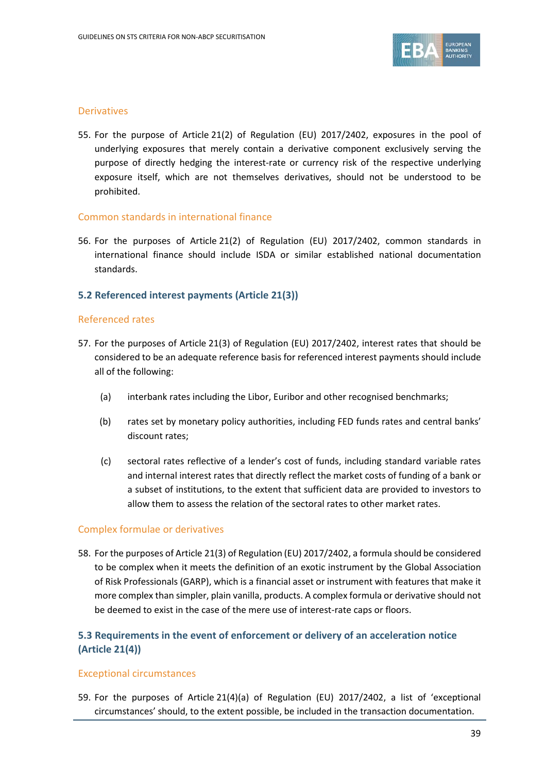

#### **Derivatives**

55. For the purpose of Article 21(2) of Regulation (EU) 2017/2402, exposures in the pool of underlying exposures that merely contain a derivative component exclusively serving the purpose of directly hedging the interest-rate or currency risk of the respective underlying exposure itself, which are not themselves derivatives, should not be understood to be prohibited.

#### Common standards in international finance

56. For the purposes of Article 21(2) of Regulation (EU) 2017/2402, common standards in international finance should include ISDA or similar established national documentation standards.

#### **5.2 Referenced interest payments (Article 21(3))**

#### Referenced rates

- 57. For the purposes of Article 21(3) of Regulation (EU) 2017/2402, interest rates that should be considered to be an adequate reference basis for referenced interest payments should include all of the following:
	- (a) interbank rates including the Libor, Euribor and other recognised benchmarks;
	- (b) rates set by monetary policy authorities, including FED funds rates and central banks' discount rates;
	- (c) sectoral rates reflective of a lender's cost of funds, including standard variable rates and internal interest rates that directly reflect the market costs of funding of a bank or a subset of institutions, to the extent that sufficient data are provided to investors to allow them to assess the relation of the sectoral rates to other market rates.

#### Complex formulae or derivatives

58. For the purposes of Article 21(3) of Regulation (EU) 2017/2402, a formula should be considered to be complex when it meets the definition of an exotic instrument by the Global Association of Risk Professionals (GARP), which is a financial asset or instrument with features that make it more complex than simpler, plain vanilla, products. A complex formula or derivative should not be deemed to exist in the case of the mere use of interest-rate caps or floors.

# **5.3 Requirements in the event of enforcement or delivery of an acceleration notice (Article 21(4))**

#### Exceptional circumstances

<span id="page-38-0"></span>59. For the purposes of Article 21(4)(a) of Regulation (EU) 2017/2402, a list of 'exceptional circumstances' should, to the extent possible, be included in the transaction documentation.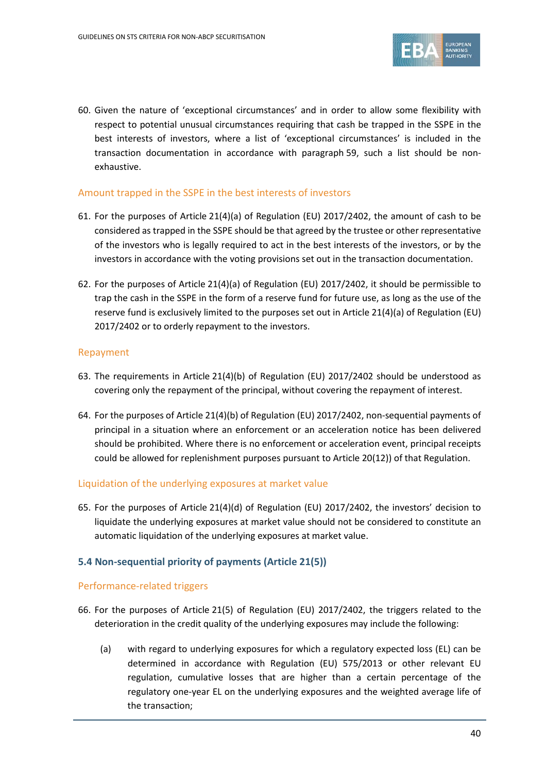

60. Given the nature of 'exceptional circumstances' and in order to allow some flexibility with respect to potential unusual circumstances requiring that cash be trapped in the SSPE in the best interests of investors, where a list of 'exceptional circumstances' is included in the transaction documentation in accordance with paragraph [59,](#page-38-0) such a list should be nonexhaustive.

## Amount trapped in the SSPE in the best interests of investors

- 61. For the purposes of Article 21(4)(a) of Regulation (EU) 2017/2402, the amount of cash to be considered as trapped in the SSPE should be that agreed by the trustee or other representative of the investors who is legally required to act in the best interests of the investors, or by the investors in accordance with the voting provisions set out in the transaction documentation.
- 62. For the purposes of Article 21(4)(a) of Regulation (EU) 2017/2402, it should be permissible to trap the cash in the SSPE in the form of a reserve fund for future use, as long as the use of the reserve fund is exclusively limited to the purposes set out in Article 21(4)(a) of Regulation (EU) 2017/2402 or to orderly repayment to the investors.

## Repayment

- 63. The requirements in Article 21(4)(b) of Regulation (EU) 2017/2402 should be understood as covering only the repayment of the principal, without covering the repayment of interest.
- 64. For the purposes of Article 21(4)(b) of Regulation (EU) 2017/2402, non-sequential payments of principal in a situation where an enforcement or an acceleration notice has been delivered should be prohibited. Where there is no enforcement or acceleration event, principal receipts could be allowed for replenishment purposes pursuant to Article 20(12)) of that Regulation.

#### Liquidation of the underlying exposures at market value

65. For the purposes of Article 21(4)(d) of Regulation (EU) 2017/2402, the investors' decision to liquidate the underlying exposures at market value should not be considered to constitute an automatic liquidation of the underlying exposures at market value.

# **5.4 Non-sequential priority of payments (Article 21(5))**

#### Performance-related triggers

- 66. For the purposes of Article 21(5) of Regulation (EU) 2017/2402, the triggers related to the deterioration in the credit quality of the underlying exposures may include the following:
	- (a) with regard to underlying exposures for which a regulatory expected loss (EL) can be determined in accordance with Regulation (EU) 575/2013 or other relevant EU regulation, cumulative losses that are higher than a certain percentage of the regulatory one-year EL on the underlying exposures and the weighted average life of the transaction;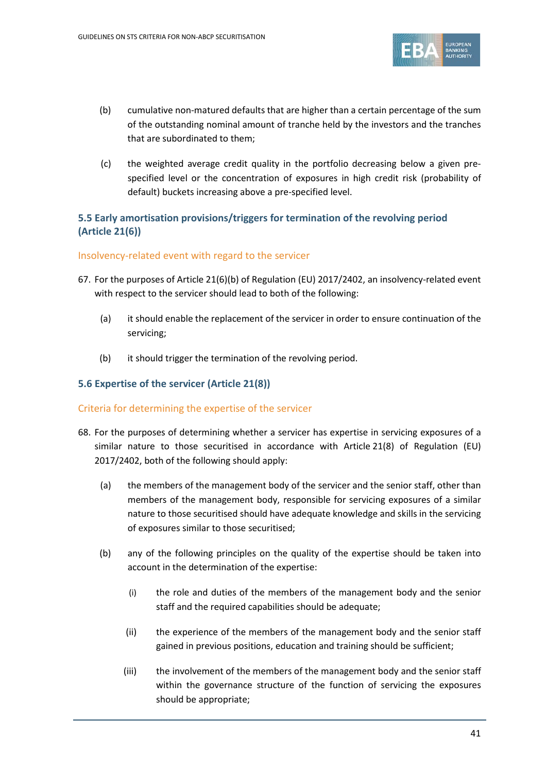

- (b) cumulative non-matured defaults that are higher than a certain percentage of the sum of the outstanding nominal amount of tranche held by the investors and the tranches that are subordinated to them;
- (c) the weighted average credit quality in the portfolio decreasing below a given prespecified level or the concentration of exposures in high credit risk (probability of default) buckets increasing above a pre-specified level.

# **5.5 Early amortisation provisions/triggers for termination of the revolving period (Article 21(6))**

#### Insolvency-related event with regard to the servicer

- 67. For the purposes of Article 21(6)(b) of Regulation (EU) 2017/2402, an insolvency-related event with respect to the servicer should lead to both of the following:
	- (a) it should enable the replacement of the servicer in order to ensure continuation of the servicing;
	- (b) it should trigger the termination of the revolving period.

### **5.6 Expertise of the servicer (Article 21(8))**

#### Criteria for determining the expertise of the servicer

- 68. For the purposes of determining whether a servicer has expertise in servicing exposures of a similar nature to those securitised in accordance with Article 21(8) of Regulation (EU) 2017/2402, both of the following should apply:
	- (a) the members of the management body of the servicer and the senior staff, other than members of the management body, responsible for servicing exposures of a similar nature to those securitised should have adequate knowledge and skills in the servicing of exposures similar to those securitised;
	- (b) any of the following principles on the quality of the expertise should be taken into account in the determination of the expertise:
		- (i) the role and duties of the members of the management body and the senior staff and the required capabilities should be adequate;
		- (ii) the experience of the members of the management body and the senior staff gained in previous positions, education and training should be sufficient;
		- (iii) the involvement of the members of the management body and the senior staff within the governance structure of the function of servicing the exposures should be appropriate;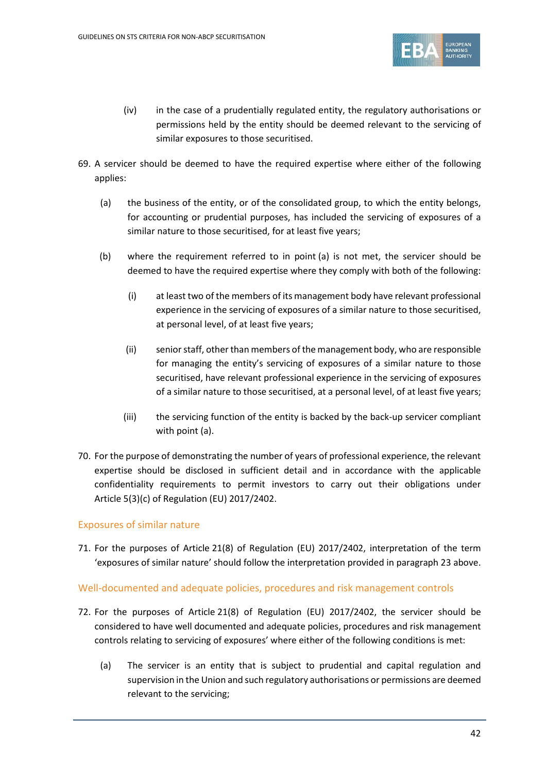

- (iv) in the case of a prudentially regulated entity, the regulatory authorisations or permissions held by the entity should be deemed relevant to the servicing of similar exposures to those securitised.
- 69. A servicer should be deemed to have the required expertise where either of the following applies:
	- (a) the business of the entity, or of the consolidated group, to which the entity belongs, for accounting or prudential purposes, has included the servicing of exposures of a similar nature to those securitised, for at least five years;
	- (b) where the requirement referred to in point (a) is not met, the servicer should be deemed to have the required expertise where they comply with both of the following:
		- (i) at least two of the members of its management body have relevant professional experience in the servicing of exposures of a similar nature to those securitised, at personal level, of at least five years;
		- (ii) senior staff, other than members of the management body, who are responsible for managing the entity's servicing of exposures of a similar nature to those securitised, have relevant professional experience in the servicing of exposures of a similar nature to those securitised, at a personal level, of at least five years;
		- (iii) the servicing function of the entity is backed by the back-up servicer compliant with point (a).
- 70. For the purpose of demonstrating the number of years of professional experience, the relevant expertise should be disclosed in sufficient detail and in accordance with the applicable confidentiality requirements to permit investors to carry out their obligations under Article 5(3)(c) of Regulation (EU) 2017/2402.

# Exposures of similar nature

71. For the purposes of Article 21(8) of Regulation (EU) 2017/2402, interpretation of the term 'exposures of similar nature' should follow the interpretation provided in paragraph [23](#page-28-0) above.

#### Well-documented and adequate policies, procedures and risk management controls

- 72. For the purposes of Article 21(8) of Regulation (EU) 2017/2402, the servicer should be considered to have well documented and adequate policies, procedures and risk management controls relating to servicing of exposures' where either of the following conditions is met:
	- (a) The servicer is an entity that is subject to prudential and capital regulation and supervision in the Union and such regulatory authorisations or permissions are deemed relevant to the servicing;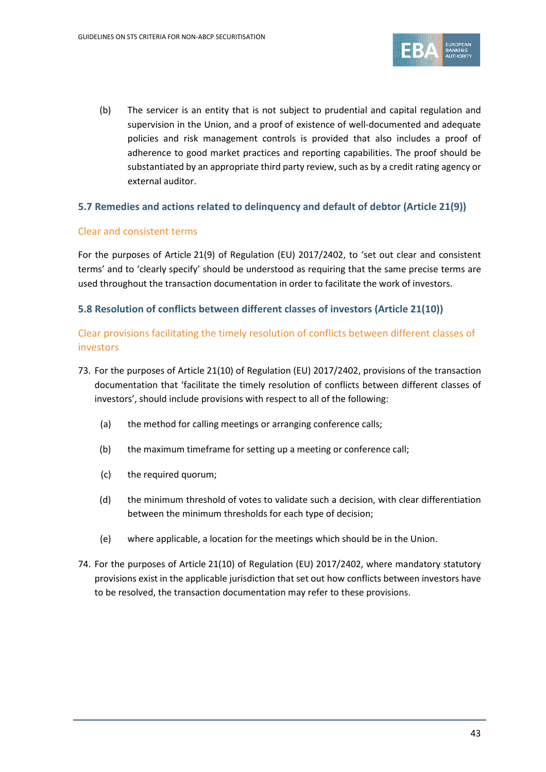

(b) The servicer is an entity that is not subject to prudential and capital regulation and supervision in the Union, and a proof of existence of well-documented and adequate policies and risk management controls is provided that also includes a proof of adherence to good market practices and reporting capabilities. The proof should be substantiated by an appropriate third party review, such as by a credit rating agency or external auditor.

## **5.7 Remedies and actions related to delinquency and default of debtor (Article 21(9))**

#### Clear and consistent terms

For the purposes of Article 21(9) of Regulation (EU) 2017/2402, to 'set out clear and consistent terms' and to 'clearly specify' should be understood as requiring that the same precise terms are used throughout the transaction documentation in order to facilitate the work of investors.

## **5.8 Resolution of conflicts between different classes of investors (Article 21(10))**

# Clear provisions facilitating the timely resolution of conflicts between different classes of investors

- 73. For the purposes of Article 21(10) of Regulation (EU) 2017/2402, provisions of the transaction documentation that 'facilitate the timely resolution of conflicts between different classes of investors', should include provisions with respect to all of the following:
	- (a) the method for calling meetings or arranging conference calls;
	- (b) the maximum timeframe for setting up a meeting or conference call;
	- (c) the required quorum;
	- (d) the minimum threshold of votes to validate such a decision, with clear differentiation between the minimum thresholds for each type of decision;
	- (e) where applicable, a location for the meetings which should be in the Union.
- 74. For the purposes of Article 21(10) of Regulation (EU) 2017/2402, where mandatory statutory provisions exist in the applicable jurisdiction that set out how conflicts between investors have to be resolved, the transaction documentation may refer to these provisions.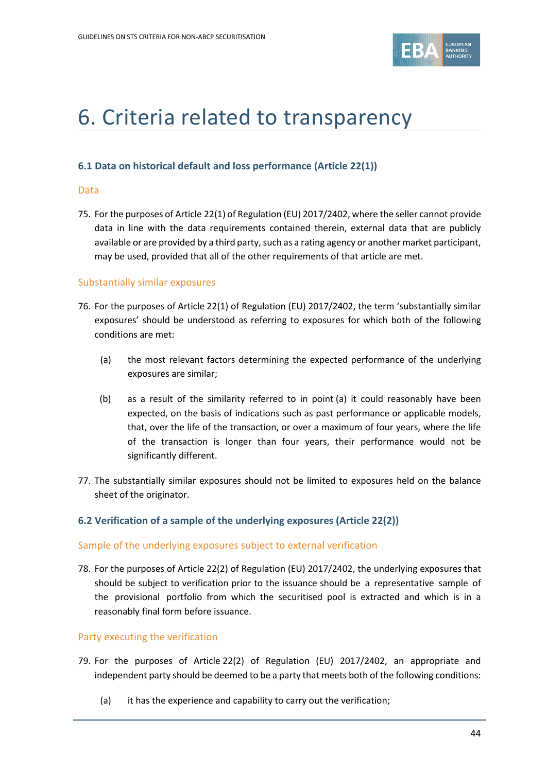

# 6. Criteria related to transparency

#### **6.1 Data on historical default and loss performance (Article 22(1))**

#### Data

75. For the purposes of Article 22(1) of Regulation (EU) 2017/2402, where the seller cannot provide data in line with the data requirements contained therein, external data that are publicly available or are provided by a third party, such as a rating agency or another market participant, may be used, provided that all of the other requirements of that article are met.

#### Substantially similar exposures

- 76. For the purposes of Article 22(1) of Regulation (EU) 2017/2402, the term 'substantially similar exposures' should be understood as referring to exposures for which both of the following conditions are met:
	- (a) the most relevant factors determining the expected performance of the underlying exposures are similar;
	- (b) as a result of the similarity referred to in point (a) it could reasonably have been expected, on the basis of indications such as past performance or applicable models, that, over the life of the transaction, or over a maximum of four years, where the life of the transaction is longer than four years, their performance would not be significantly different.
- 77. The substantially similar exposures should not be limited to exposures held on the balance sheet of the originator.

#### **6.2 Verification of a sample of the underlying exposures (Article 22(2))**

#### Sample of the underlying exposures subject to external verification

78. For the purposes of Article 22(2) of Regulation (EU) 2017/2402, the underlying exposures that should be subject to verification prior to the issuance should be a representative sample of the provisional portfolio from which the securitised pool is extracted and which is in a reasonably final form before issuance.

#### Party executing the verification

- 79. For the purposes of Article 22(2) of Regulation (EU) 2017/2402, an appropriate and independent party should be deemed to be a party that meets both of the following conditions:
	- (a) it has the experience and capability to carry out the verification;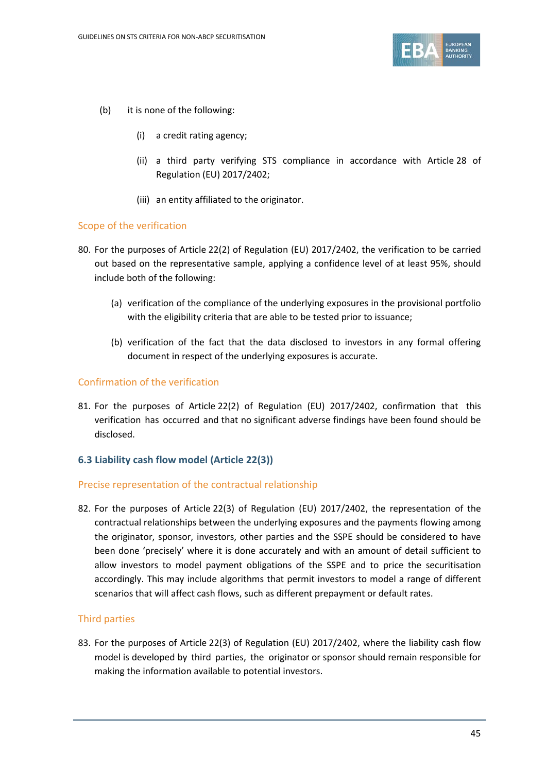

- (b) it is none of the following:
	- (i) a credit rating agency;
	- (ii) a third party verifying STS compliance in accordance with Article 28 of Regulation (EU) 2017/2402;
	- (iii) an entity affiliated to the originator.

#### Scope of the verification

- 80. For the purposes of Article 22(2) of Regulation (EU) 2017/2402, the verification to be carried out based on the representative sample, applying a confidence level of at least 95%, should include both of the following:
	- (a) verification of the compliance of the underlying exposures in the provisional portfolio with the eligibility criteria that are able to be tested prior to issuance;
	- (b) verification of the fact that the data disclosed to investors in any formal offering document in respect of the underlying exposures is accurate.

#### Confirmation of the verification

81. For the purposes of Article 22(2) of Regulation (EU) 2017/2402, confirmation that this verification has occurred and that no significant adverse findings have been found should be disclosed.

#### **6.3 Liability cash flow model (Article 22(3))**

#### Precise representation of the contractual relationship

82. For the purposes of Article 22(3) of Regulation (EU) 2017/2402, the representation of the contractual relationships between the underlying exposures and the payments flowing among the originator, sponsor, investors, other parties and the SSPE should be considered to have been done 'precisely' where it is done accurately and with an amount of detail sufficient to allow investors to model payment obligations of the SSPE and to price the securitisation accordingly. This may include algorithms that permit investors to model a range of different scenarios that will affect cash flows, such as different prepayment or default rates.

#### Third parties

83. For the purposes of Article 22(3) of Regulation (EU) 2017/2402, where the liability cash flow model is developed by third parties, the originator or sponsor should remain responsible for making the information available to potential investors.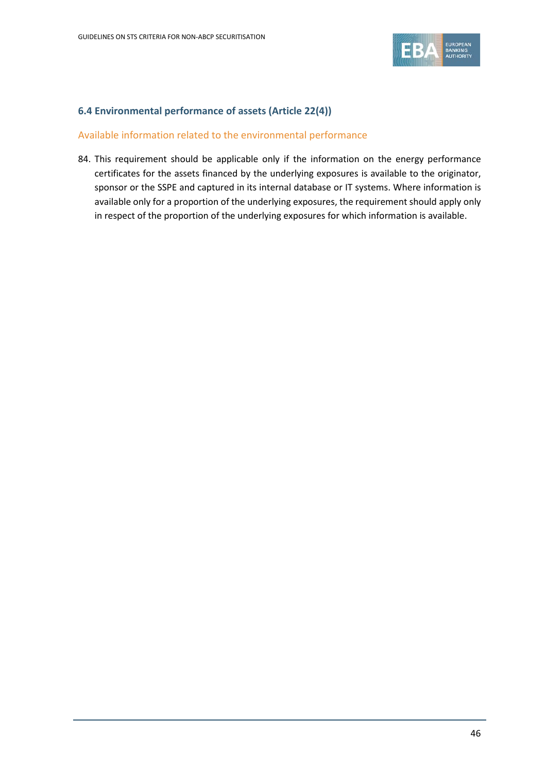

### **6.4 Environmental performance of assets (Article 22(4))**

#### Available information related to the environmental performance

84. This requirement should be applicable only if the information on the energy performance certificates for the assets financed by the underlying exposures is available to the originator, sponsor or the SSPE and captured in its internal database or IT systems. Where information is available only for a proportion of the underlying exposures, the requirement should apply only in respect of the proportion of the underlying exposures for which information is available.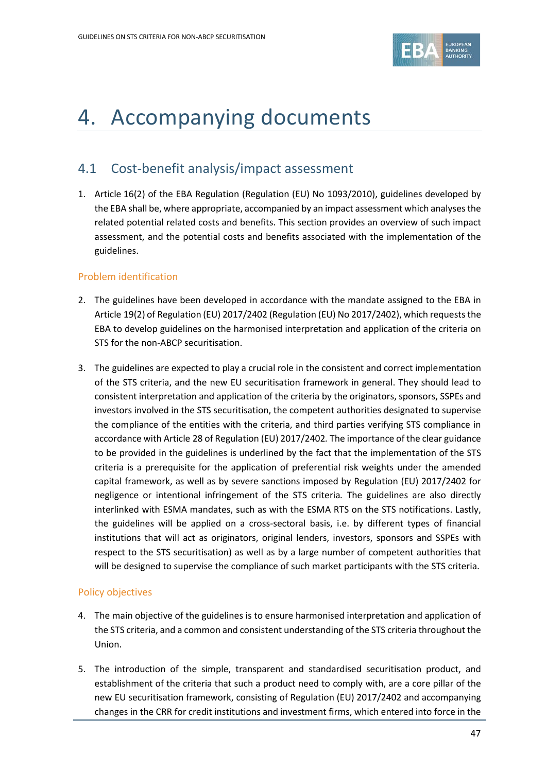

# 4. Accompanying documents

# 4.1 Cost-benefit analysis/impact assessment

1. Article 16(2) of the EBA Regulation (Regulation (EU) No 1093/2010), guidelines developed by the EBA shall be, where appropriate, accompanied by an impact assessment which analyses the related potential related costs and benefits. This section provides an overview of such impact assessment, and the potential costs and benefits associated with the implementation of the guidelines.

#### Problem identification

- 2. The guidelines have been developed in accordance with the mandate assigned to the EBA in Article 19(2) of Regulation (EU) 2017/2402 (Regulation (EU) No 2017/2402), which requests the EBA to develop guidelines on the harmonised interpretation and application of the criteria on STS for the non-ABCP securitisation.
- 3. The guidelines are expected to play a crucial role in the consistent and correct implementation of the STS criteria, and the new EU securitisation framework in general. They should lead to consistent interpretation and application of the criteria by the originators, sponsors, SSPEs and investors involved in the STS securitisation, the competent authorities designated to supervise the compliance of the entities with the criteria, and third parties verifying STS compliance in accordance with Article 28 of Regulation (EU) 2017/2402*.* The importance of the clear guidance to be provided in the guidelines is underlined by the fact that the implementation of the STS criteria is a prerequisite for the application of preferential risk weights under the amended capital framework, as well as by severe sanctions imposed by Regulation (EU) 2017/2402 for negligence or intentional infringement of the STS criteria*.* The guidelines are also directly interlinked with ESMA mandates, such as with the ESMA RTS on the STS notifications. Lastly, the guidelines will be applied on a cross-sectoral basis, i.e. by different types of financial institutions that will act as originators, original lenders, investors, sponsors and SSPEs with respect to the STS securitisation) as well as by a large number of competent authorities that will be designed to supervise the compliance of such market participants with the STS criteria.

#### Policy objectives

- 4. The main objective of the guidelines is to ensure harmonised interpretation and application of the STS criteria, and a common and consistent understanding of the STS criteria throughout the Union.
- 5. The introduction of the simple, transparent and standardised securitisation product, and establishment of the criteria that such a product need to comply with, are a core pillar of the new EU securitisation framework, consisting of Regulation (EU) 2017/2402 and accompanying changes in the CRR for credit institutions and investment firms, which entered into force in the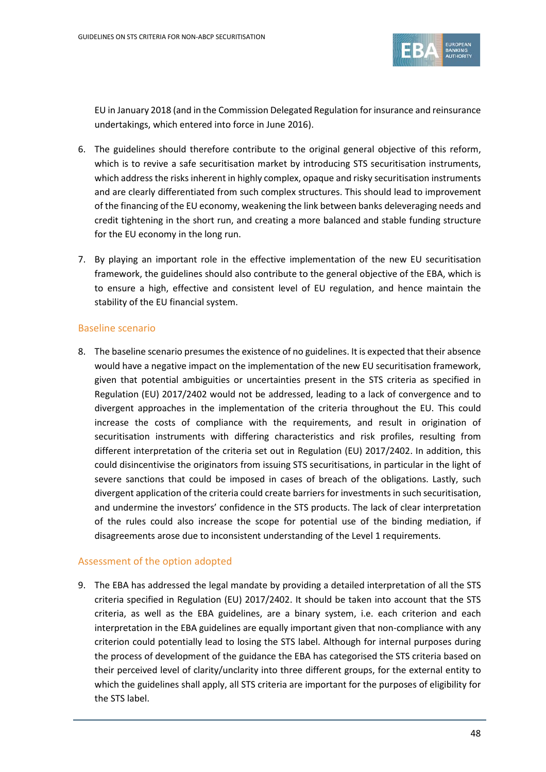

EU in January 2018 (and in the Commission Delegated Regulation for insurance and reinsurance undertakings, which entered into force in June 2016).

- 6. The guidelines should therefore contribute to the original general objective of this reform, which is to revive a safe securitisation market by introducing STS securitisation instruments, which address the risks inherent in highly complex, opaque and risky securitisation instruments and are clearly differentiated from such complex structures. This should lead to improvement of the financing of the EU economy, weakening the link between banks deleveraging needs and credit tightening in the short run, and creating a more balanced and stable funding structure for the EU economy in the long run.
- 7. By playing an important role in the effective implementation of the new EU securitisation framework, the guidelines should also contribute to the general objective of the EBA, which is to ensure a high, effective and consistent level of EU regulation, and hence maintain the stability of the EU financial system.

#### Baseline scenario

8. The baseline scenario presumes the existence of no guidelines. It is expected that their absence would have a negative impact on the implementation of the new EU securitisation framework, given that potential ambiguities or uncertainties present in the STS criteria as specified in Regulation (EU) 2017/2402 would not be addressed, leading to a lack of convergence and to divergent approaches in the implementation of the criteria throughout the EU. This could increase the costs of compliance with the requirements, and result in origination of securitisation instruments with differing characteristics and risk profiles, resulting from different interpretation of the criteria set out in Regulation (EU) 2017/2402. In addition, this could disincentivise the originators from issuing STS securitisations, in particular in the light of severe sanctions that could be imposed in cases of breach of the obligations. Lastly, such divergent application of the criteria could create barriers for investments in such securitisation, and undermine the investors' confidence in the STS products. The lack of clear interpretation of the rules could also increase the scope for potential use of the binding mediation, if disagreements arose due to inconsistent understanding of the Level 1 requirements.

#### Assessment of the option adopted

9. The EBA has addressed the legal mandate by providing a detailed interpretation of all the STS criteria specified in Regulation (EU) 2017/2402. It should be taken into account that the STS criteria, as well as the EBA guidelines, are a binary system, i.e. each criterion and each interpretation in the EBA guidelines are equally important given that non-compliance with any criterion could potentially lead to losing the STS label. Although for internal purposes during the process of development of the guidance the EBA has categorised the STS criteria based on their perceived level of clarity/unclarity into three different groups, for the external entity to which the guidelines shall apply, all STS criteria are important for the purposes of eligibility for the STS label.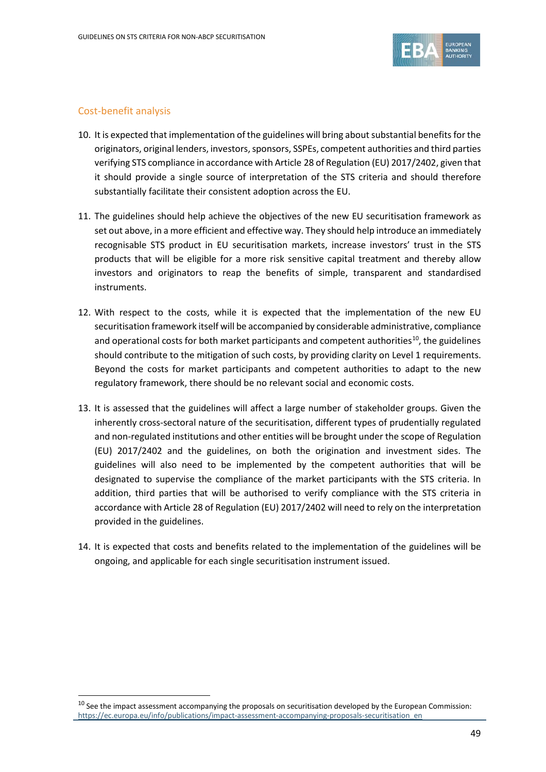

# Cost-benefit analysis

 $\overline{a}$ 

- 10. It is expected that implementation of the guidelines will bring about substantial benefits for the originators, original lenders, investors, sponsors, SSPEs, competent authorities and third parties verifying STS compliance in accordance with Article 28 of Regulation (EU) 2017/2402, given that it should provide a single source of interpretation of the STS criteria and should therefore substantially facilitate their consistent adoption across the EU.
- 11. The guidelines should help achieve the objectives of the new EU securitisation framework as set out above, in a more efficient and effective way. They should help introduce an immediately recognisable STS product in EU securitisation markets, increase investors' trust in the STS products that will be eligible for a more risk sensitive capital treatment and thereby allow investors and originators to reap the benefits of simple, transparent and standardised instruments.
- 12. With respect to the costs, while it is expected that the implementation of the new EU securitisation framework itself will be accompanied by considerable administrative, compliance and operational costs for both market participants and competent authorities<sup>[10](#page-48-0)</sup>, the guidelines should contribute to the mitigation of such costs, by providing clarity on Level 1 requirements. Beyond the costs for market participants and competent authorities to adapt to the new regulatory framework, there should be no relevant social and economic costs.
- 13. It is assessed that the guidelines will affect a large number of stakeholder groups. Given the inherently cross-sectoral nature of the securitisation, different types of prudentially regulated and non-regulated institutions and other entities will be brought under the scope of Regulation (EU) 2017/2402 and the guidelines, on both the origination and investment sides. The guidelines will also need to be implemented by the competent authorities that will be designated to supervise the compliance of the market participants with the STS criteria. In addition, third parties that will be authorised to verify compliance with the STS criteria in accordance with Article 28 of Regulation (EU) 2017/2402 will need to rely on the interpretation provided in the guidelines.
- 14. It is expected that costs and benefits related to the implementation of the guidelines will be ongoing, and applicable for each single securitisation instrument issued.

<span id="page-48-0"></span> $10$  See the impact assessment accompanying the proposals on securitisation developed by the European Commission: [https://ec.europa.eu/info/publications/impact-assessment-accompanying-proposals-securitisation\\_en](https://ec.europa.eu/info/publications/impact-assessment-accompanying-proposals-securitisation_en)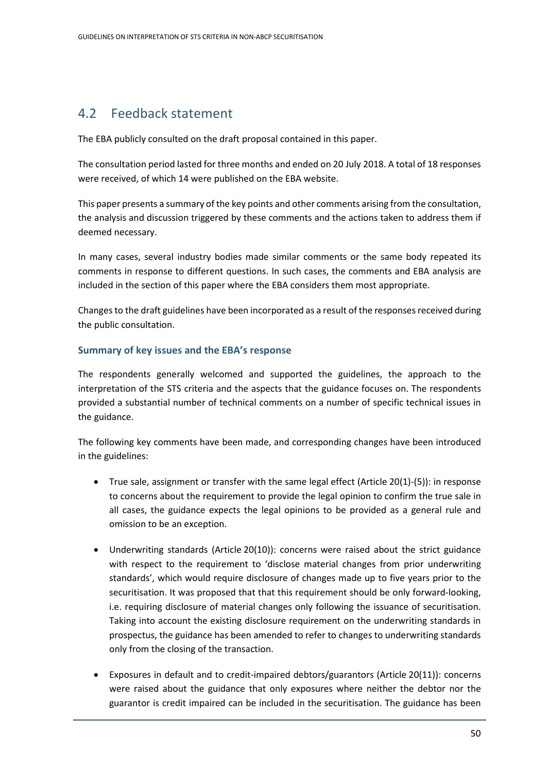# 4.2 Feedback statement

The EBA publicly consulted on the draft proposal contained in this paper.

The consultation period lasted for three months and ended on 20 July 2018. A total of 18 responses were received, of which 14 were published on the EBA website.

This paper presents a summary of the key points and other comments arising from the consultation, the analysis and discussion triggered by these comments and the actions taken to address them if deemed necessary.

In many cases, several industry bodies made similar comments or the same body repeated its comments in response to different questions. In such cases, the comments and EBA analysis are included in the section of this paper where the EBA considers them most appropriate.

Changes to the draft guidelines have been incorporated as a result of the responses received during the public consultation.

## **Summary of key issues and the EBA's response**

The respondents generally welcomed and supported the guidelines, the approach to the interpretation of the STS criteria and the aspects that the guidance focuses on. The respondents provided a substantial number of technical comments on a number of specific technical issues in the guidance.

The following key comments have been made, and corresponding changes have been introduced in the guidelines:

- True sale, assignment or transfer with the same legal effect (Article 20(1)-(5)): in response to concerns about the requirement to provide the legal opinion to confirm the true sale in all cases, the guidance expects the legal opinions to be provided as a general rule and omission to be an exception.
- Underwriting standards (Article 20(10)): concerns were raised about the strict guidance with respect to the requirement to 'disclose material changes from prior underwriting standards', which would require disclosure of changes made up to five years prior to the securitisation. It was proposed that that this requirement should be only forward-looking, i.e. requiring disclosure of material changes only following the issuance of securitisation. Taking into account the existing disclosure requirement on the underwriting standards in prospectus, the guidance has been amended to refer to changes to underwriting standards only from the closing of the transaction.
- Exposures in default and to credit-impaired debtors/guarantors (Article 20(11)): concerns were raised about the guidance that only exposures where neither the debtor nor the guarantor is credit impaired can be included in the securitisation. The guidance has been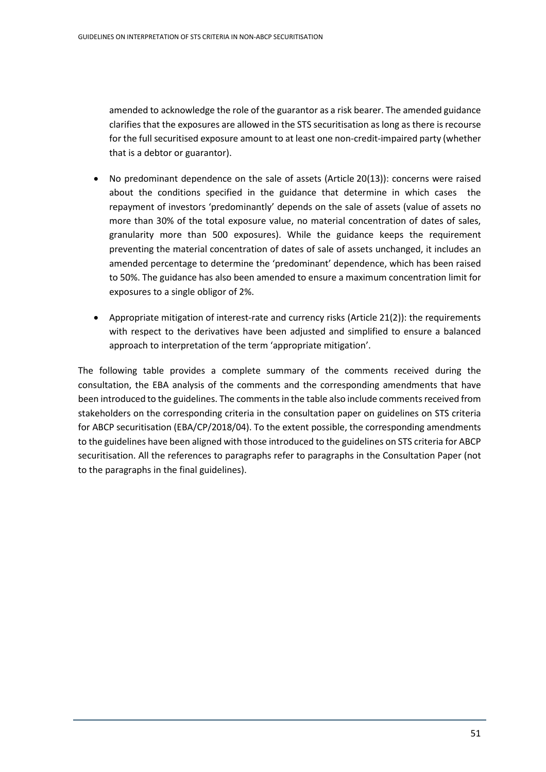amended to acknowledge the role of the guarantor as a risk bearer. The amended guidance clarifies that the exposures are allowed in the STS securitisation as long as there is recourse for the full securitised exposure amount to at least one non-credit-impaired party (whether that is a debtor or guarantor).

- No predominant dependence on the sale of assets (Article 20(13)): concerns were raised about the conditions specified in the guidance that determine in which cases the repayment of investors 'predominantly' depends on the sale of assets (value of assets no more than 30% of the total exposure value, no material concentration of dates of sales, granularity more than 500 exposures). While the guidance keeps the requirement preventing the material concentration of dates of sale of assets unchanged, it includes an amended percentage to determine the 'predominant' dependence, which has been raised to 50%. The guidance has also been amended to ensure a maximum concentration limit for exposures to a single obligor of 2%.
- Appropriate mitigation of interest-rate and currency risks (Article 21(2)): the requirements with respect to the derivatives have been adjusted and simplified to ensure a balanced approach to interpretation of the term 'appropriate mitigation'.

The following table provides a complete summary of the comments received during the consultation, the EBA analysis of the comments and the corresponding amendments that have been introduced to the guidelines. The comments in the table also include comments received from stakeholders on the corresponding criteria in the consultation paper on guidelines on STS criteria for ABCP securitisation (EBA/CP/2018/04). To the extent possible, the corresponding amendments to the guidelines have been aligned with those introduced to the guidelines on STS criteria for ABCP securitisation. All the references to paragraphs refer to paragraphs in the Consultation Paper (not to the paragraphs in the final guidelines).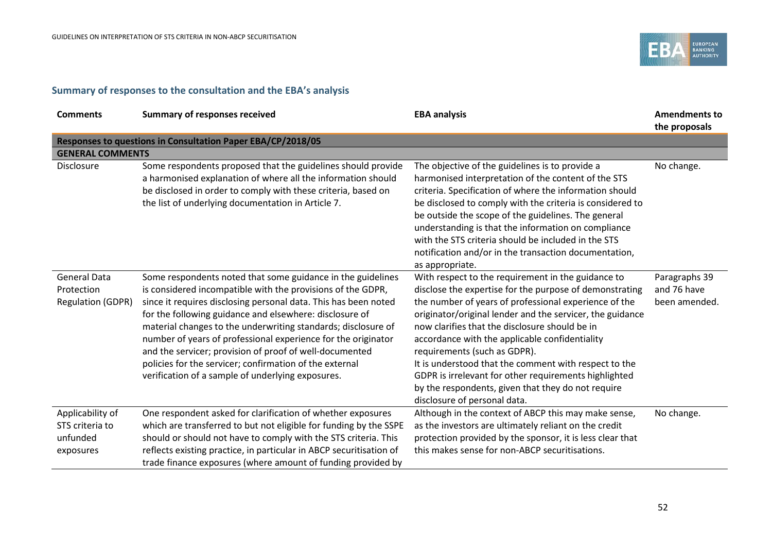

# **Summary of responses to the consultation and the EBA's analysis**

| <b>Comments</b>                                               | <b>Summary of responses received</b>                                                                                                                                                                                                                                                                                                                                                                                                                                                                                                                                  | <b>EBA analysis</b>                                                                                                                                                                                                                                                                                                                                                                                                                                                                                                                                                             | <b>Amendments to</b><br>the proposals         |
|---------------------------------------------------------------|-----------------------------------------------------------------------------------------------------------------------------------------------------------------------------------------------------------------------------------------------------------------------------------------------------------------------------------------------------------------------------------------------------------------------------------------------------------------------------------------------------------------------------------------------------------------------|---------------------------------------------------------------------------------------------------------------------------------------------------------------------------------------------------------------------------------------------------------------------------------------------------------------------------------------------------------------------------------------------------------------------------------------------------------------------------------------------------------------------------------------------------------------------------------|-----------------------------------------------|
|                                                               | Responses to questions in Consultation Paper EBA/CP/2018/05                                                                                                                                                                                                                                                                                                                                                                                                                                                                                                           |                                                                                                                                                                                                                                                                                                                                                                                                                                                                                                                                                                                 |                                               |
| <b>GENERAL COMMENTS</b>                                       |                                                                                                                                                                                                                                                                                                                                                                                                                                                                                                                                                                       |                                                                                                                                                                                                                                                                                                                                                                                                                                                                                                                                                                                 |                                               |
| <b>Disclosure</b>                                             | Some respondents proposed that the guidelines should provide<br>a harmonised explanation of where all the information should<br>be disclosed in order to comply with these criteria, based on<br>the list of underlying documentation in Article 7.                                                                                                                                                                                                                                                                                                                   | The objective of the guidelines is to provide a<br>harmonised interpretation of the content of the STS<br>criteria. Specification of where the information should<br>be disclosed to comply with the criteria is considered to<br>be outside the scope of the guidelines. The general<br>understanding is that the information on compliance<br>with the STS criteria should be included in the STS<br>notification and/or in the transaction documentation,<br>as appropriate.                                                                                                 | No change.                                    |
| <b>General Data</b><br>Protection<br><b>Regulation (GDPR)</b> | Some respondents noted that some guidance in the guidelines<br>is considered incompatible with the provisions of the GDPR,<br>since it requires disclosing personal data. This has been noted<br>for the following guidance and elsewhere: disclosure of<br>material changes to the underwriting standards; disclosure of<br>number of years of professional experience for the originator<br>and the servicer; provision of proof of well-documented<br>policies for the servicer; confirmation of the external<br>verification of a sample of underlying exposures. | With respect to the requirement in the guidance to<br>disclose the expertise for the purpose of demonstrating<br>the number of years of professional experience of the<br>originator/original lender and the servicer, the guidance<br>now clarifies that the disclosure should be in<br>accordance with the applicable confidentiality<br>requirements (such as GDPR).<br>It is understood that the comment with respect to the<br>GDPR is irrelevant for other requirements highlighted<br>by the respondents, given that they do not require<br>disclosure of personal data. | Paragraphs 39<br>and 76 have<br>been amended. |
| Applicability of<br>STS criteria to<br>unfunded<br>exposures  | One respondent asked for clarification of whether exposures<br>which are transferred to but not eligible for funding by the SSPE<br>should or should not have to comply with the STS criteria. This<br>reflects existing practice, in particular in ABCP securitisation of<br>trade finance exposures (where amount of funding provided by                                                                                                                                                                                                                            | Although in the context of ABCP this may make sense,<br>as the investors are ultimately reliant on the credit<br>protection provided by the sponsor, it is less clear that<br>this makes sense for non-ABCP securitisations.                                                                                                                                                                                                                                                                                                                                                    | No change.                                    |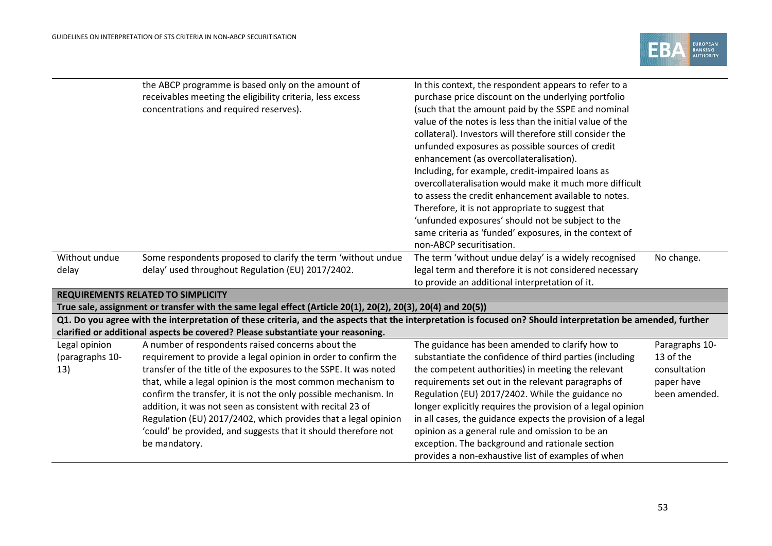

| Without undue                           | the ABCP programme is based only on the amount of<br>receivables meeting the eligibility criteria, less excess<br>concentrations and required reserves).<br>Some respondents proposed to clarify the term 'without undue                                                                                                                                                                                                                                                                                                                     | In this context, the respondent appears to refer to a<br>purchase price discount on the underlying portfolio<br>(such that the amount paid by the SSPE and nominal<br>value of the notes is less than the initial value of the<br>collateral). Investors will therefore still consider the<br>unfunded exposures as possible sources of credit<br>enhancement (as overcollateralisation).<br>Including, for example, credit-impaired loans as<br>overcollateralisation would make it much more difficult<br>to assess the credit enhancement available to notes.<br>Therefore, it is not appropriate to suggest that<br>'unfunded exposures' should not be subject to the<br>same criteria as 'funded' exposures, in the context of<br>non-ABCP securitisation.<br>The term 'without undue delay' is a widely recognised | No change.                                                                 |
|-----------------------------------------|----------------------------------------------------------------------------------------------------------------------------------------------------------------------------------------------------------------------------------------------------------------------------------------------------------------------------------------------------------------------------------------------------------------------------------------------------------------------------------------------------------------------------------------------|--------------------------------------------------------------------------------------------------------------------------------------------------------------------------------------------------------------------------------------------------------------------------------------------------------------------------------------------------------------------------------------------------------------------------------------------------------------------------------------------------------------------------------------------------------------------------------------------------------------------------------------------------------------------------------------------------------------------------------------------------------------------------------------------------------------------------|----------------------------------------------------------------------------|
| delay                                   | delay' used throughout Regulation (EU) 2017/2402.                                                                                                                                                                                                                                                                                                                                                                                                                                                                                            | legal term and therefore it is not considered necessary<br>to provide an additional interpretation of it.                                                                                                                                                                                                                                                                                                                                                                                                                                                                                                                                                                                                                                                                                                                |                                                                            |
|                                         | <b>REQUIREMENTS RELATED TO SIMPLICITY</b>                                                                                                                                                                                                                                                                                                                                                                                                                                                                                                    |                                                                                                                                                                                                                                                                                                                                                                                                                                                                                                                                                                                                                                                                                                                                                                                                                          |                                                                            |
|                                         | True sale, assignment or transfer with the same legal effect (Article 20(1), 20(2), 20(3), 20(4) and 20(5))                                                                                                                                                                                                                                                                                                                                                                                                                                  |                                                                                                                                                                                                                                                                                                                                                                                                                                                                                                                                                                                                                                                                                                                                                                                                                          |                                                                            |
|                                         | Q1. Do you agree with the interpretation of these criteria, and the aspects that the interpretation is focused on? Should interpretation be amended, further<br>clarified or additional aspects be covered? Please substantiate your reasoning.                                                                                                                                                                                                                                                                                              |                                                                                                                                                                                                                                                                                                                                                                                                                                                                                                                                                                                                                                                                                                                                                                                                                          |                                                                            |
| Legal opinion<br>(paragraphs 10-<br>13) | A number of respondents raised concerns about the<br>requirement to provide a legal opinion in order to confirm the<br>transfer of the title of the exposures to the SSPE. It was noted<br>that, while a legal opinion is the most common mechanism to<br>confirm the transfer, it is not the only possible mechanism. In<br>addition, it was not seen as consistent with recital 23 of<br>Regulation (EU) 2017/2402, which provides that a legal opinion<br>'could' be provided, and suggests that it should therefore not<br>be mandatory. | The guidance has been amended to clarify how to<br>substantiate the confidence of third parties (including<br>the competent authorities) in meeting the relevant<br>requirements set out in the relevant paragraphs of<br>Regulation (EU) 2017/2402. While the guidance no<br>longer explicitly requires the provision of a legal opinion<br>in all cases, the guidance expects the provision of a legal<br>opinion as a general rule and omission to be an<br>exception. The background and rationale section<br>provides a non-exhaustive list of examples of when                                                                                                                                                                                                                                                     | Paragraphs 10-<br>13 of the<br>consultation<br>paper have<br>been amended. |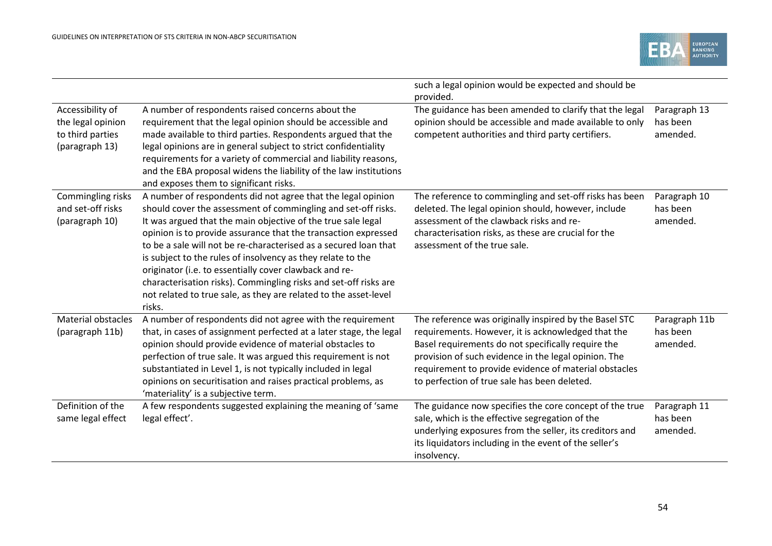

|                                                                             |                                                                                                                                                                                                                                                                                                                                                                                                                                                                                                                                                                                                                | such a legal opinion would be expected and should be<br>provided.                                                                                                                                                                                                                                                                   |                                       |
|-----------------------------------------------------------------------------|----------------------------------------------------------------------------------------------------------------------------------------------------------------------------------------------------------------------------------------------------------------------------------------------------------------------------------------------------------------------------------------------------------------------------------------------------------------------------------------------------------------------------------------------------------------------------------------------------------------|-------------------------------------------------------------------------------------------------------------------------------------------------------------------------------------------------------------------------------------------------------------------------------------------------------------------------------------|---------------------------------------|
| Accessibility of<br>the legal opinion<br>to third parties<br>(paragraph 13) | A number of respondents raised concerns about the<br>requirement that the legal opinion should be accessible and<br>made available to third parties. Respondents argued that the<br>legal opinions are in general subject to strict confidentiality<br>requirements for a variety of commercial and liability reasons,<br>and the EBA proposal widens the liability of the law institutions<br>and exposes them to significant risks.                                                                                                                                                                          | The guidance has been amended to clarify that the legal<br>opinion should be accessible and made available to only<br>competent authorities and third party certifiers.                                                                                                                                                             | Paragraph 13<br>has been<br>amended.  |
| Commingling risks<br>and set-off risks<br>(paragraph 10)                    | A number of respondents did not agree that the legal opinion<br>should cover the assessment of commingling and set-off risks.<br>It was argued that the main objective of the true sale legal<br>opinion is to provide assurance that the transaction expressed<br>to be a sale will not be re-characterised as a secured loan that<br>is subject to the rules of insolvency as they relate to the<br>originator (i.e. to essentially cover clawback and re-<br>characterisation risks). Commingling risks and set-off risks are<br>not related to true sale, as they are related to the asset-level<br>risks. | The reference to commingling and set-off risks has been<br>deleted. The legal opinion should, however, include<br>assessment of the clawback risks and re-<br>characterisation risks, as these are crucial for the<br>assessment of the true sale.                                                                                  | Paragraph 10<br>has been<br>amended.  |
| <b>Material obstacles</b><br>(paragraph 11b)                                | A number of respondents did not agree with the requirement<br>that, in cases of assignment perfected at a later stage, the legal<br>opinion should provide evidence of material obstacles to<br>perfection of true sale. It was argued this requirement is not<br>substantiated in Level 1, is not typically included in legal<br>opinions on securitisation and raises practical problems, as<br>'materiality' is a subjective term.                                                                                                                                                                          | The reference was originally inspired by the Basel STC<br>requirements. However, it is acknowledged that the<br>Basel requirements do not specifically require the<br>provision of such evidence in the legal opinion. The<br>requirement to provide evidence of material obstacles<br>to perfection of true sale has been deleted. | Paragraph 11b<br>has been<br>amended. |
| Definition of the<br>same legal effect                                      | A few respondents suggested explaining the meaning of 'same<br>legal effect'.                                                                                                                                                                                                                                                                                                                                                                                                                                                                                                                                  | The guidance now specifies the core concept of the true<br>sale, which is the effective segregation of the<br>underlying exposures from the seller, its creditors and<br>its liquidators including in the event of the seller's<br>insolvency.                                                                                      | Paragraph 11<br>has been<br>amended.  |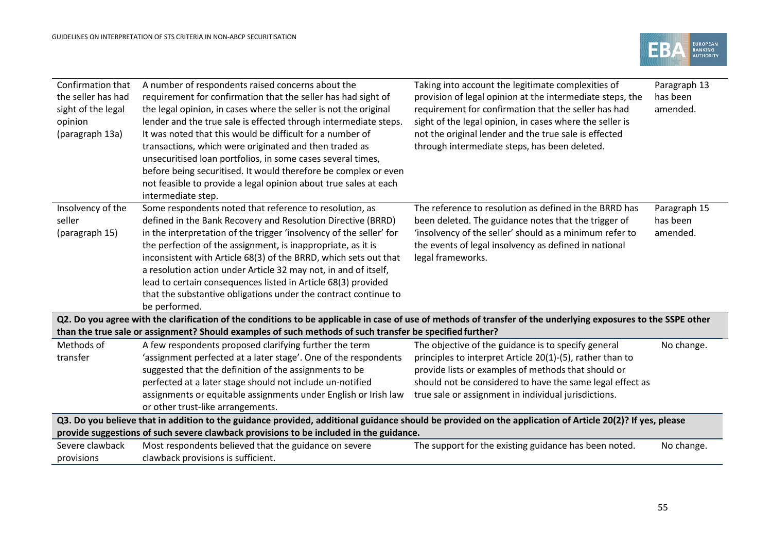

| Confirmation that<br>the seller has had<br>sight of the legal<br>opinion<br>(paragraph 13a) | A number of respondents raised concerns about the<br>requirement for confirmation that the seller has had sight of<br>the legal opinion, in cases where the seller is not the original<br>lender and the true sale is effected through intermediate steps.<br>It was noted that this would be difficult for a number of<br>transactions, which were originated and then traded as<br>unsecuritised loan portfolios, in some cases several times,<br>before being securitised. It would therefore be complex or even<br>not feasible to provide a legal opinion about true sales at each<br>intermediate step. | Taking into account the legitimate complexities of<br>provision of legal opinion at the intermediate steps, the<br>requirement for confirmation that the seller has had<br>sight of the legal opinion, in cases where the seller is<br>not the original lender and the true sale is effected<br>through intermediate steps, has been deleted. | Paragraph 13<br>has been<br>amended. |
|---------------------------------------------------------------------------------------------|---------------------------------------------------------------------------------------------------------------------------------------------------------------------------------------------------------------------------------------------------------------------------------------------------------------------------------------------------------------------------------------------------------------------------------------------------------------------------------------------------------------------------------------------------------------------------------------------------------------|-----------------------------------------------------------------------------------------------------------------------------------------------------------------------------------------------------------------------------------------------------------------------------------------------------------------------------------------------|--------------------------------------|
| Insolvency of the<br>seller<br>(paragraph 15)                                               | Some respondents noted that reference to resolution, as<br>defined in the Bank Recovery and Resolution Directive (BRRD)<br>in the interpretation of the trigger 'insolvency of the seller' for<br>the perfection of the assignment, is inappropriate, as it is<br>inconsistent with Article 68(3) of the BRRD, which sets out that<br>a resolution action under Article 32 may not, in and of itself,<br>lead to certain consequences listed in Article 68(3) provided<br>that the substantive obligations under the contract continue to<br>be performed.                                                    | The reference to resolution as defined in the BRRD has<br>been deleted. The guidance notes that the trigger of<br>'insolvency of the seller' should as a minimum refer to<br>the events of legal insolvency as defined in national<br>legal frameworks.                                                                                       | Paragraph 15<br>has been<br>amended. |
|                                                                                             | Q2. Do you agree with the clarification of the conditions to be applicable in case of use of methods of transfer of the underlying exposures to the SSPE other<br>than the true sale or assignment? Should examples of such methods of such transfer be specified further?                                                                                                                                                                                                                                                                                                                                    |                                                                                                                                                                                                                                                                                                                                               |                                      |
| Methods of<br>transfer                                                                      | A few respondents proposed clarifying further the term<br>'assignment perfected at a later stage'. One of the respondents<br>suggested that the definition of the assignments to be<br>perfected at a later stage should not include un-notified<br>assignments or equitable assignments under English or Irish law<br>or other trust-like arrangements.                                                                                                                                                                                                                                                      | The objective of the guidance is to specify general<br>principles to interpret Article 20(1)-(5), rather than to<br>provide lists or examples of methods that should or<br>should not be considered to have the same legal effect as<br>true sale or assignment in individual jurisdictions.                                                  | No change.                           |
|                                                                                             | Q3. Do you believe that in addition to the guidance provided, additional guidance should be provided on the application of Article 20(2)? If yes, please<br>provide suggestions of such severe clawback provisions to be included in the guidance.                                                                                                                                                                                                                                                                                                                                                            |                                                                                                                                                                                                                                                                                                                                               |                                      |
| Severe clawback<br>provisions                                                               | Most respondents believed that the guidance on severe<br>clawback provisions is sufficient.                                                                                                                                                                                                                                                                                                                                                                                                                                                                                                                   | The support for the existing guidance has been noted.                                                                                                                                                                                                                                                                                         | No change.                           |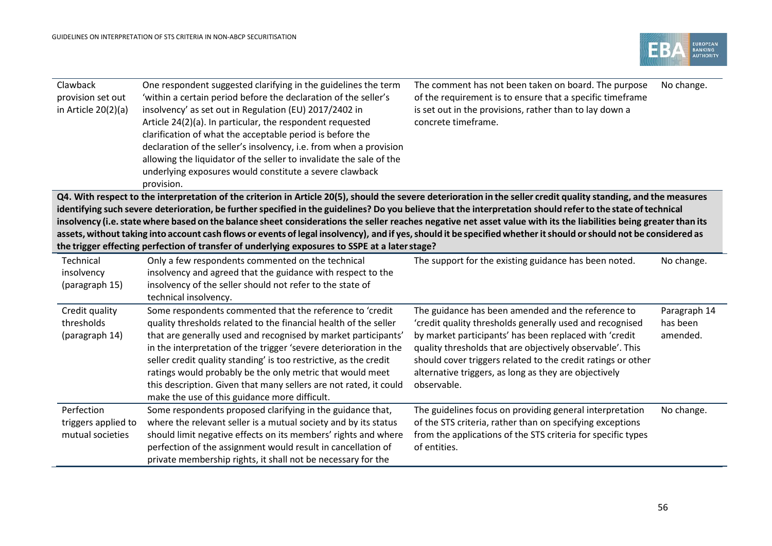

| Clawback<br>provision set out<br>in Article $20(2)(a)$ | One respondent suggested clarifying in the guidelines the term<br>'within a certain period before the declaration of the seller's<br>insolvency' as set out in Regulation (EU) 2017/2402 in<br>Article 24(2)(a). In particular, the respondent requested<br>clarification of what the acceptable period is before the<br>declaration of the seller's insolvency, i.e. from when a provision<br>allowing the liquidator of the seller to invalidate the sale of the<br>underlying exposures would constitute a severe clawback<br>provision. | The comment has not been taken on board. The purpose<br>of the requirement is to ensure that a specific timeframe<br>is set out in the provisions, rather than to lay down a<br>concrete timeframe. | No change.   |
|--------------------------------------------------------|---------------------------------------------------------------------------------------------------------------------------------------------------------------------------------------------------------------------------------------------------------------------------------------------------------------------------------------------------------------------------------------------------------------------------------------------------------------------------------------------------------------------------------------------|-----------------------------------------------------------------------------------------------------------------------------------------------------------------------------------------------------|--------------|
|                                                        | Q4. With respect to the interpretation of the criterion in Article 20(5), should the severe deterioration in the seller credit quality standing, and the measures                                                                                                                                                                                                                                                                                                                                                                           |                                                                                                                                                                                                     |              |
|                                                        | identifying such severe deterioration, be further specified in the guidelines? Do you believe that the interpretation should refer to the state of technical<br>insolvency (i.e. state where based on the balance sheet considerations the seller reaches negative net asset value with its the liabilities being greater than its                                                                                                                                                                                                          |                                                                                                                                                                                                     |              |
|                                                        | assets, without taking into account cash flows or events of legal insolvency), and if yes, should it be specified whether it should or should not be considered as                                                                                                                                                                                                                                                                                                                                                                          |                                                                                                                                                                                                     |              |
|                                                        | the trigger effecting perfection of transfer of underlying exposures to SSPE at a later stage?                                                                                                                                                                                                                                                                                                                                                                                                                                              |                                                                                                                                                                                                     |              |
| Technical                                              | Only a few respondents commented on the technical                                                                                                                                                                                                                                                                                                                                                                                                                                                                                           | The support for the existing guidance has been noted.                                                                                                                                               | No change.   |
| insolvency                                             | insolvency and agreed that the guidance with respect to the                                                                                                                                                                                                                                                                                                                                                                                                                                                                                 |                                                                                                                                                                                                     |              |
| (paragraph 15)                                         | insolvency of the seller should not refer to the state of<br>technical insolvency.                                                                                                                                                                                                                                                                                                                                                                                                                                                          |                                                                                                                                                                                                     |              |
| Credit quality                                         | Some respondents commented that the reference to 'credit                                                                                                                                                                                                                                                                                                                                                                                                                                                                                    | The guidance has been amended and the reference to                                                                                                                                                  | Paragraph 14 |
| thresholds                                             | quality thresholds related to the financial health of the seller                                                                                                                                                                                                                                                                                                                                                                                                                                                                            | 'credit quality thresholds generally used and recognised                                                                                                                                            | has been     |
| (paragraph 14)                                         | that are generally used and recognised by market participants'                                                                                                                                                                                                                                                                                                                                                                                                                                                                              | by market participants' has been replaced with 'credit                                                                                                                                              | amended.     |
|                                                        | in the interpretation of the trigger 'severe deterioration in the                                                                                                                                                                                                                                                                                                                                                                                                                                                                           | quality thresholds that are objectively observable'. This                                                                                                                                           |              |
|                                                        | seller credit quality standing' is too restrictive, as the credit                                                                                                                                                                                                                                                                                                                                                                                                                                                                           | should cover triggers related to the credit ratings or other                                                                                                                                        |              |
|                                                        | ratings would probably be the only metric that would meet                                                                                                                                                                                                                                                                                                                                                                                                                                                                                   | alternative triggers, as long as they are objectively                                                                                                                                               |              |
|                                                        | this description. Given that many sellers are not rated, it could                                                                                                                                                                                                                                                                                                                                                                                                                                                                           | observable.                                                                                                                                                                                         |              |
| Perfection                                             | make the use of this guidance more difficult.<br>Some respondents proposed clarifying in the guidance that,                                                                                                                                                                                                                                                                                                                                                                                                                                 | The guidelines focus on providing general interpretation                                                                                                                                            | No change.   |
| triggers applied to                                    | where the relevant seller is a mutual society and by its status                                                                                                                                                                                                                                                                                                                                                                                                                                                                             | of the STS criteria, rather than on specifying exceptions                                                                                                                                           |              |
| mutual societies                                       | should limit negative effects on its members' rights and where                                                                                                                                                                                                                                                                                                                                                                                                                                                                              | from the applications of the STS criteria for specific types                                                                                                                                        |              |
|                                                        | perfection of the assignment would result in cancellation of                                                                                                                                                                                                                                                                                                                                                                                                                                                                                | of entities.                                                                                                                                                                                        |              |
|                                                        | private membership rights, it shall not be necessary for the                                                                                                                                                                                                                                                                                                                                                                                                                                                                                |                                                                                                                                                                                                     |              |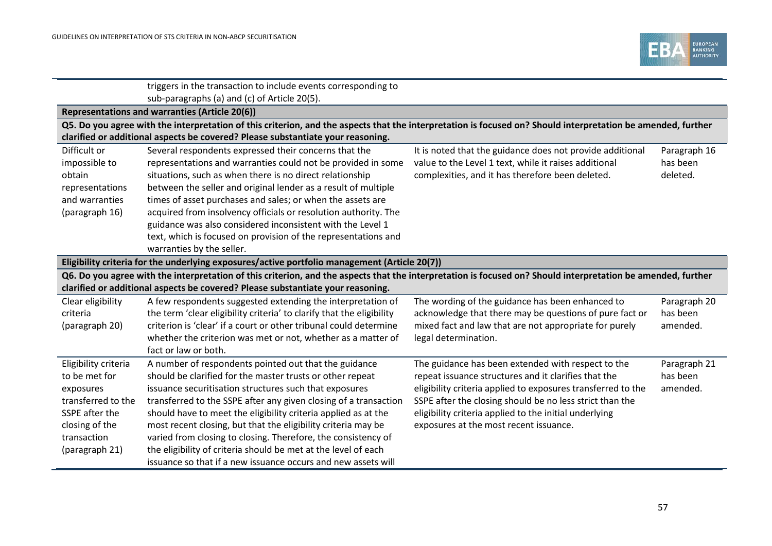

|                      | triggers in the transaction to include events corresponding to                                                                                               |                                                              |              |
|----------------------|--------------------------------------------------------------------------------------------------------------------------------------------------------------|--------------------------------------------------------------|--------------|
|                      | sub-paragraphs (a) and (c) of Article 20(5).                                                                                                                 |                                                              |              |
|                      | Representations and warranties (Article 20(6))                                                                                                               |                                                              |              |
|                      | Q5. Do you agree with the interpretation of this criterion, and the aspects that the interpretation is focused on? Should interpretation be amended, further |                                                              |              |
|                      | clarified or additional aspects be covered? Please substantiate your reasoning.                                                                              |                                                              |              |
| Difficult or         | Several respondents expressed their concerns that the                                                                                                        | It is noted that the guidance does not provide additional    | Paragraph 16 |
| impossible to        | representations and warranties could not be provided in some                                                                                                 | value to the Level 1 text, while it raises additional        | has been     |
| obtain               | situations, such as when there is no direct relationship                                                                                                     | complexities, and it has therefore been deleted.             | deleted.     |
| representations      | between the seller and original lender as a result of multiple                                                                                               |                                                              |              |
| and warranties       | times of asset purchases and sales; or when the assets are                                                                                                   |                                                              |              |
| (paragraph 16)       | acquired from insolvency officials or resolution authority. The                                                                                              |                                                              |              |
|                      | guidance was also considered inconsistent with the Level 1                                                                                                   |                                                              |              |
|                      | text, which is focused on provision of the representations and                                                                                               |                                                              |              |
|                      | warranties by the seller.                                                                                                                                    |                                                              |              |
|                      | Eligibility criteria for the underlying exposures/active portfolio management (Article 20(7))                                                                |                                                              |              |
|                      | Q6. Do you agree with the interpretation of this criterion, and the aspects that the interpretation is focused on? Should interpretation be amended, further |                                                              |              |
|                      | clarified or additional aspects be covered? Please substantiate your reasoning.                                                                              |                                                              |              |
| Clear eligibility    | A few respondents suggested extending the interpretation of                                                                                                  | The wording of the guidance has been enhanced to             | Paragraph 20 |
| criteria             | the term 'clear eligibility criteria' to clarify that the eligibility                                                                                        | acknowledge that there may be questions of pure fact or      | has been     |
| (paragraph 20)       | criterion is 'clear' if a court or other tribunal could determine                                                                                            | mixed fact and law that are not appropriate for purely       | amended.     |
|                      | whether the criterion was met or not, whether as a matter of                                                                                                 | legal determination.                                         |              |
|                      | fact or law or both.                                                                                                                                         |                                                              |              |
| Eligibility criteria | A number of respondents pointed out that the guidance                                                                                                        | The guidance has been extended with respect to the           | Paragraph 21 |
| to be met for        | should be clarified for the master trusts or other repeat                                                                                                    | repeat issuance structures and it clarifies that the         | has been     |
| exposures            | issuance securitisation structures such that exposures                                                                                                       | eligibility criteria applied to exposures transferred to the | amended.     |
| transferred to the   | transferred to the SSPE after any given closing of a transaction                                                                                             | SSPE after the closing should be no less strict than the     |              |
| SSPE after the       | should have to meet the eligibility criteria applied as at the                                                                                               | eligibility criteria applied to the initial underlying       |              |
| closing of the       | most recent closing, but that the eligibility criteria may be                                                                                                | exposures at the most recent issuance.                       |              |
| transaction          | varied from closing to closing. Therefore, the consistency of                                                                                                |                                                              |              |
| (paragraph 21)       | the eligibility of criteria should be met at the level of each                                                                                               |                                                              |              |
|                      | issuance so that if a new issuance occurs and new assets will                                                                                                |                                                              |              |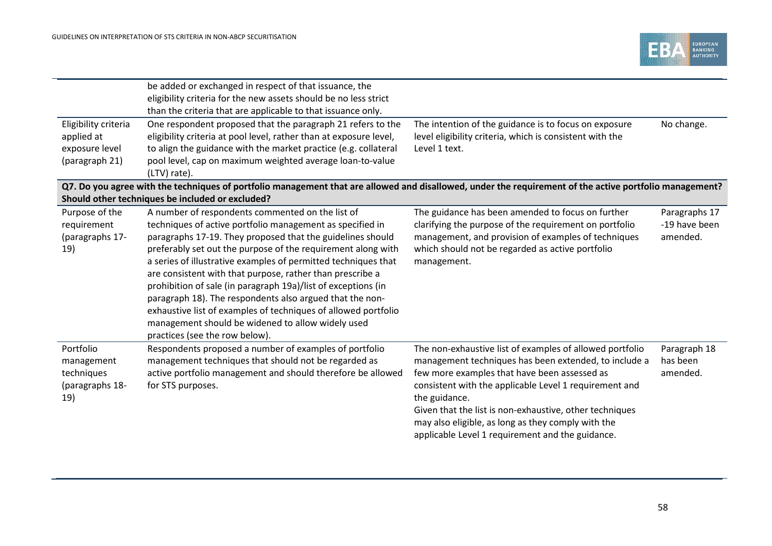

|                                                                        | be added or exchanged in respect of that issuance, the<br>eligibility criteria for the new assets should be no less strict                                                                                                                                                                                                                                                                                                                                                                                                                                                                                                                                                                                           |                                                                                                                                                                                                                                                                                                                                                                                                                   |                                            |
|------------------------------------------------------------------------|----------------------------------------------------------------------------------------------------------------------------------------------------------------------------------------------------------------------------------------------------------------------------------------------------------------------------------------------------------------------------------------------------------------------------------------------------------------------------------------------------------------------------------------------------------------------------------------------------------------------------------------------------------------------------------------------------------------------|-------------------------------------------------------------------------------------------------------------------------------------------------------------------------------------------------------------------------------------------------------------------------------------------------------------------------------------------------------------------------------------------------------------------|--------------------------------------------|
| Eligibility criteria<br>applied at<br>exposure level<br>(paragraph 21) | than the criteria that are applicable to that issuance only.<br>One respondent proposed that the paragraph 21 refers to the<br>eligibility criteria at pool level, rather than at exposure level,<br>to align the guidance with the market practice (e.g. collateral<br>pool level, cap on maximum weighted average loan-to-value<br>(LTV) rate).                                                                                                                                                                                                                                                                                                                                                                    | The intention of the guidance is to focus on exposure<br>level eligibility criteria, which is consistent with the<br>Level 1 text.                                                                                                                                                                                                                                                                                | No change.                                 |
|                                                                        | Q7. Do you agree with the techniques of portfolio management that are allowed and disallowed, under the requirement of the active portfolio management?                                                                                                                                                                                                                                                                                                                                                                                                                                                                                                                                                              |                                                                                                                                                                                                                                                                                                                                                                                                                   |                                            |
| Purpose of the<br>requirement<br>(paragraphs 17-<br>19)                | Should other techniques be included or excluded?<br>A number of respondents commented on the list of<br>techniques of active portfolio management as specified in<br>paragraphs 17-19. They proposed that the guidelines should<br>preferably set out the purpose of the requirement along with<br>a series of illustrative examples of permitted techniques that<br>are consistent with that purpose, rather than prescribe a<br>prohibition of sale (in paragraph 19a)/list of exceptions (in<br>paragraph 18). The respondents also argued that the non-<br>exhaustive list of examples of techniques of allowed portfolio<br>management should be widened to allow widely used<br>practices (see the row below). | The guidance has been amended to focus on further<br>clarifying the purpose of the requirement on portfolio<br>management, and provision of examples of techniques<br>which should not be regarded as active portfolio<br>management.                                                                                                                                                                             | Paragraphs 17<br>-19 have been<br>amended. |
| Portfolio<br>management<br>techniques<br>(paragraphs 18-<br>19)        | Respondents proposed a number of examples of portfolio<br>management techniques that should not be regarded as<br>active portfolio management and should therefore be allowed<br>for STS purposes.                                                                                                                                                                                                                                                                                                                                                                                                                                                                                                                   | The non-exhaustive list of examples of allowed portfolio<br>management techniques has been extended, to include a<br>few more examples that have been assessed as<br>consistent with the applicable Level 1 requirement and<br>the guidance.<br>Given that the list is non-exhaustive, other techniques<br>may also eligible, as long as they comply with the<br>applicable Level 1 requirement and the guidance. | Paragraph 18<br>has been<br>amended.       |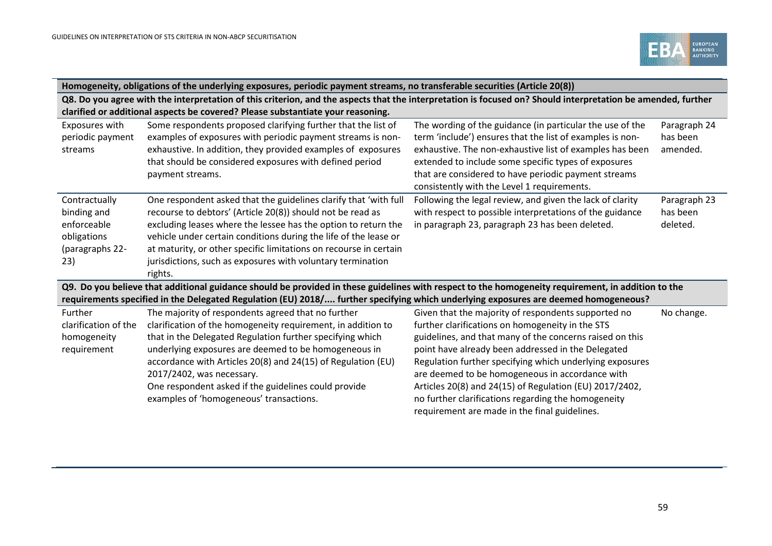

|                                                                                      | Homogeneity, obligations of the underlying exposures, periodic payment streams, no transferable securities (Article 20(8))                                                                                                                                                                                                                                                                                                              |                                                                                                                                                                                                                                                                                                                                                                                                                                                                                                             |                                      |  |
|--------------------------------------------------------------------------------------|-----------------------------------------------------------------------------------------------------------------------------------------------------------------------------------------------------------------------------------------------------------------------------------------------------------------------------------------------------------------------------------------------------------------------------------------|-------------------------------------------------------------------------------------------------------------------------------------------------------------------------------------------------------------------------------------------------------------------------------------------------------------------------------------------------------------------------------------------------------------------------------------------------------------------------------------------------------------|--------------------------------------|--|
|                                                                                      | Q8. Do you agree with the interpretation of this criterion, and the aspects that the interpretation is focused on? Should interpretation be amended, further<br>clarified or additional aspects be covered? Please substantiate your reasoning.                                                                                                                                                                                         |                                                                                                                                                                                                                                                                                                                                                                                                                                                                                                             |                                      |  |
| Exposures with<br>periodic payment<br>streams                                        | Some respondents proposed clarifying further that the list of<br>examples of exposures with periodic payment streams is non-<br>exhaustive. In addition, they provided examples of exposures<br>that should be considered exposures with defined period<br>payment streams.                                                                                                                                                             | The wording of the guidance (in particular the use of the<br>term 'include') ensures that the list of examples is non-<br>exhaustive. The non-exhaustive list of examples has been<br>extended to include some specific types of exposures<br>that are considered to have periodic payment streams<br>consistently with the Level 1 requirements.                                                                                                                                                           | Paragraph 24<br>has been<br>amended. |  |
| Contractually<br>binding and<br>enforceable<br>obligations<br>(paragraphs 22-<br>23) | One respondent asked that the guidelines clarify that 'with full<br>recourse to debtors' (Article 20(8)) should not be read as<br>excluding leases where the lessee has the option to return the<br>vehicle under certain conditions during the life of the lease or<br>at maturity, or other specific limitations on recourse in certain<br>jurisdictions, such as exposures with voluntary termination<br>rights.                     | Following the legal review, and given the lack of clarity<br>with respect to possible interpretations of the guidance<br>in paragraph 23, paragraph 23 has been deleted.                                                                                                                                                                                                                                                                                                                                    | Paragraph 23<br>has been<br>deleted. |  |
|                                                                                      | Q9. Do you believe that additional guidance should be provided in these guidelines with respect to the homogeneity requirement, in addition to the<br>requirements specified in the Delegated Regulation (EU) 2018/ further specifying which underlying exposures are deemed homogeneous?                                                                                                                                               |                                                                                                                                                                                                                                                                                                                                                                                                                                                                                                             |                                      |  |
| Further<br>clarification of the<br>homogeneity<br>requirement                        | The majority of respondents agreed that no further<br>clarification of the homogeneity requirement, in addition to<br>that in the Delegated Regulation further specifying which<br>underlying exposures are deemed to be homogeneous in<br>accordance with Articles 20(8) and 24(15) of Regulation (EU)<br>2017/2402, was necessary.<br>One respondent asked if the guidelines could provide<br>examples of 'homogeneous' transactions. | Given that the majority of respondents supported no<br>further clarifications on homogeneity in the STS<br>guidelines, and that many of the concerns raised on this<br>point have already been addressed in the Delegated<br>Regulation further specifying which underlying exposures<br>are deemed to be homogeneous in accordance with<br>Articles 20(8) and 24(15) of Regulation (EU) 2017/2402,<br>no further clarifications regarding the homogeneity<br>requirement are made in the final guidelines. | No change.                           |  |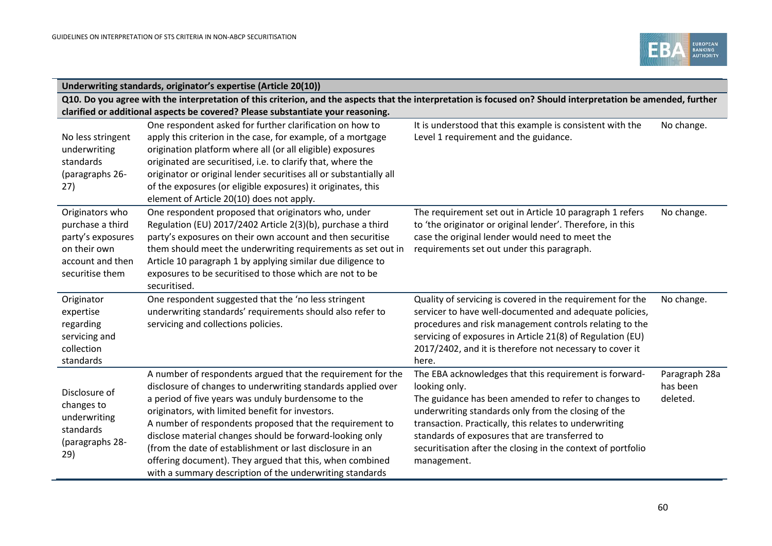

|                                                                                                                 | Underwriting standards, originator's expertise (Article 20(10))                                                                                                                                                                                                                                                                                                                                                                                                                                                                                    |                                                                                                                                                                                                                                                                                                                                                                                   |                                       |
|-----------------------------------------------------------------------------------------------------------------|----------------------------------------------------------------------------------------------------------------------------------------------------------------------------------------------------------------------------------------------------------------------------------------------------------------------------------------------------------------------------------------------------------------------------------------------------------------------------------------------------------------------------------------------------|-----------------------------------------------------------------------------------------------------------------------------------------------------------------------------------------------------------------------------------------------------------------------------------------------------------------------------------------------------------------------------------|---------------------------------------|
|                                                                                                                 | Q10. Do you agree with the interpretation of this criterion, and the aspects that the interpretation is focused on? Should interpretation be amended, further<br>clarified or additional aspects be covered? Please substantiate your reasoning.                                                                                                                                                                                                                                                                                                   |                                                                                                                                                                                                                                                                                                                                                                                   |                                       |
| No less stringent<br>underwriting<br>standards<br>(paragraphs 26-<br>27)                                        | One respondent asked for further clarification on how to<br>apply this criterion in the case, for example, of a mortgage<br>origination platform where all (or all eligible) exposures<br>originated are securitised, i.e. to clarify that, where the<br>originator or original lender securitises all or substantially all<br>of the exposures (or eligible exposures) it originates, this<br>element of Article 20(10) does not apply.                                                                                                           | It is understood that this example is consistent with the<br>Level 1 requirement and the guidance.                                                                                                                                                                                                                                                                                | No change.                            |
| Originators who<br>purchase a third<br>party's exposures<br>on their own<br>account and then<br>securitise them | One respondent proposed that originators who, under<br>Regulation (EU) 2017/2402 Article 2(3)(b), purchase a third<br>party's exposures on their own account and then securitise<br>them should meet the underwriting requirements as set out in<br>Article 10 paragraph 1 by applying similar due diligence to<br>exposures to be securitised to those which are not to be<br>securitised.                                                                                                                                                        | The requirement set out in Article 10 paragraph 1 refers<br>to 'the originator or original lender'. Therefore, in this<br>case the original lender would need to meet the<br>requirements set out under this paragraph.                                                                                                                                                           | No change.                            |
| Originator<br>expertise<br>regarding<br>servicing and<br>collection<br>standards                                | One respondent suggested that the 'no less stringent<br>underwriting standards' requirements should also refer to<br>servicing and collections policies.                                                                                                                                                                                                                                                                                                                                                                                           | Quality of servicing is covered in the requirement for the<br>servicer to have well-documented and adequate policies,<br>procedures and risk management controls relating to the<br>servicing of exposures in Article 21(8) of Regulation (EU)<br>2017/2402, and it is therefore not necessary to cover it<br>here.                                                               | No change.                            |
| Disclosure of<br>changes to<br>underwriting<br>standards<br>(paragraphs 28-<br>29)                              | A number of respondents argued that the requirement for the<br>disclosure of changes to underwriting standards applied over<br>a period of five years was unduly burdensome to the<br>originators, with limited benefit for investors.<br>A number of respondents proposed that the requirement to<br>disclose material changes should be forward-looking only<br>(from the date of establishment or last disclosure in an<br>offering document). They argued that this, when combined<br>with a summary description of the underwriting standards | The EBA acknowledges that this requirement is forward-<br>looking only.<br>The guidance has been amended to refer to changes to<br>underwriting standards only from the closing of the<br>transaction. Practically, this relates to underwriting<br>standards of exposures that are transferred to<br>securitisation after the closing in the context of portfolio<br>management. | Paragraph 28a<br>has been<br>deleted. |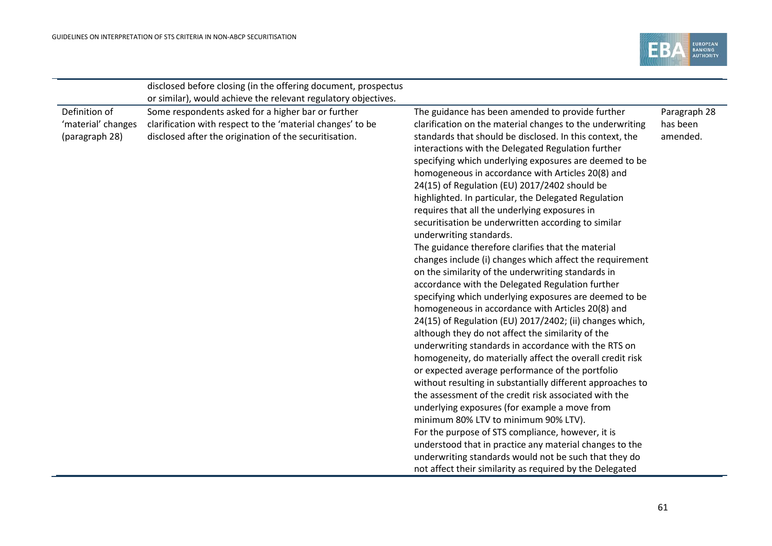

|                                                       | disclosed before closing (in the offering document, prospectus                                                                                                             |                                                                                                                                                                                                                                                                                                                                                                                                                                                                                                                                                                                                                                                                                                                                                                                                                                                                                                                                                                                                                                                                                                                                                                                                                                                                                                                                                                                                                                                                                                                                                                                                                                                                                      |                                      |
|-------------------------------------------------------|----------------------------------------------------------------------------------------------------------------------------------------------------------------------------|--------------------------------------------------------------------------------------------------------------------------------------------------------------------------------------------------------------------------------------------------------------------------------------------------------------------------------------------------------------------------------------------------------------------------------------------------------------------------------------------------------------------------------------------------------------------------------------------------------------------------------------------------------------------------------------------------------------------------------------------------------------------------------------------------------------------------------------------------------------------------------------------------------------------------------------------------------------------------------------------------------------------------------------------------------------------------------------------------------------------------------------------------------------------------------------------------------------------------------------------------------------------------------------------------------------------------------------------------------------------------------------------------------------------------------------------------------------------------------------------------------------------------------------------------------------------------------------------------------------------------------------------------------------------------------------|--------------------------------------|
|                                                       | or similar), would achieve the relevant regulatory objectives.                                                                                                             |                                                                                                                                                                                                                                                                                                                                                                                                                                                                                                                                                                                                                                                                                                                                                                                                                                                                                                                                                                                                                                                                                                                                                                                                                                                                                                                                                                                                                                                                                                                                                                                                                                                                                      |                                      |
| Definition of<br>'material' changes<br>(paragraph 28) | Some respondents asked for a higher bar or further<br>clarification with respect to the 'material changes' to be<br>disclosed after the origination of the securitisation. | The guidance has been amended to provide further<br>clarification on the material changes to the underwriting<br>standards that should be disclosed. In this context, the<br>interactions with the Delegated Regulation further<br>specifying which underlying exposures are deemed to be<br>homogeneous in accordance with Articles 20(8) and<br>24(15) of Regulation (EU) 2017/2402 should be<br>highlighted. In particular, the Delegated Regulation<br>requires that all the underlying exposures in<br>securitisation be underwritten according to similar<br>underwriting standards.<br>The guidance therefore clarifies that the material<br>changes include (i) changes which affect the requirement<br>on the similarity of the underwriting standards in<br>accordance with the Delegated Regulation further<br>specifying which underlying exposures are deemed to be<br>homogeneous in accordance with Articles 20(8) and<br>24(15) of Regulation (EU) 2017/2402; (ii) changes which,<br>although they do not affect the similarity of the<br>underwriting standards in accordance with the RTS on<br>homogeneity, do materially affect the overall credit risk<br>or expected average performance of the portfolio<br>without resulting in substantially different approaches to<br>the assessment of the credit risk associated with the<br>underlying exposures (for example a move from<br>minimum 80% LTV to minimum 90% LTV).<br>For the purpose of STS compliance, however, it is<br>understood that in practice any material changes to the<br>underwriting standards would not be such that they do<br>not affect their similarity as required by the Delegated | Paragraph 28<br>has been<br>amended. |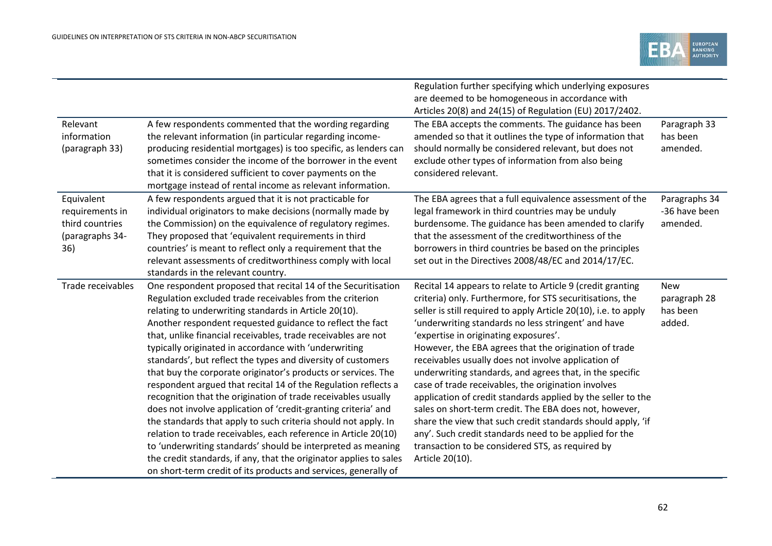|                   |                                                                    | Regulation further specifying which underlying exposures        |               |
|-------------------|--------------------------------------------------------------------|-----------------------------------------------------------------|---------------|
|                   |                                                                    | are deemed to be homogeneous in accordance with                 |               |
|                   |                                                                    | Articles 20(8) and 24(15) of Regulation (EU) 2017/2402.         |               |
| Relevant          | A few respondents commented that the wording regarding             | The EBA accepts the comments. The guidance has been             | Paragraph 33  |
| information       | the relevant information (in particular regarding income-          | amended so that it outlines the type of information that        | has been      |
| (paragraph 33)    | producing residential mortgages) is too specific, as lenders can   | should normally be considered relevant, but does not            | amended.      |
|                   | sometimes consider the income of the borrower in the event         | exclude other types of information from also being              |               |
|                   | that it is considered sufficient to cover payments on the          | considered relevant.                                            |               |
|                   | mortgage instead of rental income as relevant information.         |                                                                 |               |
| Equivalent        | A few respondents argued that it is not practicable for            | The EBA agrees that a full equivalence assessment of the        | Paragraphs 34 |
| requirements in   | individual originators to make decisions (normally made by         | legal framework in third countries may be unduly                | -36 have been |
| third countries   | the Commission) on the equivalence of regulatory regimes.          | burdensome. The guidance has been amended to clarify            | amended.      |
| (paragraphs 34-   | They proposed that 'equivalent requirements in third               | that the assessment of the creditworthiness of the              |               |
| 36)               | countries' is meant to reflect only a requirement that the         | borrowers in third countries be based on the principles         |               |
|                   | relevant assessments of creditworthiness comply with local         | set out in the Directives 2008/48/EC and 2014/17/EC.            |               |
|                   | standards in the relevant country.                                 |                                                                 |               |
| Trade receivables | One respondent proposed that recital 14 of the Securitisation      | Recital 14 appears to relate to Article 9 (credit granting      | <b>New</b>    |
|                   |                                                                    |                                                                 |               |
|                   | Regulation excluded trade receivables from the criterion           | criteria) only. Furthermore, for STS securitisations, the       | paragraph 28  |
|                   | relating to underwriting standards in Article 20(10).              | seller is still required to apply Article 20(10), i.e. to apply | has been      |
|                   | Another respondent requested guidance to reflect the fact          | 'underwriting standards no less stringent' and have             | added.        |
|                   | that, unlike financial receivables, trade receivables are not      | 'expertise in originating exposures'.                           |               |
|                   | typically originated in accordance with 'underwriting              | However, the EBA agrees that the origination of trade           |               |
|                   | standards', but reflect the types and diversity of customers       | receivables usually does not involve application of             |               |
|                   | that buy the corporate originator's products or services. The      | underwriting standards, and agrees that, in the specific        |               |
|                   | respondent argued that recital 14 of the Regulation reflects a     | case of trade receivables, the origination involves             |               |
|                   | recognition that the origination of trade receivables usually      | application of credit standards applied by the seller to the    |               |
|                   | does not involve application of 'credit-granting criteria' and     | sales on short-term credit. The EBA does not, however,          |               |
|                   | the standards that apply to such criteria should not apply. In     | share the view that such credit standards should apply, 'if     |               |
|                   | relation to trade receivables, each reference in Article 20(10)    | any'. Such credit standards need to be applied for the          |               |
|                   | to 'underwriting standards' should be interpreted as meaning       | transaction to be considered STS, as required by                |               |
|                   | the credit standards, if any, that the originator applies to sales | Article 20(10).                                                 |               |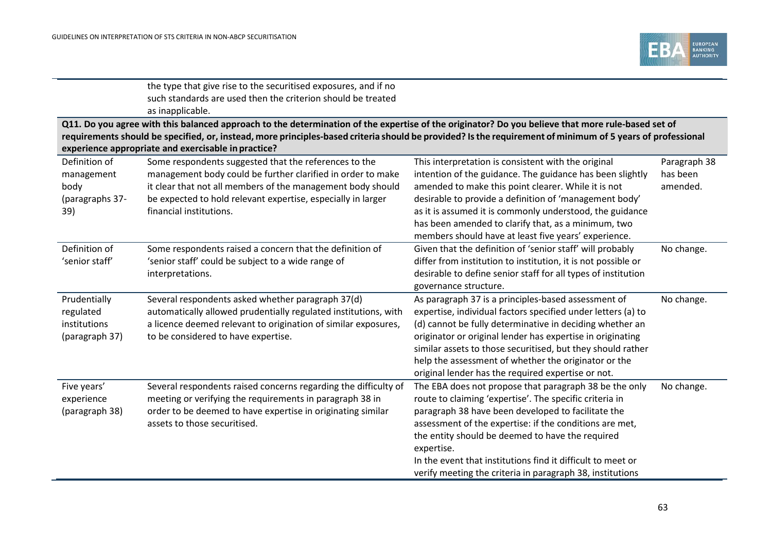

|                                                                                                                                                                                                                                                                                                                                                                        | the type that give rise to the securitised exposures, and if no<br>such standards are used then the criterion should be treated<br>as inapplicable. |                                                                           |              |  |
|------------------------------------------------------------------------------------------------------------------------------------------------------------------------------------------------------------------------------------------------------------------------------------------------------------------------------------------------------------------------|-----------------------------------------------------------------------------------------------------------------------------------------------------|---------------------------------------------------------------------------|--------------|--|
| Q11. Do you agree with this balanced approach to the determination of the expertise of the originator? Do you believe that more rule-based set of<br>requirements should be specified, or, instead, more principles-based criteria should be provided? Is the requirement of minimum of 5 years of professional<br>experience appropriate and exercisable in practice? |                                                                                                                                                     |                                                                           |              |  |
| Definition of                                                                                                                                                                                                                                                                                                                                                          | Some respondents suggested that the references to the                                                                                               | This interpretation is consistent with the original                       | Paragraph 38 |  |
| management                                                                                                                                                                                                                                                                                                                                                             | management body could be further clarified in order to make                                                                                         | intention of the guidance. The guidance has been slightly                 | has been     |  |
| body                                                                                                                                                                                                                                                                                                                                                                   | it clear that not all members of the management body should                                                                                         | amended to make this point clearer. While it is not                       | amended.     |  |
| (paragraphs 37-                                                                                                                                                                                                                                                                                                                                                        | be expected to hold relevant expertise, especially in larger                                                                                        | desirable to provide a definition of 'management body'                    |              |  |
| 39)                                                                                                                                                                                                                                                                                                                                                                    | financial institutions.                                                                                                                             | as it is assumed it is commonly understood, the guidance                  |              |  |
|                                                                                                                                                                                                                                                                                                                                                                        |                                                                                                                                                     | has been amended to clarify that, as a minimum, two                       |              |  |
|                                                                                                                                                                                                                                                                                                                                                                        |                                                                                                                                                     | members should have at least five years' experience.                      |              |  |
| Definition of                                                                                                                                                                                                                                                                                                                                                          | Some respondents raised a concern that the definition of                                                                                            | Given that the definition of 'senior staff' will probably                 | No change.   |  |
| 'senior staff'                                                                                                                                                                                                                                                                                                                                                         | 'senior staff' could be subject to a wide range of                                                                                                  | differ from institution to institution, it is not possible or             |              |  |
|                                                                                                                                                                                                                                                                                                                                                                        | interpretations.                                                                                                                                    | desirable to define senior staff for all types of institution             |              |  |
|                                                                                                                                                                                                                                                                                                                                                                        |                                                                                                                                                     | governance structure.                                                     |              |  |
| Prudentially                                                                                                                                                                                                                                                                                                                                                           | Several respondents asked whether paragraph 37(d)                                                                                                   | As paragraph 37 is a principles-based assessment of                       | No change.   |  |
| regulated                                                                                                                                                                                                                                                                                                                                                              | automatically allowed prudentially regulated institutions, with                                                                                     | expertise, individual factors specified under letters (a) to              |              |  |
| institutions                                                                                                                                                                                                                                                                                                                                                           | a licence deemed relevant to origination of similar exposures,                                                                                      | (d) cannot be fully determinative in deciding whether an                  |              |  |
| (paragraph 37)                                                                                                                                                                                                                                                                                                                                                         | to be considered to have expertise.                                                                                                                 | originator or original lender has expertise in originating                |              |  |
|                                                                                                                                                                                                                                                                                                                                                                        |                                                                                                                                                     | similar assets to those securitised, but they should rather               |              |  |
|                                                                                                                                                                                                                                                                                                                                                                        |                                                                                                                                                     | help the assessment of whether the originator or the                      |              |  |
|                                                                                                                                                                                                                                                                                                                                                                        |                                                                                                                                                     | original lender has the required expertise or not.                        |              |  |
| Five years'                                                                                                                                                                                                                                                                                                                                                            | Several respondents raised concerns regarding the difficulty of                                                                                     | The EBA does not propose that paragraph 38 be the only                    | No change.   |  |
| experience                                                                                                                                                                                                                                                                                                                                                             | meeting or verifying the requirements in paragraph 38 in                                                                                            | route to claiming 'expertise'. The specific criteria in                   |              |  |
| (paragraph 38)                                                                                                                                                                                                                                                                                                                                                         | order to be deemed to have expertise in originating similar                                                                                         | paragraph 38 have been developed to facilitate the                        |              |  |
|                                                                                                                                                                                                                                                                                                                                                                        | assets to those securitised.                                                                                                                        | assessment of the expertise: if the conditions are met,                   |              |  |
|                                                                                                                                                                                                                                                                                                                                                                        |                                                                                                                                                     | the entity should be deemed to have the required                          |              |  |
|                                                                                                                                                                                                                                                                                                                                                                        |                                                                                                                                                     | expertise.<br>In the event that institutions find it difficult to meet or |              |  |
|                                                                                                                                                                                                                                                                                                                                                                        |                                                                                                                                                     |                                                                           |              |  |
|                                                                                                                                                                                                                                                                                                                                                                        |                                                                                                                                                     | verify meeting the criteria in paragraph 38, institutions                 |              |  |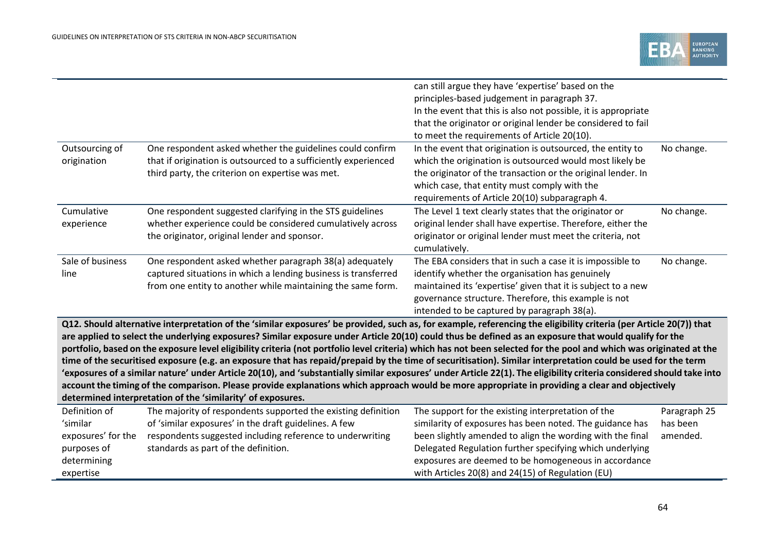|                    |                                                                                                                                                                       | can still argue they have 'expertise' based on the<br>principles-based judgement in paragraph 37. |              |
|--------------------|-----------------------------------------------------------------------------------------------------------------------------------------------------------------------|---------------------------------------------------------------------------------------------------|--------------|
|                    |                                                                                                                                                                       | In the event that this is also not possible, it is appropriate                                    |              |
|                    |                                                                                                                                                                       | that the originator or original lender be considered to fail                                      |              |
|                    |                                                                                                                                                                       | to meet the requirements of Article 20(10).                                                       |              |
| Outsourcing of     | One respondent asked whether the guidelines could confirm                                                                                                             | In the event that origination is outsourced, the entity to                                        | No change.   |
| origination        | that if origination is outsourced to a sufficiently experienced                                                                                                       | which the origination is outsourced would most likely be                                          |              |
|                    | third party, the criterion on expertise was met.                                                                                                                      | the originator of the transaction or the original lender. In                                      |              |
|                    |                                                                                                                                                                       | which case, that entity must comply with the<br>requirements of Article 20(10) subparagraph 4.    |              |
| Cumulative         | One respondent suggested clarifying in the STS guidelines                                                                                                             | The Level 1 text clearly states that the originator or                                            | No change.   |
| experience         | whether experience could be considered cumulatively across                                                                                                            | original lender shall have expertise. Therefore, either the                                       |              |
|                    | the originator, original lender and sponsor.                                                                                                                          | originator or original lender must meet the criteria, not                                         |              |
|                    |                                                                                                                                                                       | cumulatively.                                                                                     |              |
| Sale of business   | One respondent asked whether paragraph 38(a) adequately                                                                                                               | The EBA considers that in such a case it is impossible to                                         | No change.   |
| line               | captured situations in which a lending business is transferred                                                                                                        | identify whether the organisation has genuinely                                                   |              |
|                    | from one entity to another while maintaining the same form.                                                                                                           | maintained its 'expertise' given that it is subject to a new                                      |              |
|                    |                                                                                                                                                                       | governance structure. Therefore, this example is not                                              |              |
|                    |                                                                                                                                                                       | intended to be captured by paragraph 38(a).                                                       |              |
|                    | Q12. Should alternative interpretation of the 'similar exposures' be provided, such as, for example, referencing the eligibility criteria (per Article 20(7)) that    |                                                                                                   |              |
|                    | are applied to select the underlying exposures? Similar exposure under Article 20(10) could thus be defined as an exposure that would qualify for the                 |                                                                                                   |              |
|                    | portfolio, based on the exposure level eligibility criteria (not portfolio level criteria) which has not been selected for the pool and which was originated at the   |                                                                                                   |              |
|                    | time of the securitised exposure (e.g. an exposure that has repaid/prepaid by the time of securitisation). Similar interpretation could be used for the term          |                                                                                                   |              |
|                    | 'exposures of a similar nature' under Article 20(10), and 'substantially similar exposures' under Article 22(1). The eligibility criteria considered should take into |                                                                                                   |              |
|                    | account the timing of the comparison. Please provide explanations which approach would be more appropriate in providing a clear and objectively                       |                                                                                                   |              |
|                    | determined interpretation of the 'similarity' of exposures.                                                                                                           |                                                                                                   |              |
| Definition of      | The majority of respondents supported the existing definition                                                                                                         | The support for the existing interpretation of the                                                | Paragraph 25 |
| 'similar           | of 'similar exposures' in the draft guidelines. A few                                                                                                                 | similarity of exposures has been noted. The guidance has                                          | has been     |
| exposures' for the | respondents suggested including reference to underwriting                                                                                                             | been slightly amended to align the wording with the final                                         | amended.     |
| purposes of        | standards as part of the definition.                                                                                                                                  | Delegated Regulation further specifying which underlying                                          |              |
| determining        |                                                                                                                                                                       | exposures are deemed to be homogeneous in accordance                                              |              |
| expertise          |                                                                                                                                                                       | with Articles 20(8) and 24(15) of Regulation (EU)                                                 |              |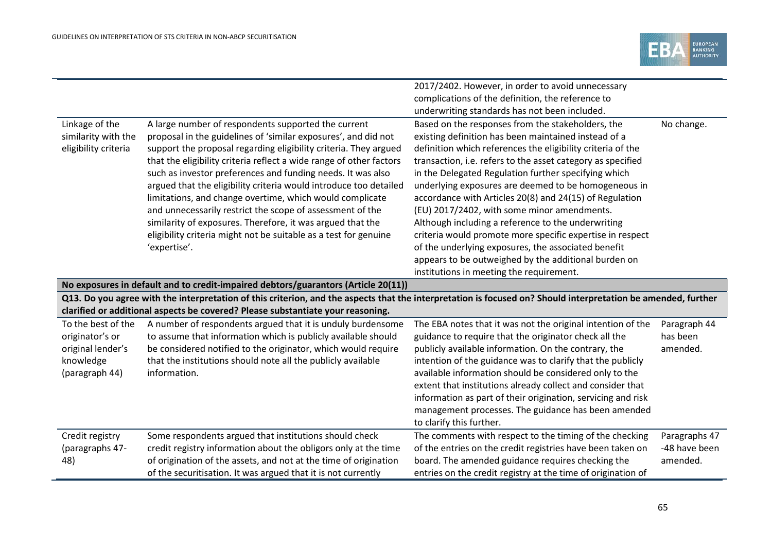

|                      |                                                                                                                                                                                                                                                  | 2017/2402. However, in order to avoid unnecessary            |               |  |  |
|----------------------|--------------------------------------------------------------------------------------------------------------------------------------------------------------------------------------------------------------------------------------------------|--------------------------------------------------------------|---------------|--|--|
|                      |                                                                                                                                                                                                                                                  | complications of the definition, the reference to            |               |  |  |
|                      |                                                                                                                                                                                                                                                  | underwriting standards has not been included.                |               |  |  |
| Linkage of the       | A large number of respondents supported the current                                                                                                                                                                                              | Based on the responses from the stakeholders, the            | No change.    |  |  |
| similarity with the  | proposal in the guidelines of 'similar exposures', and did not                                                                                                                                                                                   | existing definition has been maintained instead of a         |               |  |  |
| eligibility criteria | support the proposal regarding eligibility criteria. They argued                                                                                                                                                                                 | definition which references the eligibility criteria of the  |               |  |  |
|                      | that the eligibility criteria reflect a wide range of other factors                                                                                                                                                                              | transaction, i.e. refers to the asset category as specified  |               |  |  |
|                      | such as investor preferences and funding needs. It was also                                                                                                                                                                                      | in the Delegated Regulation further specifying which         |               |  |  |
|                      | argued that the eligibility criteria would introduce too detailed                                                                                                                                                                                | underlying exposures are deemed to be homogeneous in         |               |  |  |
|                      | limitations, and change overtime, which would complicate                                                                                                                                                                                         | accordance with Articles 20(8) and 24(15) of Regulation      |               |  |  |
|                      | and unnecessarily restrict the scope of assessment of the                                                                                                                                                                                        | (EU) 2017/2402, with some minor amendments.                  |               |  |  |
|                      | similarity of exposures. Therefore, it was argued that the                                                                                                                                                                                       | Although including a reference to the underwriting           |               |  |  |
|                      | eligibility criteria might not be suitable as a test for genuine                                                                                                                                                                                 | criteria would promote more specific expertise in respect    |               |  |  |
|                      | 'expertise'.                                                                                                                                                                                                                                     | of the underlying exposures, the associated benefit          |               |  |  |
|                      |                                                                                                                                                                                                                                                  | appears to be outweighed by the additional burden on         |               |  |  |
|                      |                                                                                                                                                                                                                                                  | institutions in meeting the requirement.                     |               |  |  |
|                      | No exposures in default and to credit-impaired debtors/guarantors (Article 20(11))                                                                                                                                                               |                                                              |               |  |  |
|                      | Q13. Do you agree with the interpretation of this criterion, and the aspects that the interpretation is focused on? Should interpretation be amended, further<br>clarified or additional aspects be covered? Please substantiate your reasoning. |                                                              |               |  |  |
| To the best of the   | A number of respondents argued that it is unduly burdensome                                                                                                                                                                                      | The EBA notes that it was not the original intention of the  | Paragraph 44  |  |  |
| originator's or      | to assume that information which is publicly available should                                                                                                                                                                                    | guidance to require that the originator check all the        | has been      |  |  |
| original lender's    | be considered notified to the originator, which would require                                                                                                                                                                                    | publicly available information. On the contrary, the         | amended.      |  |  |
| knowledge            | that the institutions should note all the publicly available                                                                                                                                                                                     | intention of the guidance was to clarify that the publicly   |               |  |  |
| (paragraph 44)       | information.                                                                                                                                                                                                                                     | available information should be considered only to the       |               |  |  |
|                      |                                                                                                                                                                                                                                                  | extent that institutions already collect and consider that   |               |  |  |
|                      |                                                                                                                                                                                                                                                  | information as part of their origination, servicing and risk |               |  |  |
|                      |                                                                                                                                                                                                                                                  | management processes. The guidance has been amended          |               |  |  |
|                      |                                                                                                                                                                                                                                                  | to clarify this further.                                     |               |  |  |
| Credit registry      | Some respondents argued that institutions should check                                                                                                                                                                                           | The comments with respect to the timing of the checking      | Paragraphs 47 |  |  |
|                      |                                                                                                                                                                                                                                                  |                                                              |               |  |  |
| (paragraphs 47-      | credit registry information about the obligors only at the time                                                                                                                                                                                  | of the entries on the credit registries have been taken on   | -48 have been |  |  |
| 48)                  | of origination of the assets, and not at the time of origination                                                                                                                                                                                 | board. The amended guidance requires checking the            | amended.      |  |  |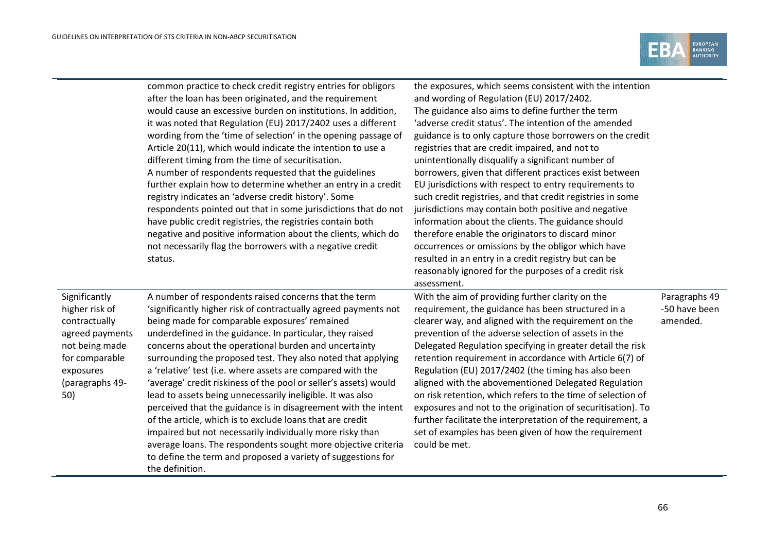

|                                                                                                                                                | common practice to check credit registry entries for obligors<br>after the loan has been originated, and the requirement<br>would cause an excessive burden on institutions. In addition,<br>it was noted that Regulation (EU) 2017/2402 uses a different<br>wording from the 'time of selection' in the opening passage of<br>Article 20(11), which would indicate the intention to use a<br>different timing from the time of securitisation.<br>A number of respondents requested that the guidelines<br>further explain how to determine whether an entry in a credit<br>registry indicates an 'adverse credit history'. Some<br>respondents pointed out that in some jurisdictions that do not<br>have public credit registries, the registries contain both<br>negative and positive information about the clients, which do<br>not necessarily flag the borrowers with a negative credit<br>status.     | the exposures, which seems consistent with the intention<br>and wording of Regulation (EU) 2017/2402.<br>The guidance also aims to define further the term<br>'adverse credit status'. The intention of the amended<br>guidance is to only capture those borrowers on the credit<br>registries that are credit impaired, and not to<br>unintentionally disqualify a significant number of<br>borrowers, given that different practices exist between<br>EU jurisdictions with respect to entry requirements to<br>such credit registries, and that credit registries in some<br>jurisdictions may contain both positive and negative<br>information about the clients. The guidance should<br>therefore enable the originators to discard minor<br>occurrences or omissions by the obligor which have<br>resulted in an entry in a credit registry but can be<br>reasonably ignored for the purposes of a credit risk<br>assessment. |                                            |
|------------------------------------------------------------------------------------------------------------------------------------------------|----------------------------------------------------------------------------------------------------------------------------------------------------------------------------------------------------------------------------------------------------------------------------------------------------------------------------------------------------------------------------------------------------------------------------------------------------------------------------------------------------------------------------------------------------------------------------------------------------------------------------------------------------------------------------------------------------------------------------------------------------------------------------------------------------------------------------------------------------------------------------------------------------------------|--------------------------------------------------------------------------------------------------------------------------------------------------------------------------------------------------------------------------------------------------------------------------------------------------------------------------------------------------------------------------------------------------------------------------------------------------------------------------------------------------------------------------------------------------------------------------------------------------------------------------------------------------------------------------------------------------------------------------------------------------------------------------------------------------------------------------------------------------------------------------------------------------------------------------------------|--------------------------------------------|
| Significantly<br>higher risk of<br>contractually<br>agreed payments<br>not being made<br>for comparable<br>exposures<br>(paragraphs 49-<br>50) | A number of respondents raised concerns that the term<br>'significantly higher risk of contractually agreed payments not<br>being made for comparable exposures' remained<br>underdefined in the guidance. In particular, they raised<br>concerns about the operational burden and uncertainty<br>surrounding the proposed test. They also noted that applying<br>a 'relative' test (i.e. where assets are compared with the<br>'average' credit riskiness of the pool or seller's assets) would<br>lead to assets being unnecessarily ineligible. It was also<br>perceived that the guidance is in disagreement with the intent<br>of the article, which is to exclude loans that are credit<br>impaired but not necessarily individually more risky than<br>average loans. The respondents sought more objective criteria<br>to define the term and proposed a variety of suggestions for<br>the definition. | With the aim of providing further clarity on the<br>requirement, the guidance has been structured in a<br>clearer way, and aligned with the requirement on the<br>prevention of the adverse selection of assets in the<br>Delegated Regulation specifying in greater detail the risk<br>retention requirement in accordance with Article 6(7) of<br>Regulation (EU) 2017/2402 (the timing has also been<br>aligned with the abovementioned Delegated Regulation<br>on risk retention, which refers to the time of selection of<br>exposures and not to the origination of securitisation). To<br>further facilitate the interpretation of the requirement, a<br>set of examples has been given of how the requirement<br>could be met.                                                                                                                                                                                               | Paragraphs 49<br>-50 have been<br>amended. |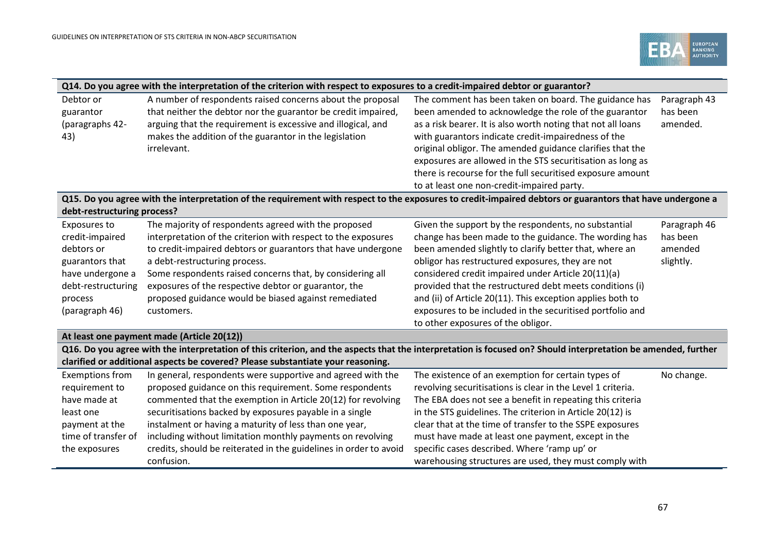

|                             | Q14. Do you agree with the interpretation of the criterion with respect to exposures to a credit-impaired debtor or guarantor?                                |                                                              |              |  |  |
|-----------------------------|---------------------------------------------------------------------------------------------------------------------------------------------------------------|--------------------------------------------------------------|--------------|--|--|
| Debtor or                   | A number of respondents raised concerns about the proposal                                                                                                    | The comment has been taken on board. The guidance has        | Paragraph 43 |  |  |
| guarantor                   | that neither the debtor nor the guarantor be credit impaired,                                                                                                 | been amended to acknowledge the role of the guarantor        | has been     |  |  |
| (paragraphs 42-             | arguing that the requirement is excessive and illogical, and                                                                                                  | as a risk bearer. It is also worth noting that not all loans | amended.     |  |  |
| 43)                         | makes the addition of the guarantor in the legislation                                                                                                        | with guarantors indicate credit-impairedness of the          |              |  |  |
|                             | irrelevant.                                                                                                                                                   | original obligor. The amended guidance clarifies that the    |              |  |  |
|                             |                                                                                                                                                               | exposures are allowed in the STS securitisation as long as   |              |  |  |
|                             |                                                                                                                                                               | there is recourse for the full securitised exposure amount   |              |  |  |
|                             |                                                                                                                                                               | to at least one non-credit-impaired party.                   |              |  |  |
|                             | Q15. Do you agree with the interpretation of the requirement with respect to the exposures to credit-impaired debtors or guarantors that have undergone a     |                                                              |              |  |  |
| debt-restructuring process? |                                                                                                                                                               |                                                              |              |  |  |
| Exposures to                | The majority of respondents agreed with the proposed                                                                                                          | Given the support by the respondents, no substantial         | Paragraph 46 |  |  |
| credit-impaired             | interpretation of the criterion with respect to the exposures                                                                                                 | change has been made to the guidance. The wording has        | has been     |  |  |
| debtors or                  | to credit-impaired debtors or guarantors that have undergone                                                                                                  | been amended slightly to clarify better that, where an       | amended      |  |  |
| guarantors that             | a debt-restructuring process.                                                                                                                                 | obligor has restructured exposures, they are not             | slightly.    |  |  |
| have undergone a            | Some respondents raised concerns that, by considering all                                                                                                     | considered credit impaired under Article 20(11)(a)           |              |  |  |
| debt-restructuring          | exposures of the respective debtor or guarantor, the                                                                                                          | provided that the restructured debt meets conditions (i)     |              |  |  |
| process                     | proposed guidance would be biased against remediated                                                                                                          | and (ii) of Article 20(11). This exception applies both to   |              |  |  |
| (paragraph 46)              | customers.                                                                                                                                                    | exposures to be included in the securitised portfolio and    |              |  |  |
|                             |                                                                                                                                                               | to other exposures of the obligor.                           |              |  |  |
|                             | At least one payment made (Article 20(12))                                                                                                                    |                                                              |              |  |  |
|                             | Q16. Do you agree with the interpretation of this criterion, and the aspects that the interpretation is focused on? Should interpretation be amended, further |                                                              |              |  |  |
|                             | clarified or additional aspects be covered? Please substantiate your reasoning.                                                                               |                                                              |              |  |  |
| <b>Exemptions from</b>      | In general, respondents were supportive and agreed with the                                                                                                   | The existence of an exemption for certain types of           | No change.   |  |  |
| requirement to              | proposed guidance on this requirement. Some respondents                                                                                                       | revolving securitisations is clear in the Level 1 criteria.  |              |  |  |
| have made at                | commented that the exemption in Article 20(12) for revolving                                                                                                  | The EBA does not see a benefit in repeating this criteria    |              |  |  |

| -nave made at       | commented that the exemption in Article 20(12) for revolving      | The EBA does not see a benefit in repeating this criteria |
|---------------------|-------------------------------------------------------------------|-----------------------------------------------------------|
| least one           | securitisations backed by exposures payable in a single           | in the STS guidelines. The criterion in Article 20(12) is |
| payment at the      | instalment or having a maturity of less than one year,            | clear that at the time of transfer to the SSPE exposures  |
| time of transfer of | including without limitation monthly payments on revolving        | must have made at least one payment, except in the        |
| the exposures       | credits, should be reiterated in the guidelines in order to avoid | specific cases described. Where 'ramp up' or              |
|                     | confusion.                                                        | warehousing structures are used, they must comply with    |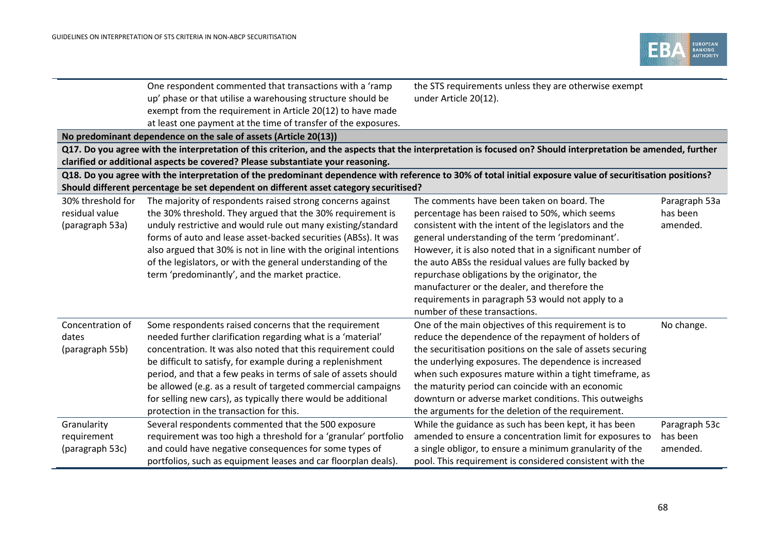

|                                                        | One respondent commented that transactions with a 'ramp<br>up' phase or that utilise a warehousing structure should be<br>exempt from the requirement in Article 20(12) to have made<br>at least one payment at the time of transfer of the exposures.<br>No predominant dependence on the sale of assets (Article 20(13))<br>Q17. Do you agree with the interpretation of this criterion, and the aspects that the interpretation is focused on? Should interpretation be amended, further<br>clarified or additional aspects be covered? Please substantiate your reasoning.<br>Q18. Do you agree with the interpretation of the predominant dependence with reference to 30% of total initial exposure value of securitisation positions? | the STS requirements unless they are otherwise exempt<br>under Article 20(12).                                                                                                                                                                                                                                                                                                                                                                                                                                          |                                       |
|--------------------------------------------------------|----------------------------------------------------------------------------------------------------------------------------------------------------------------------------------------------------------------------------------------------------------------------------------------------------------------------------------------------------------------------------------------------------------------------------------------------------------------------------------------------------------------------------------------------------------------------------------------------------------------------------------------------------------------------------------------------------------------------------------------------|-------------------------------------------------------------------------------------------------------------------------------------------------------------------------------------------------------------------------------------------------------------------------------------------------------------------------------------------------------------------------------------------------------------------------------------------------------------------------------------------------------------------------|---------------------------------------|
|                                                        | Should different percentage be set dependent on different asset category securitised?                                                                                                                                                                                                                                                                                                                                                                                                                                                                                                                                                                                                                                                        |                                                                                                                                                                                                                                                                                                                                                                                                                                                                                                                         |                                       |
| 30% threshold for<br>residual value<br>(paragraph 53a) | The majority of respondents raised strong concerns against<br>the 30% threshold. They argued that the 30% requirement is<br>unduly restrictive and would rule out many existing/standard<br>forms of auto and lease asset-backed securities (ABSs). It was<br>also argued that 30% is not in line with the original intentions<br>of the legislators, or with the general understanding of the<br>term 'predominantly', and the market practice.                                                                                                                                                                                                                                                                                             | The comments have been taken on board. The<br>percentage has been raised to 50%, which seems<br>consistent with the intent of the legislators and the<br>general understanding of the term 'predominant'.<br>However, it is also noted that in a significant number of<br>the auto ABSs the residual values are fully backed by<br>repurchase obligations by the originator, the<br>manufacturer or the dealer, and therefore the<br>requirements in paragraph 53 would not apply to a<br>number of these transactions. | Paragraph 53a<br>has been<br>amended. |
| Concentration of<br>dates<br>(paragraph 55b)           | Some respondents raised concerns that the requirement<br>needed further clarification regarding what is a 'material'<br>concentration. It was also noted that this requirement could<br>be difficult to satisfy, for example during a replenishment<br>period, and that a few peaks in terms of sale of assets should<br>be allowed (e.g. as a result of targeted commercial campaigns<br>for selling new cars), as typically there would be additional<br>protection in the transaction for this.                                                                                                                                                                                                                                           | One of the main objectives of this requirement is to<br>reduce the dependence of the repayment of holders of<br>the securitisation positions on the sale of assets securing<br>the underlying exposures. The dependence is increased<br>when such exposures mature within a tight timeframe, as<br>the maturity period can coincide with an economic<br>downturn or adverse market conditions. This outweighs<br>the arguments for the deletion of the requirement.                                                     | No change.                            |
| Granularity<br>requirement<br>(paragraph 53c)          | Several respondents commented that the 500 exposure<br>requirement was too high a threshold for a 'granular' portfolio<br>and could have negative consequences for some types of<br>portfolios, such as equipment leases and car floorplan deals).                                                                                                                                                                                                                                                                                                                                                                                                                                                                                           | While the guidance as such has been kept, it has been<br>amended to ensure a concentration limit for exposures to<br>a single obligor, to ensure a minimum granularity of the<br>pool. This requirement is considered consistent with the                                                                                                                                                                                                                                                                               | Paragraph 53c<br>has been<br>amended. |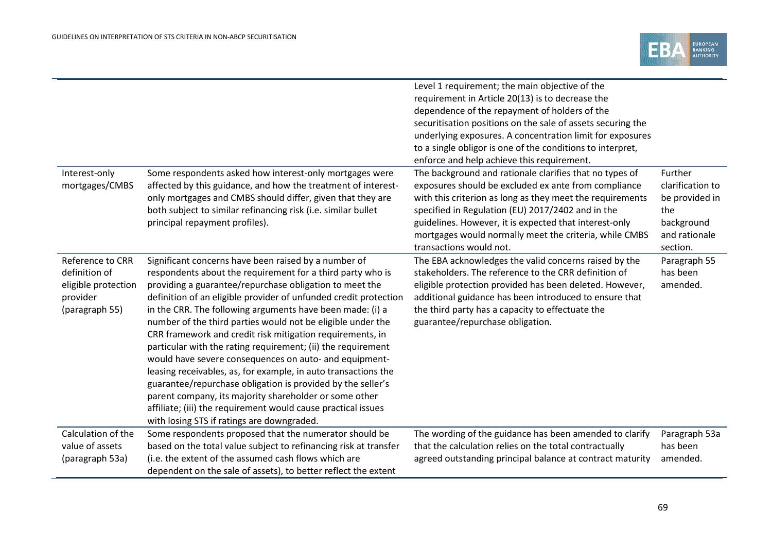|                                                                                        |                                                                                                                                                                                                                                                                                                                                                                                                                                                                                                                                                                                                                                                                                                                                                                                                                                                                                | Level 1 requirement; the main objective of the<br>requirement in Article 20(13) is to decrease the<br>dependence of the repayment of holders of the<br>securitisation positions on the sale of assets securing the<br>underlying exposures. A concentration limit for exposures<br>to a single obligor is one of the conditions to interpret,<br>enforce and help achieve this requirement. |                                                                                                 |
|----------------------------------------------------------------------------------------|--------------------------------------------------------------------------------------------------------------------------------------------------------------------------------------------------------------------------------------------------------------------------------------------------------------------------------------------------------------------------------------------------------------------------------------------------------------------------------------------------------------------------------------------------------------------------------------------------------------------------------------------------------------------------------------------------------------------------------------------------------------------------------------------------------------------------------------------------------------------------------|---------------------------------------------------------------------------------------------------------------------------------------------------------------------------------------------------------------------------------------------------------------------------------------------------------------------------------------------------------------------------------------------|-------------------------------------------------------------------------------------------------|
| Interest-only<br>mortgages/CMBS                                                        | Some respondents asked how interest-only mortgages were<br>affected by this guidance, and how the treatment of interest-<br>only mortgages and CMBS should differ, given that they are<br>both subject to similar refinancing risk (i.e. similar bullet<br>principal repayment profiles).                                                                                                                                                                                                                                                                                                                                                                                                                                                                                                                                                                                      | The background and rationale clarifies that no types of<br>exposures should be excluded ex ante from compliance<br>with this criterion as long as they meet the requirements<br>specified in Regulation (EU) 2017/2402 and in the<br>guidelines. However, it is expected that interest-only<br>mortgages would normally meet the criteria, while CMBS<br>transactions would not.            | Further<br>clarification to<br>be provided in<br>the<br>background<br>and rationale<br>section. |
| Reference to CRR<br>definition of<br>eligible protection<br>provider<br>(paragraph 55) | Significant concerns have been raised by a number of<br>respondents about the requirement for a third party who is<br>providing a guarantee/repurchase obligation to meet the<br>definition of an eligible provider of unfunded credit protection<br>in the CRR. The following arguments have been made: (i) a<br>number of the third parties would not be eligible under the<br>CRR framework and credit risk mitigation requirements, in<br>particular with the rating requirement; (ii) the requirement<br>would have severe consequences on auto- and equipment-<br>leasing receivables, as, for example, in auto transactions the<br>guarantee/repurchase obligation is provided by the seller's<br>parent company, its majority shareholder or some other<br>affiliate; (iii) the requirement would cause practical issues<br>with losing STS if ratings are downgraded. | The EBA acknowledges the valid concerns raised by the<br>stakeholders. The reference to the CRR definition of<br>eligible protection provided has been deleted. However,<br>additional guidance has been introduced to ensure that<br>the third party has a capacity to effectuate the<br>guarantee/repurchase obligation.                                                                  | Paragraph 55<br>has been<br>amended.                                                            |
| Calculation of the<br>value of assets<br>(paragraph 53a)                               | Some respondents proposed that the numerator should be<br>based on the total value subject to refinancing risk at transfer<br>(i.e. the extent of the assumed cash flows which are<br>dependent on the sale of assets), to better reflect the extent                                                                                                                                                                                                                                                                                                                                                                                                                                                                                                                                                                                                                           | The wording of the guidance has been amended to clarify<br>that the calculation relies on the total contractually<br>agreed outstanding principal balance at contract maturity                                                                                                                                                                                                              | Paragraph 53a<br>has been<br>amended.                                                           |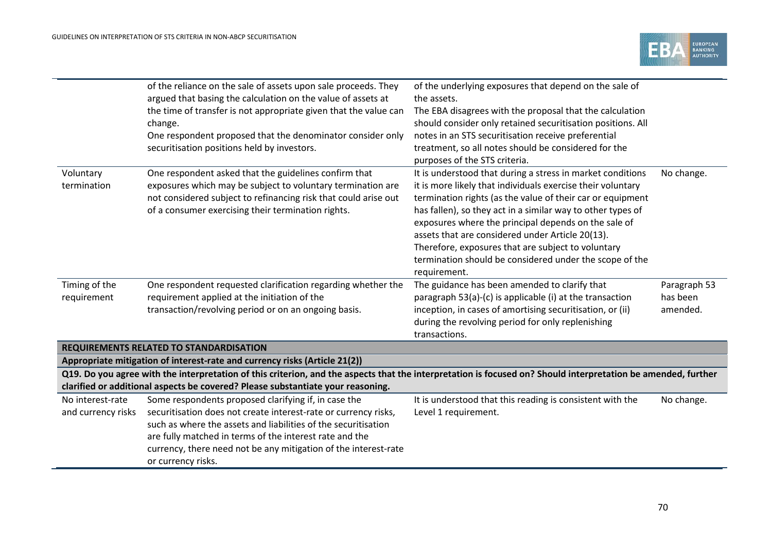

|                                        | of the reliance on the sale of assets upon sale proceeds. They<br>argued that basing the calculation on the value of assets at<br>the time of transfer is not appropriate given that the value can<br>change.<br>One respondent proposed that the denominator consider only<br>securitisation positions held by investors.                    | of the underlying exposures that depend on the sale of<br>the assets.<br>The EBA disagrees with the proposal that the calculation<br>should consider only retained securitisation positions. All<br>notes in an STS securitisation receive preferential<br>treatment, so all notes should be considered for the<br>purposes of the STS criteria.                                                                                                                                                    |                                      |
|----------------------------------------|-----------------------------------------------------------------------------------------------------------------------------------------------------------------------------------------------------------------------------------------------------------------------------------------------------------------------------------------------|-----------------------------------------------------------------------------------------------------------------------------------------------------------------------------------------------------------------------------------------------------------------------------------------------------------------------------------------------------------------------------------------------------------------------------------------------------------------------------------------------------|--------------------------------------|
| Voluntary<br>termination               | One respondent asked that the guidelines confirm that<br>exposures which may be subject to voluntary termination are<br>not considered subject to refinancing risk that could arise out<br>of a consumer exercising their termination rights.                                                                                                 | It is understood that during a stress in market conditions<br>it is more likely that individuals exercise their voluntary<br>termination rights (as the value of their car or equipment<br>has fallen), so they act in a similar way to other types of<br>exposures where the principal depends on the sale of<br>assets that are considered under Article 20(13).<br>Therefore, exposures that are subject to voluntary<br>termination should be considered under the scope of the<br>requirement. | No change.                           |
| Timing of the<br>requirement           | One respondent requested clarification regarding whether the<br>requirement applied at the initiation of the<br>transaction/revolving period or on an ongoing basis.                                                                                                                                                                          | The guidance has been amended to clarify that<br>paragraph 53(a)-(c) is applicable (i) at the transaction<br>inception, in cases of amortising securitisation, or (ii)<br>during the revolving period for only replenishing<br>transactions.                                                                                                                                                                                                                                                        | Paragraph 53<br>has been<br>amended. |
|                                        | REQUIREMENTS RELATED TO STANDARDISATION                                                                                                                                                                                                                                                                                                       |                                                                                                                                                                                                                                                                                                                                                                                                                                                                                                     |                                      |
|                                        | Appropriate mitigation of interest-rate and currency risks (Article 21(2))                                                                                                                                                                                                                                                                    |                                                                                                                                                                                                                                                                                                                                                                                                                                                                                                     |                                      |
|                                        | Q19. Do you agree with the interpretation of this criterion, and the aspects that the interpretation is focused on? Should interpretation be amended, further<br>clarified or additional aspects be covered? Please substantiate your reasoning.                                                                                              |                                                                                                                                                                                                                                                                                                                                                                                                                                                                                                     |                                      |
| No interest-rate<br>and currency risks | Some respondents proposed clarifying if, in case the<br>securitisation does not create interest-rate or currency risks,<br>such as where the assets and liabilities of the securitisation<br>are fully matched in terms of the interest rate and the<br>currency, there need not be any mitigation of the interest-rate<br>or currency risks. | It is understood that this reading is consistent with the<br>Level 1 requirement.                                                                                                                                                                                                                                                                                                                                                                                                                   | No change.                           |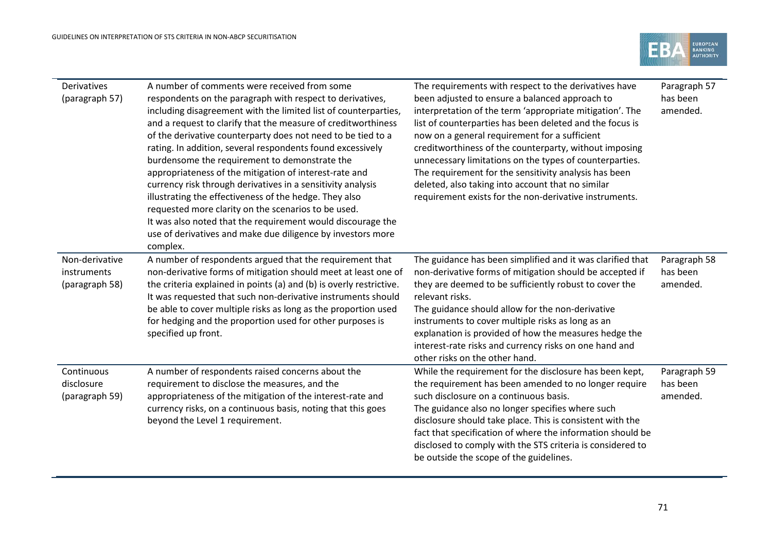

| Derivatives<br>(paragraph 57)                   | A number of comments were received from some<br>respondents on the paragraph with respect to derivatives,<br>including disagreement with the limited list of counterparties,<br>and a request to clarify that the measure of creditworthiness<br>of the derivative counterparty does not need to be tied to a<br>rating. In addition, several respondents found excessively<br>burdensome the requirement to demonstrate the<br>appropriateness of the mitigation of interest-rate and<br>currency risk through derivatives in a sensitivity analysis<br>illustrating the effectiveness of the hedge. They also<br>requested more clarity on the scenarios to be used.<br>It was also noted that the requirement would discourage the<br>use of derivatives and make due diligence by investors more<br>complex. | The requirements with respect to the derivatives have<br>been adjusted to ensure a balanced approach to<br>interpretation of the term 'appropriate mitigation'. The<br>list of counterparties has been deleted and the focus is<br>now on a general requirement for a sufficient<br>creditworthiness of the counterparty, without imposing<br>unnecessary limitations on the types of counterparties.<br>The requirement for the sensitivity analysis has been<br>deleted, also taking into account that no similar<br>requirement exists for the non-derivative instruments. | Paragraph 57<br>has been<br>amended. |
|-------------------------------------------------|------------------------------------------------------------------------------------------------------------------------------------------------------------------------------------------------------------------------------------------------------------------------------------------------------------------------------------------------------------------------------------------------------------------------------------------------------------------------------------------------------------------------------------------------------------------------------------------------------------------------------------------------------------------------------------------------------------------------------------------------------------------------------------------------------------------|-------------------------------------------------------------------------------------------------------------------------------------------------------------------------------------------------------------------------------------------------------------------------------------------------------------------------------------------------------------------------------------------------------------------------------------------------------------------------------------------------------------------------------------------------------------------------------|--------------------------------------|
| Non-derivative<br>instruments<br>(paragraph 58) | A number of respondents argued that the requirement that<br>non-derivative forms of mitigation should meet at least one of<br>the criteria explained in points (a) and (b) is overly restrictive.<br>It was requested that such non-derivative instruments should<br>be able to cover multiple risks as long as the proportion used<br>for hedging and the proportion used for other purposes is<br>specified up front.                                                                                                                                                                                                                                                                                                                                                                                          | The guidance has been simplified and it was clarified that<br>non-derivative forms of mitigation should be accepted if<br>they are deemed to be sufficiently robust to cover the<br>relevant risks.<br>The guidance should allow for the non-derivative<br>instruments to cover multiple risks as long as an<br>explanation is provided of how the measures hedge the<br>interest-rate risks and currency risks on one hand and<br>other risks on the other hand.                                                                                                             | Paragraph 58<br>has been<br>amended. |
| Continuous<br>disclosure<br>(paragraph 59)      | A number of respondents raised concerns about the<br>requirement to disclose the measures, and the<br>appropriateness of the mitigation of the interest-rate and<br>currency risks, on a continuous basis, noting that this goes<br>beyond the Level 1 requirement.                                                                                                                                                                                                                                                                                                                                                                                                                                                                                                                                              | While the requirement for the disclosure has been kept,<br>the requirement has been amended to no longer require<br>such disclosure on a continuous basis.<br>The guidance also no longer specifies where such<br>disclosure should take place. This is consistent with the<br>fact that specification of where the information should be<br>disclosed to comply with the STS criteria is considered to<br>be outside the scope of the guidelines.                                                                                                                            | Paragraph 59<br>has been<br>amended. |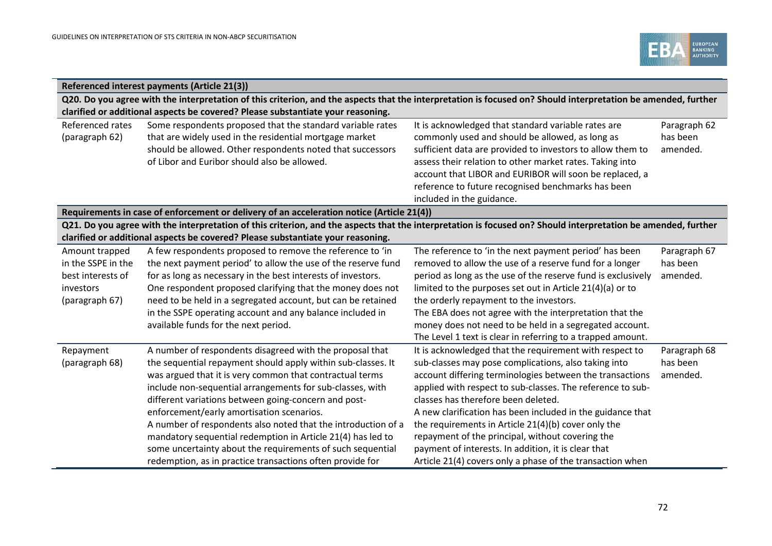

| Referenced interest payments (Article 21(3)) |                                                                                                                                                               |                                                              |              |  |  |
|----------------------------------------------|---------------------------------------------------------------------------------------------------------------------------------------------------------------|--------------------------------------------------------------|--------------|--|--|
|                                              | Q20. Do you agree with the interpretation of this criterion, and the aspects that the interpretation is focused on? Should interpretation be amended, further |                                                              |              |  |  |
|                                              | clarified or additional aspects be covered? Please substantiate your reasoning.                                                                               |                                                              |              |  |  |
| Referenced rates                             | Some respondents proposed that the standard variable rates                                                                                                    | It is acknowledged that standard variable rates are          | Paragraph 62 |  |  |
| (paragraph 62)                               | that are widely used in the residential mortgage market                                                                                                       | commonly used and should be allowed, as long as              | has been     |  |  |
|                                              | should be allowed. Other respondents noted that successors                                                                                                    | sufficient data are provided to investors to allow them to   | amended.     |  |  |
|                                              | of Libor and Euribor should also be allowed.                                                                                                                  | assess their relation to other market rates. Taking into     |              |  |  |
|                                              |                                                                                                                                                               | account that LIBOR and EURIBOR will soon be replaced, a      |              |  |  |
|                                              |                                                                                                                                                               | reference to future recognised benchmarks has been           |              |  |  |
|                                              |                                                                                                                                                               | included in the guidance.                                    |              |  |  |
|                                              | Requirements in case of enforcement or delivery of an acceleration notice (Article 21(4))                                                                     |                                                              |              |  |  |
|                                              | Q21. Do you agree with the interpretation of this criterion, and the aspects that the interpretation is focused on? Should interpretation be amended, further |                                                              |              |  |  |
|                                              | clarified or additional aspects be covered? Please substantiate your reasoning.                                                                               |                                                              |              |  |  |
| Amount trapped                               | A few respondents proposed to remove the reference to 'in                                                                                                     | The reference to 'in the next payment period' has been       | Paragraph 67 |  |  |
| in the SSPE in the                           | the next payment period' to allow the use of the reserve fund                                                                                                 | removed to allow the use of a reserve fund for a longer      | has been     |  |  |
| best interests of                            | for as long as necessary in the best interests of investors.                                                                                                  | period as long as the use of the reserve fund is exclusively | amended.     |  |  |
| investors                                    | One respondent proposed clarifying that the money does not                                                                                                    | limited to the purposes set out in Article 21(4)(a) or to    |              |  |  |
| (paragraph 67)                               | need to be held in a segregated account, but can be retained                                                                                                  | the orderly repayment to the investors.                      |              |  |  |
|                                              | in the SSPE operating account and any balance included in                                                                                                     | The EBA does not agree with the interpretation that the      |              |  |  |
|                                              | available funds for the next period.                                                                                                                          | money does not need to be held in a segregated account.      |              |  |  |
|                                              |                                                                                                                                                               | The Level 1 text is clear in referring to a trapped amount.  |              |  |  |
| Repayment                                    | A number of respondents disagreed with the proposal that                                                                                                      | It is acknowledged that the requirement with respect to      | Paragraph 68 |  |  |
| (paragraph 68)                               | the sequential repayment should apply within sub-classes. It                                                                                                  | sub-classes may pose complications, also taking into         | has been     |  |  |
|                                              | was argued that it is very common that contractual terms                                                                                                      | account differing terminologies between the transactions     | amended.     |  |  |
|                                              | include non-sequential arrangements for sub-classes, with                                                                                                     | applied with respect to sub-classes. The reference to sub-   |              |  |  |
|                                              | different variations between going-concern and post-                                                                                                          | classes has therefore been deleted.                          |              |  |  |
|                                              | enforcement/early amortisation scenarios.                                                                                                                     | A new clarification has been included in the guidance that   |              |  |  |
|                                              | A number of respondents also noted that the introduction of a                                                                                                 | the requirements in Article 21(4)(b) cover only the          |              |  |  |
|                                              | mandatory sequential redemption in Article 21(4) has led to                                                                                                   | repayment of the principal, without covering the             |              |  |  |
|                                              | some uncertainty about the requirements of such sequential                                                                                                    | payment of interests. In addition, it is clear that          |              |  |  |
|                                              | redemption, as in practice transactions often provide for                                                                                                     | Article 21(4) covers only a phase of the transaction when    |              |  |  |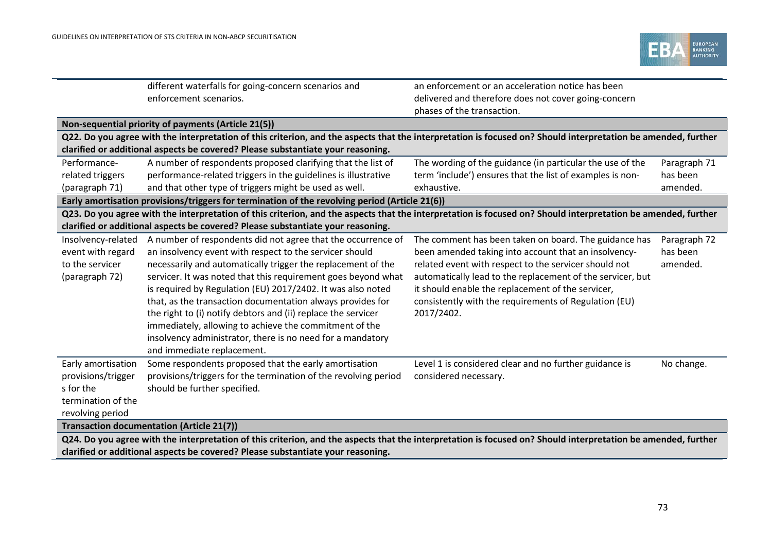

|                                                                                                                                                               | different waterfalls for going-concern scenarios and                                                                                                                                                                                                                                                                                                                                                                                                                                                                                                                                                         | an enforcement or an acceleration notice has been                                                                                                                                                                                                                                                                                                                |                                      |
|---------------------------------------------------------------------------------------------------------------------------------------------------------------|--------------------------------------------------------------------------------------------------------------------------------------------------------------------------------------------------------------------------------------------------------------------------------------------------------------------------------------------------------------------------------------------------------------------------------------------------------------------------------------------------------------------------------------------------------------------------------------------------------------|------------------------------------------------------------------------------------------------------------------------------------------------------------------------------------------------------------------------------------------------------------------------------------------------------------------------------------------------------------------|--------------------------------------|
|                                                                                                                                                               | enforcement scenarios.                                                                                                                                                                                                                                                                                                                                                                                                                                                                                                                                                                                       | delivered and therefore does not cover going-concern                                                                                                                                                                                                                                                                                                             |                                      |
|                                                                                                                                                               |                                                                                                                                                                                                                                                                                                                                                                                                                                                                                                                                                                                                              | phases of the transaction.                                                                                                                                                                                                                                                                                                                                       |                                      |
|                                                                                                                                                               | Non-sequential priority of payments (Article 21(5))                                                                                                                                                                                                                                                                                                                                                                                                                                                                                                                                                          |                                                                                                                                                                                                                                                                                                                                                                  |                                      |
|                                                                                                                                                               | Q22. Do you agree with the interpretation of this criterion, and the aspects that the interpretation is focused on? Should interpretation be amended, further                                                                                                                                                                                                                                                                                                                                                                                                                                                |                                                                                                                                                                                                                                                                                                                                                                  |                                      |
|                                                                                                                                                               | clarified or additional aspects be covered? Please substantiate your reasoning.                                                                                                                                                                                                                                                                                                                                                                                                                                                                                                                              |                                                                                                                                                                                                                                                                                                                                                                  |                                      |
| Performance-                                                                                                                                                  | A number of respondents proposed clarifying that the list of                                                                                                                                                                                                                                                                                                                                                                                                                                                                                                                                                 | The wording of the guidance (in particular the use of the                                                                                                                                                                                                                                                                                                        | Paragraph 71                         |
| related triggers                                                                                                                                              | performance-related triggers in the guidelines is illustrative                                                                                                                                                                                                                                                                                                                                                                                                                                                                                                                                               | term 'include') ensures that the list of examples is non-                                                                                                                                                                                                                                                                                                        | has been                             |
| (paragraph 71)                                                                                                                                                | and that other type of triggers might be used as well.                                                                                                                                                                                                                                                                                                                                                                                                                                                                                                                                                       | exhaustive.                                                                                                                                                                                                                                                                                                                                                      | amended.                             |
|                                                                                                                                                               | Early amortisation provisions/triggers for termination of the revolving period (Article 21(6))                                                                                                                                                                                                                                                                                                                                                                                                                                                                                                               |                                                                                                                                                                                                                                                                                                                                                                  |                                      |
|                                                                                                                                                               | Q23. Do you agree with the interpretation of this criterion, and the aspects that the interpretation is focused on? Should interpretation be amended, further                                                                                                                                                                                                                                                                                                                                                                                                                                                |                                                                                                                                                                                                                                                                                                                                                                  |                                      |
|                                                                                                                                                               | clarified or additional aspects be covered? Please substantiate your reasoning.                                                                                                                                                                                                                                                                                                                                                                                                                                                                                                                              |                                                                                                                                                                                                                                                                                                                                                                  |                                      |
| Insolvency-related<br>event with regard<br>to the servicer<br>(paragraph 72)                                                                                  | A number of respondents did not agree that the occurrence of<br>an insolvency event with respect to the servicer should<br>necessarily and automatically trigger the replacement of the<br>servicer. It was noted that this requirement goes beyond what<br>is required by Regulation (EU) 2017/2402. It was also noted<br>that, as the transaction documentation always provides for<br>the right to (i) notify debtors and (ii) replace the servicer<br>immediately, allowing to achieve the commitment of the<br>insolvency administrator, there is no need for a mandatory<br>and immediate replacement. | The comment has been taken on board. The guidance has<br>been amended taking into account that an insolvency-<br>related event with respect to the servicer should not<br>automatically lead to the replacement of the servicer, but<br>it should enable the replacement of the servicer,<br>consistently with the requirements of Regulation (EU)<br>2017/2402. | Paragraph 72<br>has been<br>amended. |
| Early amortisation<br>provisions/trigger<br>s for the<br>termination of the<br>revolving period                                                               | Some respondents proposed that the early amortisation<br>provisions/triggers for the termination of the revolving period<br>should be further specified.                                                                                                                                                                                                                                                                                                                                                                                                                                                     | Level 1 is considered clear and no further guidance is<br>considered necessary.                                                                                                                                                                                                                                                                                  | No change.                           |
|                                                                                                                                                               | <b>Transaction documentation (Article 21(7))</b>                                                                                                                                                                                                                                                                                                                                                                                                                                                                                                                                                             |                                                                                                                                                                                                                                                                                                                                                                  |                                      |
| Q24. Do you agree with the interpretation of this criterion, and the aspects that the interpretation is focused on? Should interpretation be amended, further |                                                                                                                                                                                                                                                                                                                                                                                                                                                                                                                                                                                                              |                                                                                                                                                                                                                                                                                                                                                                  |                                      |
| clarified or additional aspects be covered? Please substantiate your reasoning.                                                                               |                                                                                                                                                                                                                                                                                                                                                                                                                                                                                                                                                                                                              |                                                                                                                                                                                                                                                                                                                                                                  |                                      |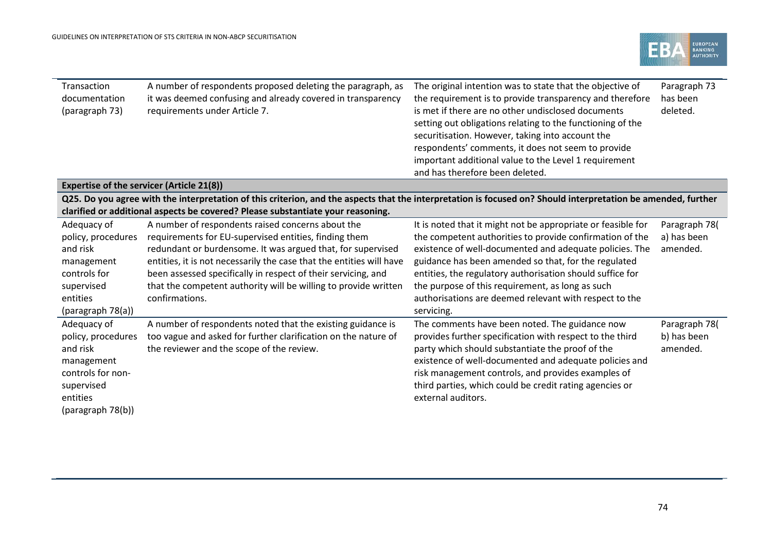

| Transaction        | A number of respondents proposed deleting the paragraph, as                                                                                                   | The original intention was to state that the objective of    | Paragraph 73  |  |
|--------------------|---------------------------------------------------------------------------------------------------------------------------------------------------------------|--------------------------------------------------------------|---------------|--|
| documentation      | it was deemed confusing and already covered in transparency                                                                                                   | the requirement is to provide transparency and therefore     | has been      |  |
| (paragraph 73)     | requirements under Article 7.                                                                                                                                 | is met if there are no other undisclosed documents           | deleted.      |  |
|                    |                                                                                                                                                               | setting out obligations relating to the functioning of the   |               |  |
|                    |                                                                                                                                                               | securitisation. However, taking into account the             |               |  |
|                    |                                                                                                                                                               | respondents' comments, it does not seem to provide           |               |  |
|                    |                                                                                                                                                               | important additional value to the Level 1 requirement        |               |  |
|                    |                                                                                                                                                               | and has therefore been deleted.                              |               |  |
|                    | <b>Expertise of the servicer (Article 21(8))</b>                                                                                                              |                                                              |               |  |
|                    | Q25. Do you agree with the interpretation of this criterion, and the aspects that the interpretation is focused on? Should interpretation be amended, further |                                                              |               |  |
|                    | clarified or additional aspects be covered? Please substantiate your reasoning.                                                                               |                                                              |               |  |
| Adequacy of        | A number of respondents raised concerns about the                                                                                                             | It is noted that it might not be appropriate or feasible for | Paragraph 78( |  |
| policy, procedures | requirements for EU-supervised entities, finding them                                                                                                         | the competent authorities to provide confirmation of the     | a) has been   |  |
| and risk           | redundant or burdensome. It was argued that, for supervised                                                                                                   | existence of well-documented and adequate policies. The      | amended.      |  |
| management         | entities, it is not necessarily the case that the entities will have                                                                                          | guidance has been amended so that, for the regulated         |               |  |
| controls for       | been assessed specifically in respect of their servicing, and                                                                                                 | entities, the regulatory authorisation should suffice for    |               |  |
| supervised         | that the competent authority will be willing to provide written                                                                                               | the purpose of this requirement, as long as such             |               |  |
| entities           | confirmations.                                                                                                                                                | authorisations are deemed relevant with respect to the       |               |  |
| (paragraph 78(a))  |                                                                                                                                                               | servicing.                                                   |               |  |
| Adequacy of        | A number of respondents noted that the existing guidance is                                                                                                   | The comments have been noted. The guidance now               | Paragraph 78( |  |
| policy, procedures | too vague and asked for further clarification on the nature of                                                                                                | provides further specification with respect to the third     | b) has been   |  |
| and risk           | the reviewer and the scope of the review.                                                                                                                     | party which should substantiate the proof of the             | amended.      |  |
| management         |                                                                                                                                                               | existence of well-documented and adequate policies and       |               |  |
| controls for non-  |                                                                                                                                                               | risk management controls, and provides examples of           |               |  |
| supervised         |                                                                                                                                                               | third parties, which could be credit rating agencies or      |               |  |
| entities           |                                                                                                                                                               | external auditors.                                           |               |  |
| (paragraph 78(b))  |                                                                                                                                                               |                                                              |               |  |
|                    |                                                                                                                                                               |                                                              |               |  |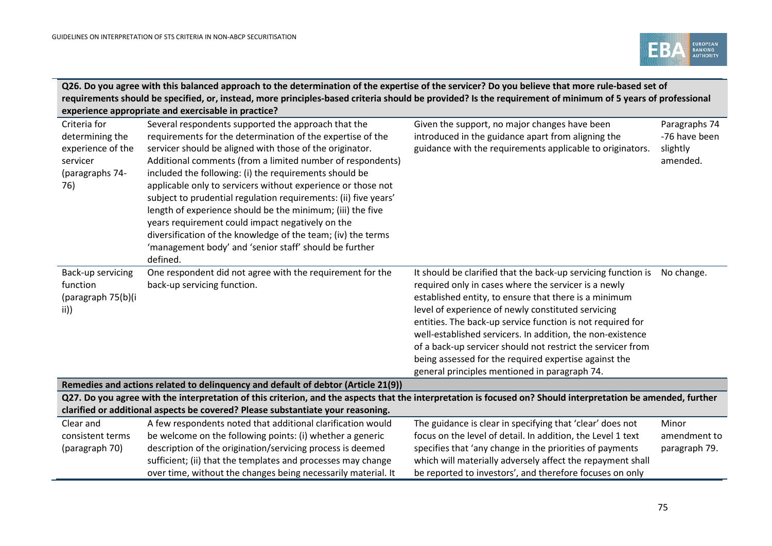

|                                                                                                                                                                                                                                                  | Q26. Do you agree with this balanced approach to the determination of the expertise of the servicer? Do you believe that more rule-based set of<br>requirements should be specified, or, instead, more principles-based criteria should be provided? Is the requirement of minimum of 5 years of professional<br>experience appropriate and exercisable in practice?                                                                                                                                                                                                                                                                                                                             |                                                                                                                                                                                                                                                                                                                                                                                                                                                                                                                                           |                                                        |
|--------------------------------------------------------------------------------------------------------------------------------------------------------------------------------------------------------------------------------------------------|--------------------------------------------------------------------------------------------------------------------------------------------------------------------------------------------------------------------------------------------------------------------------------------------------------------------------------------------------------------------------------------------------------------------------------------------------------------------------------------------------------------------------------------------------------------------------------------------------------------------------------------------------------------------------------------------------|-------------------------------------------------------------------------------------------------------------------------------------------------------------------------------------------------------------------------------------------------------------------------------------------------------------------------------------------------------------------------------------------------------------------------------------------------------------------------------------------------------------------------------------------|--------------------------------------------------------|
| Criteria for<br>determining the<br>experience of the<br>servicer<br>(paragraphs 74-<br>76)                                                                                                                                                       | Several respondents supported the approach that the<br>requirements for the determination of the expertise of the<br>servicer should be aligned with those of the originator.<br>Additional comments (from a limited number of respondents)<br>included the following: (i) the requirements should be<br>applicable only to servicers without experience or those not<br>subject to prudential regulation requirements: (ii) five years'<br>length of experience should be the minimum; (iii) the five<br>years requirement could impact negatively on the<br>diversification of the knowledge of the team; (iv) the terms<br>'management body' and 'senior staff' should be further<br>defined. | Given the support, no major changes have been<br>introduced in the guidance apart from aligning the<br>guidance with the requirements applicable to originators.                                                                                                                                                                                                                                                                                                                                                                          | Paragraphs 74<br>-76 have been<br>slightly<br>amended. |
| Back-up servicing<br>function<br>(paragraph 75(b)(i<br>$\vert i \rangle$                                                                                                                                                                         | One respondent did not agree with the requirement for the<br>back-up servicing function.                                                                                                                                                                                                                                                                                                                                                                                                                                                                                                                                                                                                         | It should be clarified that the back-up servicing function is<br>required only in cases where the servicer is a newly<br>established entity, to ensure that there is a minimum<br>level of experience of newly constituted servicing<br>entities. The back-up service function is not required for<br>well-established servicers. In addition, the non-existence<br>of a back-up servicer should not restrict the servicer from<br>being assessed for the required expertise against the<br>general principles mentioned in paragraph 74. | No change.                                             |
|                                                                                                                                                                                                                                                  | Remedies and actions related to delinquency and default of debtor (Article 21(9))                                                                                                                                                                                                                                                                                                                                                                                                                                                                                                                                                                                                                |                                                                                                                                                                                                                                                                                                                                                                                                                                                                                                                                           |                                                        |
| Q27. Do you agree with the interpretation of this criterion, and the aspects that the interpretation is focused on? Should interpretation be amended, further<br>clarified or additional aspects be covered? Please substantiate your reasoning. |                                                                                                                                                                                                                                                                                                                                                                                                                                                                                                                                                                                                                                                                                                  |                                                                                                                                                                                                                                                                                                                                                                                                                                                                                                                                           |                                                        |
| Clear and                                                                                                                                                                                                                                        | A few respondents noted that additional clarification would                                                                                                                                                                                                                                                                                                                                                                                                                                                                                                                                                                                                                                      | The guidance is clear in specifying that 'clear' does not                                                                                                                                                                                                                                                                                                                                                                                                                                                                                 | Minor                                                  |
| consistent terms                                                                                                                                                                                                                                 | be welcome on the following points: (i) whether a generic                                                                                                                                                                                                                                                                                                                                                                                                                                                                                                                                                                                                                                        | focus on the level of detail. In addition, the Level 1 text                                                                                                                                                                                                                                                                                                                                                                                                                                                                               | amendment to                                           |
| (paragraph 70)                                                                                                                                                                                                                                   | description of the origination/servicing process is deemed                                                                                                                                                                                                                                                                                                                                                                                                                                                                                                                                                                                                                                       | specifies that 'any change in the priorities of payments                                                                                                                                                                                                                                                                                                                                                                                                                                                                                  | paragraph 79.                                          |
|                                                                                                                                                                                                                                                  | sufficient; (ii) that the templates and processes may change<br>over time, without the changes being necessarily material. It                                                                                                                                                                                                                                                                                                                                                                                                                                                                                                                                                                    | which will materially adversely affect the repayment shall<br>be reported to investors', and therefore focuses on only                                                                                                                                                                                                                                                                                                                                                                                                                    |                                                        |
|                                                                                                                                                                                                                                                  |                                                                                                                                                                                                                                                                                                                                                                                                                                                                                                                                                                                                                                                                                                  |                                                                                                                                                                                                                                                                                                                                                                                                                                                                                                                                           |                                                        |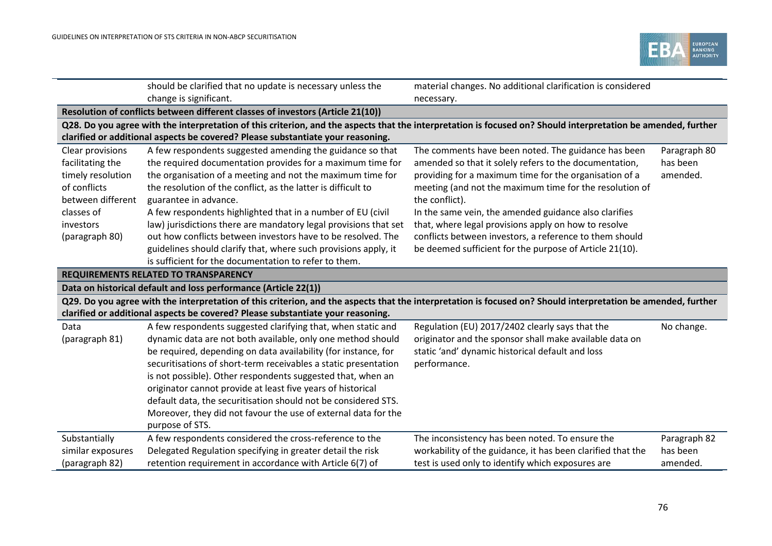**College** 



|                   | should be clarified that no update is necessary unless the                                                                                                    | material changes. No additional clarification is considered |              |
|-------------------|---------------------------------------------------------------------------------------------------------------------------------------------------------------|-------------------------------------------------------------|--------------|
|                   | change is significant.                                                                                                                                        | necessary.                                                  |              |
|                   | Resolution of conflicts between different classes of investors (Article 21(10))                                                                               |                                                             |              |
|                   | Q28. Do you agree with the interpretation of this criterion, and the aspects that the interpretation is focused on? Should interpretation be amended, further |                                                             |              |
|                   | clarified or additional aspects be covered? Please substantiate your reasoning.                                                                               |                                                             |              |
| Clear provisions  | A few respondents suggested amending the guidance so that                                                                                                     | The comments have been noted. The guidance has been         | Paragraph 80 |
| facilitating the  | the required documentation provides for a maximum time for                                                                                                    | amended so that it solely refers to the documentation,      | has been     |
| timely resolution | the organisation of a meeting and not the maximum time for                                                                                                    | providing for a maximum time for the organisation of a      | amended.     |
| of conflicts      | the resolution of the conflict, as the latter is difficult to                                                                                                 | meeting (and not the maximum time for the resolution of     |              |
| between different | guarantee in advance.                                                                                                                                         | the conflict).                                              |              |
| classes of        | A few respondents highlighted that in a number of EU (civil                                                                                                   | In the same vein, the amended guidance also clarifies       |              |
| investors         | law) jurisdictions there are mandatory legal provisions that set                                                                                              | that, where legal provisions apply on how to resolve        |              |
| (paragraph 80)    | out how conflicts between investors have to be resolved. The                                                                                                  | conflicts between investors, a reference to them should     |              |
|                   | guidelines should clarify that, where such provisions apply, it                                                                                               | be deemed sufficient for the purpose of Article 21(10).     |              |
|                   | is sufficient for the documentation to refer to them.                                                                                                         |                                                             |              |
|                   | <b>REQUIREMENTS RELATED TO TRANSPARENCY</b>                                                                                                                   |                                                             |              |
|                   | Data on historical default and loss performance (Article 22(1))                                                                                               |                                                             |              |
|                   | Q29. Do you agree with the interpretation of this criterion, and the aspects that the interpretation is focused on? Should interpretation be amended, further |                                                             |              |
|                   | clarified or additional aspects be covered? Please substantiate your reasoning.                                                                               |                                                             |              |
| Data              | A few respondents suggested clarifying that, when static and                                                                                                  | Regulation (EU) 2017/2402 clearly says that the             | No change.   |
| (paragraph 81)    | dynamic data are not both available, only one method should                                                                                                   | originator and the sponsor shall make available data on     |              |
|                   | be required, depending on data availability (for instance, for                                                                                                | static 'and' dynamic historical default and loss            |              |
|                   | securitisations of short-term receivables a static presentation                                                                                               | performance.                                                |              |
|                   | is not possible). Other respondents suggested that, when an                                                                                                   |                                                             |              |
|                   | originator cannot provide at least five years of historical                                                                                                   |                                                             |              |
|                   | default data, the securitisation should not be considered STS.                                                                                                |                                                             |              |
|                   | Moreover, they did not favour the use of external data for the                                                                                                |                                                             |              |
|                   | purpose of STS.                                                                                                                                               |                                                             |              |
| Substantially     | A few respondents considered the cross-reference to the                                                                                                       | The inconsistency has been noted. To ensure the             | Paragraph 82 |
| similar exposures | Delegated Regulation specifying in greater detail the risk                                                                                                    | workability of the guidance, it has been clarified that the | has been     |
| (paragraph 82)    | retention requirement in accordance with Article 6(7) of                                                                                                      | test is used only to identify which exposures are           | amended.     |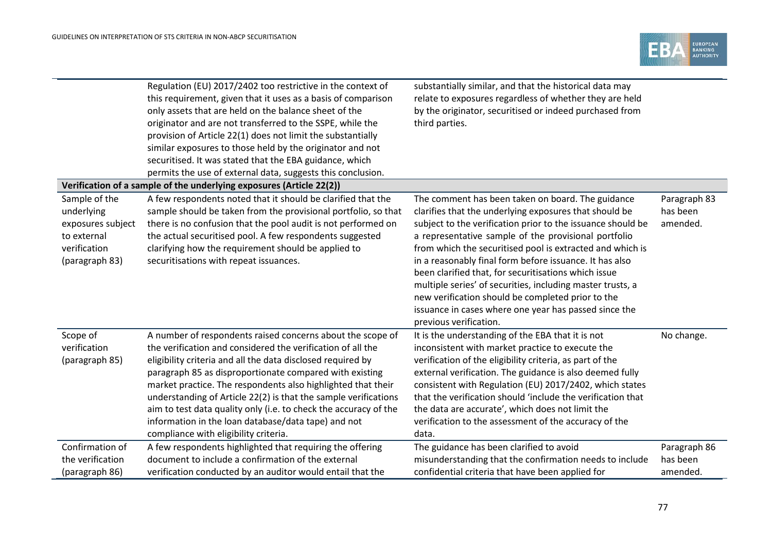

|                                                                                                   | Regulation (EU) 2017/2402 too restrictive in the context of<br>this requirement, given that it uses as a basis of comparison<br>only assets that are held on the balance sheet of the<br>originator and are not transferred to the SSPE, while the<br>provision of Article 22(1) does not limit the substantially<br>similar exposures to those held by the originator and not<br>securitised. It was stated that the EBA guidance, which<br>permits the use of external data, suggests this conclusion.                                                   | substantially similar, and that the historical data may<br>relate to exposures regardless of whether they are held<br>by the originator, securitised or indeed purchased from<br>third parties.                                                                                                                                                                                                                                                                                                                                                                                                                          |                                      |
|---------------------------------------------------------------------------------------------------|------------------------------------------------------------------------------------------------------------------------------------------------------------------------------------------------------------------------------------------------------------------------------------------------------------------------------------------------------------------------------------------------------------------------------------------------------------------------------------------------------------------------------------------------------------|--------------------------------------------------------------------------------------------------------------------------------------------------------------------------------------------------------------------------------------------------------------------------------------------------------------------------------------------------------------------------------------------------------------------------------------------------------------------------------------------------------------------------------------------------------------------------------------------------------------------------|--------------------------------------|
|                                                                                                   | Verification of a sample of the underlying exposures (Article 22(2))                                                                                                                                                                                                                                                                                                                                                                                                                                                                                       |                                                                                                                                                                                                                                                                                                                                                                                                                                                                                                                                                                                                                          |                                      |
| Sample of the<br>underlying<br>exposures subject<br>to external<br>verification<br>(paragraph 83) | A few respondents noted that it should be clarified that the<br>sample should be taken from the provisional portfolio, so that<br>there is no confusion that the pool audit is not performed on<br>the actual securitised pool. A few respondents suggested<br>clarifying how the requirement should be applied to<br>securitisations with repeat issuances.                                                                                                                                                                                               | The comment has been taken on board. The guidance<br>clarifies that the underlying exposures that should be<br>subject to the verification prior to the issuance should be<br>a representative sample of the provisional portfolio<br>from which the securitised pool is extracted and which is<br>in a reasonably final form before issuance. It has also<br>been clarified that, for securitisations which issue<br>multiple series' of securities, including master trusts, a<br>new verification should be completed prior to the<br>issuance in cases where one year has passed since the<br>previous verification. | Paragraph 83<br>has been<br>amended. |
| Scope of<br>verification<br>(paragraph 85)                                                        | A number of respondents raised concerns about the scope of<br>the verification and considered the verification of all the<br>eligibility criteria and all the data disclosed required by<br>paragraph 85 as disproportionate compared with existing<br>market practice. The respondents also highlighted that their<br>understanding of Article 22(2) is that the sample verifications<br>aim to test data quality only (i.e. to check the accuracy of the<br>information in the loan database/data tape) and not<br>compliance with eligibility criteria. | It is the understanding of the EBA that it is not<br>inconsistent with market practice to execute the<br>verification of the eligibility criteria, as part of the<br>external verification. The guidance is also deemed fully<br>consistent with Regulation (EU) 2017/2402, which states<br>that the verification should 'include the verification that<br>the data are accurate', which does not limit the<br>verification to the assessment of the accuracy of the<br>data.                                                                                                                                            | No change.                           |
| Confirmation of<br>the verification<br>(paragraph 86)                                             | A few respondents highlighted that requiring the offering<br>document to include a confirmation of the external<br>verification conducted by an auditor would entail that the                                                                                                                                                                                                                                                                                                                                                                              | The guidance has been clarified to avoid<br>misunderstanding that the confirmation needs to include<br>confidential criteria that have been applied for                                                                                                                                                                                                                                                                                                                                                                                                                                                                  | Paragraph 86<br>has been<br>amended. |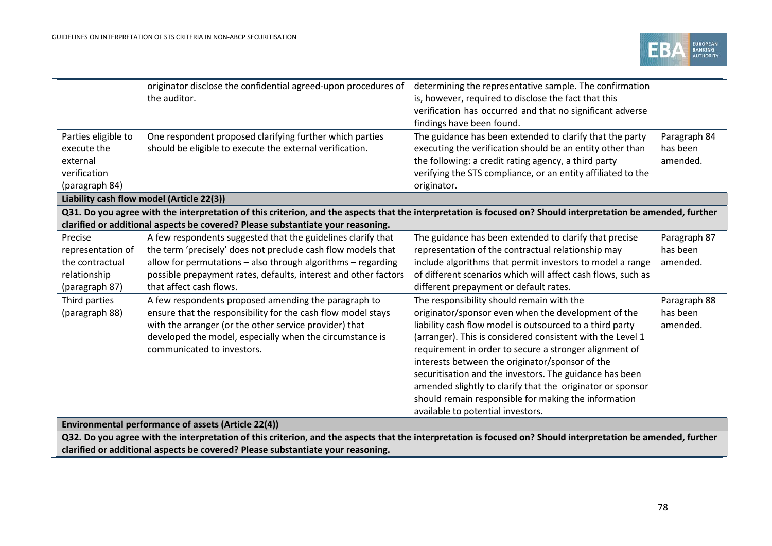

|                                                                                  | originator disclose the confidential agreed-upon procedures of<br>the auditor.                                                                                | determining the representative sample. The confirmation<br>is, however, required to disclose the fact that this<br>verification has occurred and that no significant adverse<br>findings have been found.                                                    |                                      |
|----------------------------------------------------------------------------------|---------------------------------------------------------------------------------------------------------------------------------------------------------------|--------------------------------------------------------------------------------------------------------------------------------------------------------------------------------------------------------------------------------------------------------------|--------------------------------------|
| Parties eligible to<br>execute the<br>external<br>verification<br>(paragraph 84) | One respondent proposed clarifying further which parties<br>should be eligible to execute the external verification.                                          | The guidance has been extended to clarify that the party<br>executing the verification should be an entity other than<br>the following: a credit rating agency, a third party<br>verifying the STS compliance, or an entity affiliated to the<br>originator. | Paragraph 84<br>has been<br>amended. |
|                                                                                  | Liability cash flow model (Article 22(3))                                                                                                                     |                                                                                                                                                                                                                                                              |                                      |
|                                                                                  | Q31. Do you agree with the interpretation of this criterion, and the aspects that the interpretation is focused on? Should interpretation be amended, further |                                                                                                                                                                                                                                                              |                                      |
|                                                                                  | clarified or additional aspects be covered? Please substantiate your reasoning.                                                                               |                                                                                                                                                                                                                                                              |                                      |
| Precise                                                                          | A few respondents suggested that the guidelines clarify that                                                                                                  | The guidance has been extended to clarify that precise                                                                                                                                                                                                       | Paragraph 87                         |
| representation of                                                                | the term 'precisely' does not preclude cash flow models that                                                                                                  | representation of the contractual relationship may                                                                                                                                                                                                           | has been                             |
| the contractual                                                                  | allow for permutations - also through algorithms - regarding                                                                                                  | include algorithms that permit investors to model a range                                                                                                                                                                                                    | amended.                             |
| relationship                                                                     | possible prepayment rates, defaults, interest and other factors                                                                                               | of different scenarios which will affect cash flows, such as                                                                                                                                                                                                 |                                      |
| (paragraph 87)                                                                   | that affect cash flows.                                                                                                                                       | different prepayment or default rates.                                                                                                                                                                                                                       |                                      |
| Third parties                                                                    | A few respondents proposed amending the paragraph to                                                                                                          | The responsibility should remain with the                                                                                                                                                                                                                    | Paragraph 88                         |
| (paragraph 88)                                                                   | ensure that the responsibility for the cash flow model stays                                                                                                  | originator/sponsor even when the development of the                                                                                                                                                                                                          | has been                             |
|                                                                                  | with the arranger (or the other service provider) that                                                                                                        | liability cash flow model is outsourced to a third party                                                                                                                                                                                                     | amended.                             |
|                                                                                  | developed the model, especially when the circumstance is                                                                                                      | (arranger). This is considered consistent with the Level 1                                                                                                                                                                                                   |                                      |
|                                                                                  | communicated to investors.                                                                                                                                    | requirement in order to secure a stronger alignment of                                                                                                                                                                                                       |                                      |
|                                                                                  |                                                                                                                                                               | interests between the originator/sponsor of the                                                                                                                                                                                                              |                                      |
|                                                                                  |                                                                                                                                                               | securitisation and the investors. The guidance has been                                                                                                                                                                                                      |                                      |
|                                                                                  |                                                                                                                                                               | amended slightly to clarify that the originator or sponsor                                                                                                                                                                                                   |                                      |
|                                                                                  |                                                                                                                                                               | should remain responsible for making the information                                                                                                                                                                                                         |                                      |
|                                                                                  |                                                                                                                                                               | available to potential investors.                                                                                                                                                                                                                            |                                      |

## **Environmental performance of assets (Article 22(4))**

**Q32. Do you agree with the interpretation of this criterion, and the aspects that the interpretation is focused on? Should interpretation be amended, further clarified or additional aspects be covered? Please substantiate your reasoning.**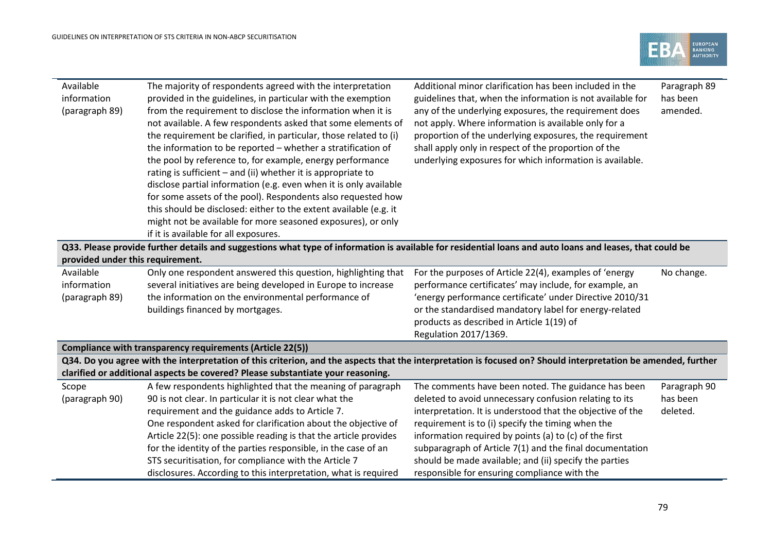

| Available                        | The majority of respondents agreed with the interpretation                                                                                                    | Additional minor clarification has been included in the    | Paragraph 89 |  |
|----------------------------------|---------------------------------------------------------------------------------------------------------------------------------------------------------------|------------------------------------------------------------|--------------|--|
| information                      | provided in the guidelines, in particular with the exemption                                                                                                  | guidelines that, when the information is not available for | has been     |  |
| (paragraph 89)                   | from the requirement to disclose the information when it is                                                                                                   | any of the underlying exposures, the requirement does      | amended.     |  |
|                                  | not available. A few respondents asked that some elements of                                                                                                  | not apply. Where information is available only for a       |              |  |
|                                  | the requirement be clarified, in particular, those related to (i)                                                                                             | proportion of the underlying exposures, the requirement    |              |  |
|                                  | the information to be reported - whether a stratification of                                                                                                  | shall apply only in respect of the proportion of the       |              |  |
|                                  | the pool by reference to, for example, energy performance                                                                                                     | underlying exposures for which information is available.   |              |  |
|                                  | rating is sufficient - and (ii) whether it is appropriate to                                                                                                  |                                                            |              |  |
|                                  | disclose partial information (e.g. even when it is only available                                                                                             |                                                            |              |  |
|                                  | for some assets of the pool). Respondents also requested how                                                                                                  |                                                            |              |  |
|                                  | this should be disclosed: either to the extent available (e.g. it                                                                                             |                                                            |              |  |
|                                  | might not be available for more seasoned exposures), or only                                                                                                  |                                                            |              |  |
|                                  | if it is available for all exposures.                                                                                                                         |                                                            |              |  |
|                                  | Q33. Please provide further details and suggestions what type of information is available for residential loans and auto loans and leases, that could be      |                                                            |              |  |
| provided under this requirement. |                                                                                                                                                               |                                                            |              |  |
| Available                        | Only one respondent answered this question, highlighting that                                                                                                 | For the purposes of Article 22(4), examples of 'energy     | No change.   |  |
| information                      | several initiatives are being developed in Europe to increase                                                                                                 | performance certificates' may include, for example, an     |              |  |
| (paragraph 89)                   | the information on the environmental performance of                                                                                                           | 'energy performance certificate' under Directive 2010/31   |              |  |
|                                  | buildings financed by mortgages.                                                                                                                              | or the standardised mandatory label for energy-related     |              |  |
|                                  |                                                                                                                                                               | products as described in Article 1(19) of                  |              |  |
|                                  |                                                                                                                                                               | Regulation 2017/1369.                                      |              |  |
|                                  | Compliance with transparency requirements (Article 22(5))                                                                                                     |                                                            |              |  |
|                                  | Q34. Do you agree with the interpretation of this criterion, and the aspects that the interpretation is focused on? Should interpretation be amended, further |                                                            |              |  |
|                                  | clarified or additional aspects be covered? Please substantiate your reasoning.                                                                               |                                                            |              |  |
| Scope                            | A few respondents highlighted that the meaning of paragraph                                                                                                   | The comments have been noted. The guidance has been        | Paragraph 90 |  |
| (paragraph 90)                   | 90 is not clear. In particular it is not clear what the                                                                                                       | deleted to avoid unnecessary confusion relating to its     | has been     |  |
|                                  | requirement and the guidance adds to Article 7.                                                                                                               | interpretation. It is understood that the objective of the | deleted.     |  |
|                                  | One respondent asked for clarification about the objective of                                                                                                 | requirement is to (i) specify the timing when the          |              |  |
|                                  | Article 22(5): one possible reading is that the article provides                                                                                              | information required by points (a) to (c) of the first     |              |  |
|                                  | for the identity of the parties responsible, in the case of an                                                                                                | subparagraph of Article 7(1) and the final documentation   |              |  |
|                                  | STS securitisation, for compliance with the Article 7                                                                                                         | should be made available; and (ii) specify the parties     |              |  |
|                                  | disclosures. According to this interpretation, what is required                                                                                               | responsible for ensuring compliance with the               |              |  |